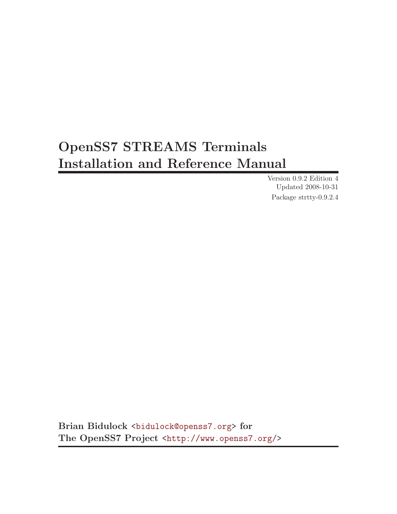# OpenSS7 STREAMS Terminals Installation and Reference Manual

Version 0.9.2 Edition 4 Updated 2008-10-31 Package strtty-0.9.2.4

Brian Bidulock <[bidulock@openss7.org](mailto:bidulock@openss7.org)> for The OpenSS7 Project [<http://www.openss7.org/](http://www.openss7.org/)>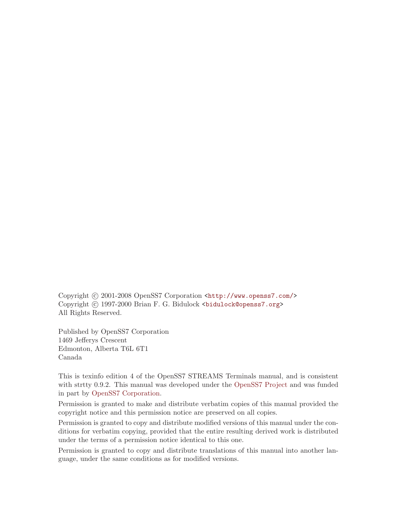Copyright © 2001-2008 OpenSS7 Corporation <[http://www.openss7.com/>](http://www.openss7.com/) Copyright © 1997-2000 Brian F. G. Bidulock <br/>bidulock@openss7.org> All Rights Reserved.

Published by OpenSS7 Corporation 1469 Jefferys Crescent Edmonton, Alberta T6L 6T1 Canada

This is texinfo edition 4 of the OpenSS7 STREAMS Terminals manual, and is consistent with strtty 0.9.2. This manual was developed under the [OpenSS7 Project](http://www.openss7.org/) and was funded in part by [OpenSS7 Corporation](http://www.openss7.com/).

Permission is granted to make and distribute verbatim copies of this manual provided the copyright notice and this permission notice are preserved on all copies.

Permission is granted to copy and distribute modified versions of this manual under the conditions for verbatim copying, provided that the entire resulting derived work is distributed under the terms of a permission notice identical to this one.

Permission is granted to copy and distribute translations of this manual into another language, under the same conditions as for modified versions.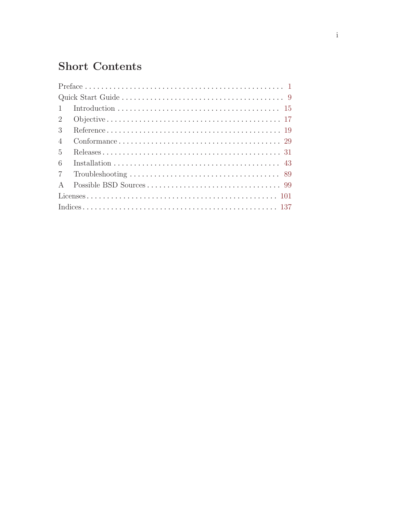# **Short Contents**

| $\overline{1}$  |
|-----------------|
| $\overline{2}$  |
| 3               |
| $\overline{4}$  |
| $\overline{5}$  |
| 6               |
| $7\overline{ }$ |
| $\mathbf{A}$    |
|                 |
|                 |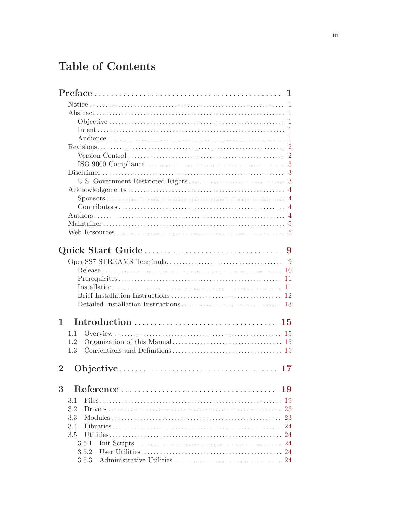# Table of Contents

| 11<br>$-11$<br>1<br>15<br>1.1<br>1.2<br>1.3<br>$\overline{2}$<br>17<br>3<br>19<br>3.1<br>19<br>3.2<br>23<br>3.3<br>23<br>3.4<br>24<br>3.5<br>3.5.1<br>24<br>24<br>3.5.2 | $\text{Preface} \dots \dots \dots \dots \dots \dots \dots \dots \dots \dots \dots \dots \dots \dots \dots \dots \dots$ |  |
|-------------------------------------------------------------------------------------------------------------------------------------------------------------------------|------------------------------------------------------------------------------------------------------------------------|--|
|                                                                                                                                                                         |                                                                                                                        |  |
|                                                                                                                                                                         |                                                                                                                        |  |
|                                                                                                                                                                         |                                                                                                                        |  |
|                                                                                                                                                                         |                                                                                                                        |  |
|                                                                                                                                                                         |                                                                                                                        |  |
|                                                                                                                                                                         |                                                                                                                        |  |
|                                                                                                                                                                         |                                                                                                                        |  |
|                                                                                                                                                                         |                                                                                                                        |  |
|                                                                                                                                                                         |                                                                                                                        |  |
|                                                                                                                                                                         |                                                                                                                        |  |
|                                                                                                                                                                         |                                                                                                                        |  |
|                                                                                                                                                                         |                                                                                                                        |  |
|                                                                                                                                                                         |                                                                                                                        |  |
|                                                                                                                                                                         |                                                                                                                        |  |
|                                                                                                                                                                         |                                                                                                                        |  |
|                                                                                                                                                                         |                                                                                                                        |  |
|                                                                                                                                                                         |                                                                                                                        |  |
|                                                                                                                                                                         |                                                                                                                        |  |
|                                                                                                                                                                         |                                                                                                                        |  |
|                                                                                                                                                                         |                                                                                                                        |  |
|                                                                                                                                                                         |                                                                                                                        |  |
|                                                                                                                                                                         |                                                                                                                        |  |
|                                                                                                                                                                         |                                                                                                                        |  |
|                                                                                                                                                                         |                                                                                                                        |  |
|                                                                                                                                                                         |                                                                                                                        |  |
|                                                                                                                                                                         |                                                                                                                        |  |
|                                                                                                                                                                         |                                                                                                                        |  |
|                                                                                                                                                                         |                                                                                                                        |  |
|                                                                                                                                                                         |                                                                                                                        |  |
|                                                                                                                                                                         |                                                                                                                        |  |
|                                                                                                                                                                         |                                                                                                                        |  |
|                                                                                                                                                                         |                                                                                                                        |  |
|                                                                                                                                                                         |                                                                                                                        |  |
|                                                                                                                                                                         |                                                                                                                        |  |
|                                                                                                                                                                         |                                                                                                                        |  |
|                                                                                                                                                                         |                                                                                                                        |  |
|                                                                                                                                                                         |                                                                                                                        |  |
|                                                                                                                                                                         |                                                                                                                        |  |
|                                                                                                                                                                         |                                                                                                                        |  |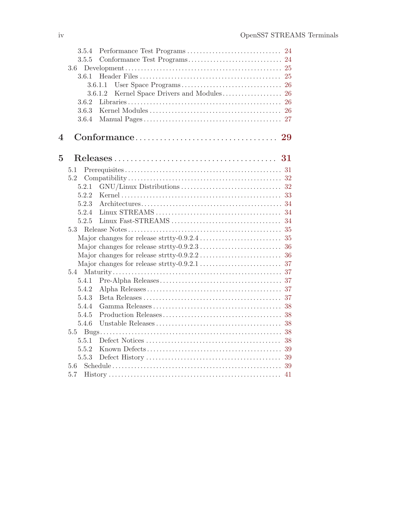|                | 3.5.4   |                                                                                                               |
|----------------|---------|---------------------------------------------------------------------------------------------------------------|
|                | 3.5.5   |                                                                                                               |
|                | 3.6     |                                                                                                               |
|                | 3.6.1   |                                                                                                               |
|                |         | 3.6.1.1                                                                                                       |
|                |         | 3.6.1.2                                                                                                       |
|                | 3.6.2   |                                                                                                               |
|                | 3.6.3   |                                                                                                               |
|                | 3.6.4   |                                                                                                               |
| 4              |         |                                                                                                               |
| $\overline{5}$ |         |                                                                                                               |
|                | $5.1\,$ |                                                                                                               |
|                | 5.2     |                                                                                                               |
|                | 5.2.1   |                                                                                                               |
|                | 5.2.2   |                                                                                                               |
|                | 5.2.3   |                                                                                                               |
|                | 5.2.4   | $Linux STREAMS \ldots \ldots \ldots \ldots \ldots \ldots \ldots \ldots \ldots \ldots \ldots \ldots \ldots 34$ |
|                | 5.2.5   |                                                                                                               |
|                | 5.3     |                                                                                                               |
|                |         |                                                                                                               |
|                |         |                                                                                                               |
|                |         |                                                                                                               |
|                |         |                                                                                                               |
|                |         |                                                                                                               |
|                | 5.4.1   |                                                                                                               |
|                | 5.4.2   |                                                                                                               |
|                | 5.4.3   |                                                                                                               |
|                | 5.4.4   |                                                                                                               |
|                | 5.4.5   |                                                                                                               |
|                | 5.4.6   |                                                                                                               |
|                | 5.5     |                                                                                                               |
|                | 5.5.1   | 38                                                                                                            |
|                | 5.5.2   |                                                                                                               |
|                | 5.5.3   |                                                                                                               |
|                | $5.6\,$ |                                                                                                               |
|                | 5.7     | $History \dots 11$                                                                                            |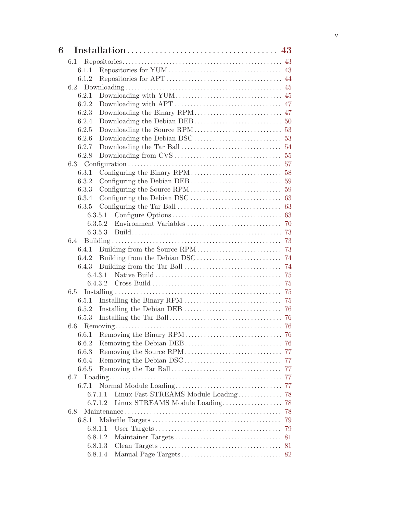| 6 |                                                 |    |
|---|-------------------------------------------------|----|
|   | 6.1                                             |    |
|   | 6.1.1                                           |    |
|   | 6.1.2                                           |    |
|   |                                                 |    |
|   | 6.2.1                                           |    |
|   | 6.2.2                                           |    |
|   | 6.2.3                                           |    |
|   | 6.2.4                                           |    |
|   | 6.2.5                                           |    |
|   | 6.2.6                                           |    |
|   | 6.2.7                                           |    |
|   | 6.2.8                                           |    |
|   |                                                 |    |
|   | 6.3.1                                           |    |
|   | 6.3.2                                           |    |
|   | 6.3.3                                           |    |
|   | 6.3.4                                           |    |
|   | 6.3.5                                           |    |
|   | 6.3.5.1                                         |    |
|   |                                                 |    |
|   |                                                 |    |
|   | 6.4                                             |    |
|   | 6.4.1                                           |    |
|   | 6.4.2                                           |    |
|   | 6.4.3                                           |    |
|   |                                                 |    |
|   |                                                 |    |
|   | 6.5                                             |    |
|   | 6.5.1                                           |    |
|   |                                                 |    |
|   | 6.5.3                                           |    |
|   |                                                 |    |
|   |                                                 |    |
|   | 6.6.2                                           |    |
|   | 6.6.3                                           |    |
|   | 6.6.4                                           |    |
|   | 6.6.5                                           |    |
|   | 6.7                                             |    |
|   | 6.7.1                                           |    |
|   | Linux Fast-STREAMS Module Loading 78<br>6.7.1.1 |    |
|   | Linux STREAMS Module Loading<br>6.7.1.2         | 78 |
|   | 6.8                                             | 78 |
|   | 6.8.1                                           | 79 |
|   | 6.8.1.1                                         | 79 |
|   | 6.8.1.2                                         | 81 |
|   | 6.8.1.3                                         |    |
|   | 6.8.1.4                                         |    |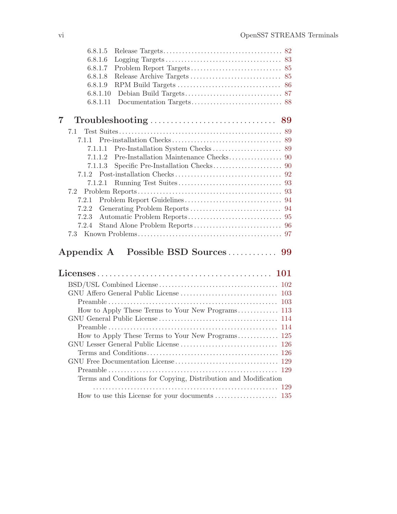|   | 6.8.1.5  |  |
|---|----------|--|
|   | 6.8.1.6  |  |
|   | 6.8.1.7  |  |
|   | 6.8.1.8  |  |
|   | 6.8.1.9  |  |
|   | 6.8.1.10 |  |
|   | 6.8.1.11 |  |
| 7 |          |  |
|   |          |  |
|   |          |  |
|   | 7.1.1.1  |  |
|   | 7112     |  |
|   | 7.1.1.3  |  |
|   |          |  |
|   | 7.1.2.1  |  |
|   |          |  |
|   | 7.2.1    |  |
|   | 7.2.2    |  |
|   | 7.2.3    |  |
|   | 7.2.4    |  |
|   | 7.3      |  |
|   |          |  |

## Appendix A Possible BSD Sources . . . . . . . . . . . [99](#page-108-0)

| Terms and Conditions for Copying, Distribution and Modification |  |
|-----------------------------------------------------------------|--|
|                                                                 |  |
|                                                                 |  |
|                                                                 |  |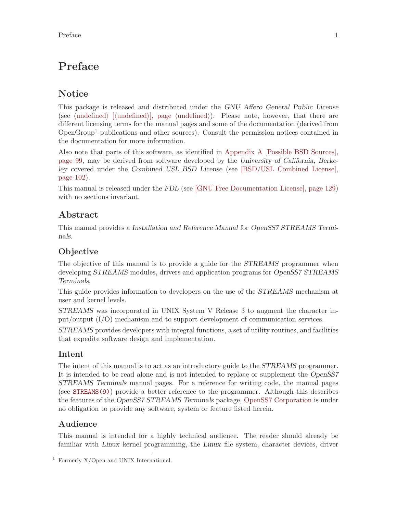## <span id="page-10-0"></span>Preface

## **Notice**

This package is released and distributed under the GNU Affero General Public License (see  $\langle$ undefined $\rangle$  [ $\langle$ undefined $\rangle$ ], page  $\langle$ undefined $\rangle$ ). Please note, however, that there are different licensing terms for the manual pages and some of the documentation (derived from OpenGroup<sup>1</sup> publications and other sources). Consult the permission notices contained in the documentation for more information.

Also note that parts of this software, as identified in [Appendix A \[Possible BSD Sources\],](#page-108-0) [page 99](#page-108-0), may be derived from software developed by the University of California, Berkeley covered under the Combined USL BSD License (see [\[BSD/USL Combined License\],](#page-111-0) [page 102\)](#page-111-0).

This manual is released under the FDL (see [\[GNU Free Documentation License\], page 129\)](#page-138-0) with no sections invariant.

## Abstract

This manual provides a Installation and Reference Manual for OpenSS7 STREAMS Terminals.

## **Objective**

The objective of this manual is to provide a guide for the *STREAMS* programmer when developing STREAMS modules, drivers and application programs for OpenSS7 STREAMS Terminals.

This guide provides information to developers on the use of the STREAMS mechanism at user and kernel levels.

STREAMS was incorporated in UNIX System V Release 3 to augment the character input/output (I/O) mechanism and to support development of communication services.

STREAMS provides developers with integral functions, a set of utility routines, and facilities that expedite software design and implementation.

## Intent

The intent of this manual is to act as an introductory guide to the *STREAMS* programmer. It is intended to be read alone and is not intended to replace or supplement the OpenSS7 STREAMS Terminals manual pages. For a reference for writing code, the manual pages (see [STREAMS\(9\)](http://www.openss7.org/man2html?STREAMS(9))) provide a better reference to the programmer. Although this describes the features of the OpenSS7 STREAMS Terminals package, [OpenSS7 Corporation](http://www.openss7.com/) is under no obligation to provide any software, system or feature listed herein.

## Audience

This manual is intended for a highly technical audience. The reader should already be familiar with Linux kernel programming, the Linux file system, character devices, driver

<sup>&</sup>lt;sup>1</sup> Formerly  $X/O$  pen and UNIX International.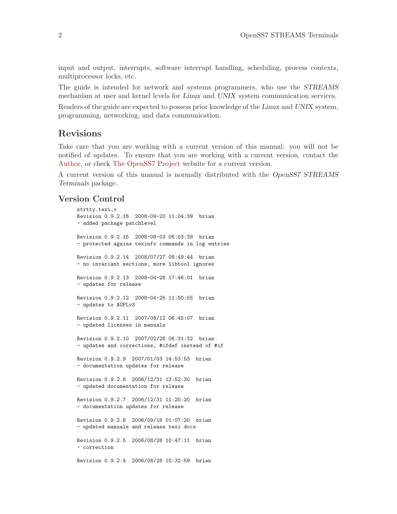<span id="page-11-0"></span>input and output, interrupts, software interrupt handling, scheduling, process contexts, multiprocessor locks, etc.

The guide is intended for network and systems programmers, who use the STREAMS mechanism at user and kernel levels for Linux and UNIX system communication services.

Readers of the guide are expected to possess prior knowledge of the Linux and UNIX system, programming, networking, and data communication.

### Revisions

Take care that you are working with a current version of this manual: you will not be notified of updates. To ensure that you are working with a current version, contact the [Author](mailto:bidulock@openss7.org), or check [The OpenSS7 Project](http://www.openss7.org/) website for a current version.

A current version of this manual is normally distributed with the OpenSS7 STREAMS Terminals package.

### Version Control

```
strtty.texi,v
Revision 0.9.2.16 2008-09-20 11:04:39 brian
- added package patchlevel
Revision 0.9.2.15 2008-08-03 06:03:39 brian
- protected agains texinfo commands in log entries
Revision 0.9.2.14 2008/07/27 08:49:44 brian
- no invariant sections, more libtool ignores
Revision 0.9.2.13 2008-04-28 17:46:01 brian
- updates for release
Revision 0.9.2.12 2008-04-25 11:50:55 brian
- updates to AGPLv3
Revision 0.9.2.11 2007/08/12 06:45:07 brian
- updated licenses in manuals
Revision 0.9.2.10 2007/02/28 06:31:32 brian
- updates and corrections, #ifdef instead of #if
Revision 0.9.2.9 2007/01/03 14:53:53 brian
- documentation updates for release
Revision 0.9.2.8 2006/12/31 13:52:30 brian
- updated documentation for release
Revision 0.9.2.7 2006/12/31 11:20:20 brian
- documentation updates for release
Revision 0.9.2.6 2006/09/18 01:07:20 brian
- updated manuals and release texi docs
Revision 0.9.2.5 2006/08/28 10:47:11 brian
- correction
Revision 0.9.2.4 2006/08/28 10:32:59 brian
```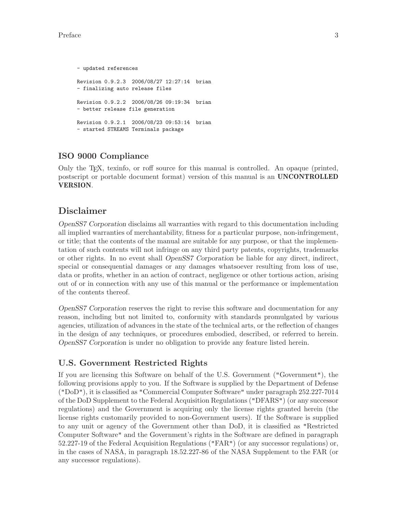```
- updated references
Revision 0.9.2.3 2006/08/27 12:27:14 brian
- finalizing auto release files
Revision 0.9.2.2 2006/08/26 09:19:34 brian
- better release file generation
Revision 0.9.2.1 2006/08/23 09:53:14 brian
- started STREAMS Terminals package
```
## ISO 9000 Compliance

Only the TEX, texinfo, or roff source for this manual is controlled. An opaque (printed, postscript or portable document format) version of this manual is an UNCONTROLLED VERSION.

## Disclaimer

OpenSS7 Corporation disclaims all warranties with regard to this documentation including all implied warranties of merchantability, fitness for a particular purpose, non-infringement, or title; that the contents of the manual are suitable for any purpose, or that the implementation of such contents will not infringe on any third party patents, copyrights, trademarks or other rights. In no event shall OpenSS7 Corporation be liable for any direct, indirect, special or consequential damages or any damages whatsoever resulting from loss of use, data or profits, whether in an action of contract, negligence or other tortious action, arising out of or in connection with any use of this manual or the performance or implementation of the contents thereof.

OpenSS7 Corporation reserves the right to revise this software and documentation for any reason, including but not limited to, conformity with standards promulgated by various agencies, utilization of advances in the state of the technical arts, or the reflection of changes in the design of any techniques, or procedures embodied, described, or referred to herein. OpenSS7 Corporation is under no obligation to provide any feature listed herein.

### U.S. Government Restricted Rights

If you are licensing this Software on behalf of the U.S. Government ("Government"), the following provisions apply to you. If the Software is supplied by the Department of Defense ("DoD"), it is classified as "Commercial Computer Software" under paragraph 252.227-7014 of the DoD Supplement to the Federal Acquisition Regulations ("DFARS") (or any successor regulations) and the Government is acquiring only the license rights granted herein (the license rights customarily provided to non-Government users). If the Software is supplied to any unit or agency of the Government other than DoD, it is classified as "Restricted Computer Software" and the Government's rights in the Software are defined in paragraph 52.227-19 of the Federal Acquisition Regulations ("FAR") (or any successor regulations) or, in the cases of NASA, in paragraph 18.52.227-86 of the NASA Supplement to the FAR (or any successor regulations).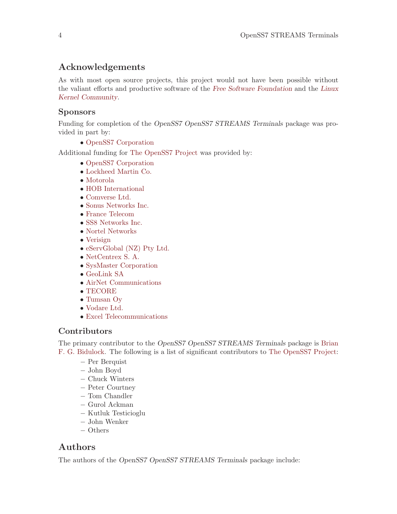## <span id="page-13-0"></span>Acknowledgements

As with most open source projects, this project would not have been possible without the valiant efforts and productive software of the [Free Software Foundation](http://www.fsf.org/) and the [Linux](http://www.kernel.org/) [Kernel Community](http://www.kernel.org/).

## Sponsors

Funding for completion of the OpenSS7 OpenSS7 STREAMS Terminals package was provided in part by:

• [OpenSS7 Corporation](http://www.openss7.com/)

Additional funding for [The OpenSS7 Project](http://www.openss7.org/) was provided by:

- [OpenSS7 Corporation](http://www.openss7.com/)
- [Lockheed Martin Co.](http://www.lmco.com/)
- [Motorola](http://www.motorola.com/)
- [HOB International](http://www.hob.de/)
- [Comverse Ltd.](http://www.comverse.com/)
- [Sonus Networks Inc.](http://www.sonus.com/)
- [France Telecom](http://www.francetelecom.fr/)
- [SS8 Networks Inc.](http://www.ss8.com/)
- [Nortel Networks](http://www.nortel.com/)
- [Verisign](http://www.verisign.com/)
- [eServGlobal \(NZ\) Pty Ltd.](http://www.eservglobal.com/)
- [NetCentrex S. A.](http://www.netcentrex.com/)
- [SysMaster Corporation](http://www.sysmaster.com/)
- [GeoLink SA](http://www.geolink.com/)
- [AirNet Communications](http://www.airnet.com/)
- [TECORE](http://www.tecore.com/)
- [Tumsan Oy](http://www.tumsan.fi/)
- [Vodare Ltd.](http://w..vodare.com/)
- [Excel Telecommunications](http://www.excel.com/)

### Contributors

The primary contributor to the OpenSS7 OpenSS7 STREAMS Terminals package is [Brian](mailto:bidulock@openss7.org) [F. G. Bidulock.](mailto:bidulock@openss7.org) The following is a list of significant contributors to [The OpenSS7 Project:](http://www.openss7.org/)

- − Per Berquist
- − John Boyd
- − Chuck Winters
- − Peter Courtney
- − Tom Chandler
- − Gurol Ackman
- − Kutluk Testicioglu
- − John Wenker
- − Others

## Authors

The authors of the OpenSS7 OpenSS7 STREAMS Terminals package include: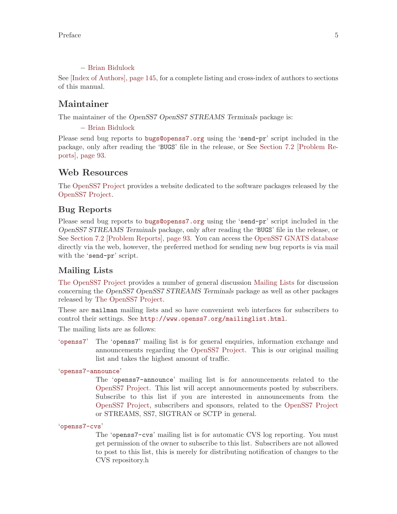### − [Brian Bidulock](mailto:bidulock@openss7.org)

<span id="page-14-0"></span>See [\[Index of Authors\], page 145,](#page-154-0) for a complete listing and cross-index of authors to sections of this manual.

## Maintainer

The maintainer of the OpenSS7 OpenSS7 STREAMS Terminals package is:

### − [Brian Bidulock](mailto:bidulock@openss7.org)

Please send bug reports to [bugs@openss7.org](mailto:bugs@openss7.org) using the 'send-pr' script included in the package, only after reading the 'BUGS' file in the release, or See [Section 7.2 \[Problem Re](#page-102-1)[ports\], page 93.](#page-102-1)

### Web Resources

The [OpenSS7 Project](http://www.openss7.org/) provides a website dedicated to the software packages released by the [OpenSS7 Project](http://www.openss7.org/).

### Bug Reports

Please send bug reports to [bugs@openss7.org](mailto:bugs@openss7.org) using the 'send-pr' script included in the OpenSS7 STREAMS Terminals package, only after reading the 'BUGS' file in the release, or See [Section 7.2 \[Problem Reports\], page 93](#page-102-1). You can access the [OpenSS7 GNATS database](http://www.openss7.org/bugreport.html) directly via the web, however, the preferred method for sending new bug reports is via mail with the 'send-pr' script.

### Mailing Lists

[The OpenSS7 Project](http://www.openss7.org/) provides a number of general discussion [Mailing Lists](http://www.openss7.org/mailman/listinfo) for discussion concerning the OpenSS7 OpenSS7 STREAMS Terminals package as well as other packages released by [The OpenSS7 Project.](http://www.openss7.org/)

These are mailman mailing lists and so have convenient web interfaces for subscribers to control their settings. See <http://www.openss7.org/mailinglist.html>.

The mailing lists are as follows:

'[openss7](http://www.openss7.org/mailman/listinfo/openss7)' The 'openss7' mailing list is for general enquiries, information exchange and announcements regarding the [OpenSS7 Project.](http://www.openss7.org/) This is our original mailing list and takes the highest amount of traffic.

'[openss7-announce](http://www.openss7.org/mailman/listinfo/openss7-announce)'

The 'openss7-announce' mailing list is for announcements related to the [OpenSS7 Project.](http://www.openss7.org/) This list will accept announcements posted by subscribers. Subscribe to this list if you are interested in announcements from the [OpenSS7 Project,](http://www.openss7.org) subscribers and sponsors, related to the [OpenSS7 Project](http://www.openss7.org) or STREAMS, SS7, SIGTRAN or SCTP in general.

'[openss7-cvs](http://www.openss7.org/mailman/listinfo/openss7-cvs)'

The 'openss7-cvs' mailing list is for automatic CVS log reporting. You must get permission of the owner to subscribe to this list. Subscribers are not allowed to post to this list, this is merely for distributing notification of changes to the CVS repository.h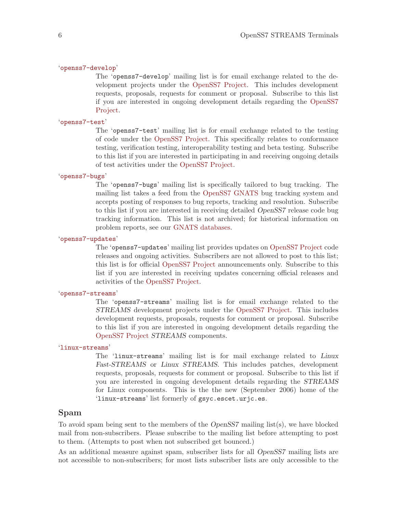#### '[openss7-develop](http://www.openss7.org/mailman/listinfo/openss7-develop)'

The 'openss7-develop' mailing list is for email exchange related to the development projects under the [OpenSS7 Project](http://www.openss7.org/). This includes development requests, proposals, requests for comment or proposal. Subscribe to this list if you are interested in ongoing development details regarding the [OpenSS7](http://www.openss7.org/) [Project.](http://www.openss7.org/)

#### '[openss7-test](http://www.openss7.org/mailman/listinfo/openss7-test)'

The 'openss7-test' mailing list is for email exchange related to the testing of code under the [OpenSS7 Project.](http://www.openss7.org/) This specifically relates to conformance testing, verification testing, interoperability testing and beta testing. Subscribe to this list if you are interested in participating in and receiving ongoing details of test activities under the [OpenSS7 Project](http://www.openss7.org/).

#### '[openss7-bugs](http://www.openss7.org/mailman/listinfo/openss7-bugs)'

The 'openss7-bugs' mailing list is specifically tailored to bug tracking. The mailing list takes a feed from the [OpenSS7 GNATS](http://www.openss7.org/bugreport.html) bug tracking system and accepts posting of responses to bug reports, tracking and resolution. Subscribe to this list if you are interested in receiving detailed OpenSS7 release code bug tracking information. This list is not archived; for historical information on problem reports, see our [GNATS databases](http://www.openss7.org/bugreport.html).

### '[openss7-updates](http://www.openss7.org/mailman/listinfo/openss7-updates)'

The 'openss7-updates' mailing list provides updates on [OpenSS7 Project](http://www.openss7.org//) code releases and ongoing activities. Subscribers are not allowed to post to this list; this list is for official [OpenSS7 Project](http://www.openss7.org/) announcements only. Subscribe to this list if you are interested in receiving updates concerning official releases and activities of the [OpenSS7 Project](http://www.opensss7.org/).

#### '[openss7-streams](http://www.openss7.org/mailman/listinfo/openss7-streams)'

The 'openss7-streams' mailing list is for email exchange related to the STREAMS development projects under the [OpenSS7 Project](http://www.openss7.org/). This includes development requests, proposals, requests for comment or proposal. Subscribe to this list if you are interested in ongoing development details regarding the [OpenSS7 Project](http://www.openss7.org/) STREAMS components.

#### '[linux-streams](http://www.openss7.org/mailman/listinfo/linux-streams)'

The 'linux-streams' mailing list is for mail exchange related to Linux Fast-STREAMS or Linux STREAMS. This includes patches, development requests, proposals, requests for comment or proposal. Subscribe to this list if you are interested in ongoing development details regarding the STREAMS for Linux components. This is the the new (September 2006) home of the 'linux-streams' list formerly of gsyc.escet.urjc.es.

#### Spam

To avoid spam being sent to the members of the OpenSS7 mailing list(s), we have blocked mail from non-subscribers. Please subscribe to the mailing list before attempting to post to them. (Attempts to post when not subscribed get bounced.)

As an additional measure against spam, subscriber lists for all OpenSS7 mailing lists are not accessible to non-subscribers; for most lists subscriber lists are only accessible to the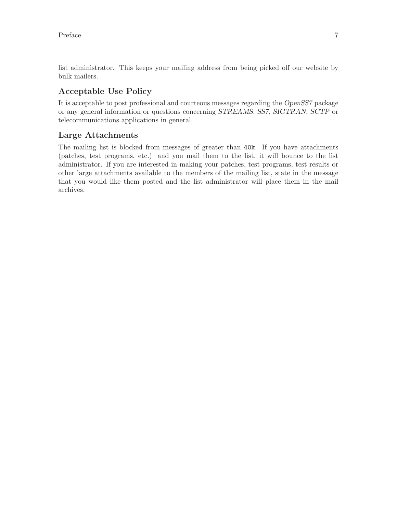list administrator. This keeps your mailing address from being picked off our website by bulk mailers.

## Acceptable Use Policy

It is acceptable to post professional and courteous messages regarding the OpenSS7 package or any general information or questions concerning STREAMS, SS7, SIGTRAN, SCTP or telecommunications applications in general.

### Large Attachments

The mailing list is blocked from messages of greater than 40k. If you have attachments (patches, test programs, etc.) and you mail them to the list, it will bounce to the list administrator. If you are interested in making your patches, test programs, test results or other large attachments available to the members of the mailing list, state in the message that you would like them posted and the list administrator will place them in the mail archives.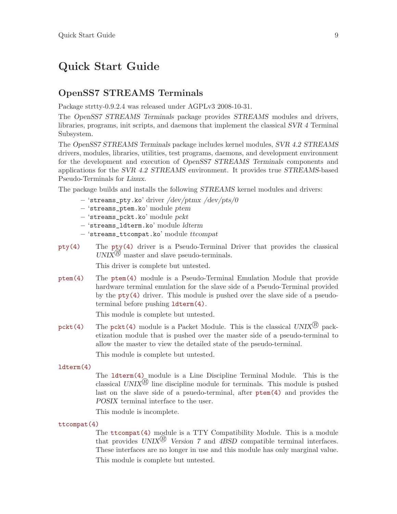## <span id="page-18-0"></span>Quick Start Guide

## OpenSS7 STREAMS Terminals

Package strtty-0.9.2.4 was released under AGPLv3 2008-10-31.

The OpenSS7 STREAMS Terminals package provides STREAMS modules and drivers, libraries, programs, init scripts, and daemons that implement the classical SVR 4 Terminal Subsystem.

The OpenSS7 STREAMS Terminals package includes kernel modules, SVR 4.2 STREAMS drivers, modules, libraries, utilities, test programs, daemons, and development environment for the development and execution of OpenSS7 STREAMS Terminals components and applications for the SVR 4.2 STREAMS environment. It provides true STREAMS-based Pseudo-Terminals for Linux.

The package builds and installs the following STREAMS kernel modules and drivers:

- − 'streams\_pty.ko' driver /dev/ptmx /dev/pts/0
- − 'streams\_ptem.ko' module ptem
- − 'streams\_pckt.ko' module pckt
- − 'streams\_ldterm.ko' module ldterm
- − 'streams\_ttcompat.ko' module ttcompat
- [pty\(4\)](http://www.openss7.org/man2html?pty(4)) The [pty\(4\)](http://www.openss7.org/man2html?pty(4)) driver is a Pseudo-Terminal Driver that provides the classical  $UNIX^{\mathcal{B}}$  master and slave pseudo-terminals.

This driver is complete but untested.

[ptem\(4\)](http://www.openss7.org/man2html?ptem(4)) The [ptem\(4\)](http://www.openss7.org/man2html?ptem(4)) module is a Pseudo-Terminal Emulation Module that provide hardware terminal emulation for the slave side of a Pseudo-Terminal provided by the [pty\(4\)](http://www.openss7.org/man2html?pty(4)) driver. This module is pushed over the slave side of a pseudoterminal before pushing [ldterm\(4\)](http://www.openss7.org/man2html?ldterm(4)).

This module is complete but untested.

[pckt\(4\)](http://www.openss7.org/man2html?pckt(4)) The pckt(4) module is a Packet Module. This is the classical  $UNIX^{(R)}$  packetization module that is pushed over the master side of a pseudo-terminal to allow the master to view the detailed state of the pseudo-terminal.

This module is complete but untested.

[ldterm\(4\)](http://www.openss7.org/man2html?ldterm(4))

The [ldterm\(4\)](http://www.openss7.org/man2html?ldterm(4)) module is a Line Discipline Terminal Module. This is the classical UNIX<sup>(B)</sup> line discipline module for terminals. This module is pushed last on the slave side of a psuedo-terminal, after [ptem\(4\)](http://www.openss7.org/man2html?ptem(4)) and provides the POSIX terminal interface to the user.

This module is incomplete.

[ttcompat\(4\)](http://www.openss7.org/man2html?ttcompat(4))

The [ttcompat\(4\)](http://www.openss7.org/man2html?ttcompat(4)) module is a TTY Compatibility Module. This is a module that provides  $UNIX^{(R)}$  Version 7 and 4BSD compatible terminal interfaces. These interfaces are no longer in use and this module has only marginal value. This module is complete but untested.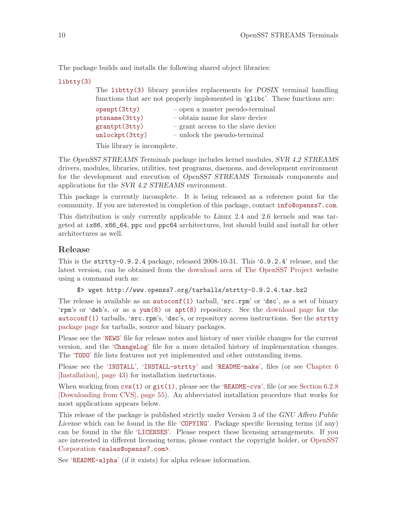<span id="page-19-0"></span>The package builds and installs the following shared object libraries:

[libtty\(3\)](http://www.openss7.org/man2html?libtty(3))

The [libtty\(3\)](http://www.openss7.org/man2html?libtty(3)) library provides replacements for POSIX terminal handling functions that are not properly implemented in 'glibc'. These functions are:

| openpt (3tty)                    | $-$ open a master pseudo-terminal                                  |
|----------------------------------|--------------------------------------------------------------------|
| ptsname (3tty)                   | - obtain name for slave device                                     |
| grantpt(3tty)<br>unlockpt (3tty) | - grant access to the slave device<br>- unlock the pseudo-terminal |
|                                  |                                                                    |

This library is incomplete.

The OpenSS7 STREAMS Terminals package includes kernel modules, SVR 4.2 STREAMS drivers, modules, libraries, utilities, test programs, daemons, and development environment for the development and execution of OpenSS7 STREAMS Terminals components and applications for the SVR 4.2 STREAMS environment.

This package is currently incomplete. It is being released as a reference point for the community. If you are interested in completion of this package, contact [info@openss7.com](mailto:info@openss7.com).

This distribution is only currently applicable to Linux 2.4 and 2.6 kernels and was targeted at ix86, x86\_64, ppc and ppc64 architectures, but should build and install for other architectures as well.

### Release

This is the strtty-0.9.2.4 package, released 2008-10-31. This '0.9.2.4' release, and the latest version, can be obtained from the [download area](http://www.openss7.org/download.html) of [The OpenSS7 Project](http://www.openss7.org/) website using a command such as:

\$> wget http://www.openss7.org/tarballs/strtty-0.9.2.4.tar.bz2

The release is available as an **[autoconf\(1\)](http://www.openss7.org/man2html?autoconf(1))** tarball, 'src.rpm' or 'dsc', as a set of binary 'rpm's or 'deb's, or as a [yum\(8\)](http://www.openss7.org/man2html?yum(8)) or [apt\(8\)](http://www.openss7.org/man2html?apt(8)) repository. See the [download page](http://www.openss7.org/download.html) for the [autoconf\(1\)](http://www.openss7.org/man2html?autoconf(1)) tarballs, 'src.rpm's, 'dsc's, or repository access instructions. See the [strtty](http://www.openss7.org/strtty_pkg.html) [package page](http://www.openss7.org/strtty_pkg.html) for tarballs, source and binary packages.

Please see the '[NEWS](http://www.openss7.org/codefiles/strtty-0.9.2.4/NEWS)' file for release notes and history of user visible changes for the current version, and the '[ChangeLog](http://www.opesns7.org/codefiles/strtty-0.9.2.4/ChangeLog)' file for a more detailed history of implementation changes. The '[TODO](http://www.opesns7.org/codefiles/strtty-0.9.2.4/TODO)' file lists features not yet implemented and other outstanding items.

Please see the '[INSTALL](http://www.openss7.org/codefiles/strtty-0.9.2.4/INSTALL)', '[INSTALL-strtty](http://www.openss7.org/codefiles/strtty-0.9.2.4/INSTALL-strtty)' and '[README-make](http://www.openss7.org/codefiles/strtty-0.9.2.4/README-make)', files (or see [Chapter 6](#page-52-0) [\[Installation\], page 43](#page-52-0)) for installation instructions.

When working from  $\text{cvs}(1)$  or  $\text{git}(1)$ , please see the '[README-cvs](http://www.openss7.org/codefiles/strtty-0.9.2.4/README-cvs)', file (or see [Section 6.2.8](#page-64-1)) [\[Downloading from CVS\], page 55\)](#page-64-1). An abbreviated installation procedure that works for most applications appears below.

This release of the package is published strictly under Version 3 of the GNU Affero Public License which can be found in the file '[COPYING](http://www.openss7.org/codefiles/strtty-0.9.2.4/COPYING)'. Package specific licensing terms (if any) can be found in the file '[LICENSES](http://www.openss7.org/codefiles/strtty-0.9.2.4/LICENSES)'. Please respect these licensing arrangements. If you are interested in different licensing terms, please contact the copyright holder, or [OpenSS7](mailto:sales@openss7.com?subject=Licensing) Corporation [<sales@openss7.com>](mailto:sales@openss7.com?subject=Licensing).

See '[README-alpha](http://www.openss7.org/codefiles/strtty-0.9.2.4/README-alpha)' (if it exists) for alpha release information.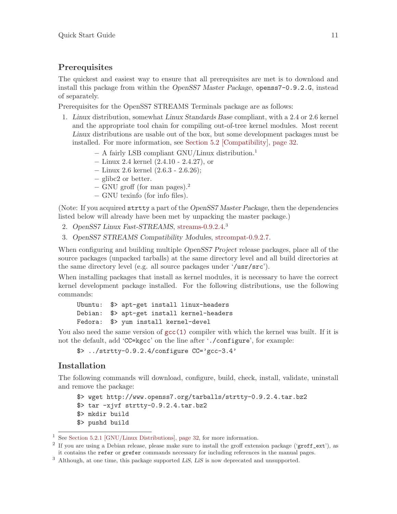### <span id="page-20-0"></span>**Prerequisites**

The quickest and easiest way to ensure that all prerequisites are met is to download and install this package from within the OpenSS7 Master Package, openss7-0.9.2.G, instead of separately.

Prerequisites for the OpenSS7 STREAMS Terminals package are as follows:

- 1. Linux distribution, somewhat Linux Standards Base compliant, with a 2.4 or 2.6 kernel and the appropriate tool chain for compiling out-of-tree kernel modules. Most recent Linux distributions are usable out of the box, but some development packages must be installed. For more information, see [Section 5.2 \[Compatibility\], page 32](#page-41-0).
	- − A fairly LSB compliant GNU/Linux distribution.<sup>1</sup>
	- − Linux 2.4 kernel (2.4.10 2.4.27), or
	- − Linux 2.6 kernel (2.6.3 2.6.26);
	- − glibc2 or better.
	- − GNU groff (for man pages).<sup>2</sup>
	- − GNU texinfo (for info files).

(Note: If you acquired strtty a part of the OpenSS7 Master Package, then the dependencies listed below will already have been met by unpacking the master package.)

- 2. OpenSS7 Linux Fast-STREAMS, [streams-0.9.2.4.](http://www.openss7.org/tarballs/streams-0.9.2.4.tar.bz2)<sup>3</sup>
- 3. OpenSS7 STREAMS Compatibility Modules, [strcompat-0.9.2.7.](http://www.openss7.org/tarballs/strcompat-0.9.2.7.tar.bz2)

When configuring and building multiple *OpenSS7 Project* release packages, place all of the source packages (unpacked tarballs) at the same directory level and all build directories at the same directory level (e.g. all source packages under '/usr/src').

When installing packages that install as kernel modules, it is necessary to have the correct kernel development package installed. For the following distributions, use the following commands:

Ubuntu: \$> apt-get install linux-headers Debian: \$> apt-get install kernel-headers Fedora: \$> yum install kernel-devel

You also need the same version of  $\text{gcc}(1)$  compiler with which the kernel was built. If it is not the default, add 'CC=kgcc' on the line after './configure', for example:

 $\frac{1}{2}$  ../strtty-0.9.2.4/configure CC='gcc-3.4'

### Installation

The following commands will download, configure, build, check, install, validate, uninstall and remove the package:

```
$> wget http://www.openss7.org/tarballs/strtty-0.9.2.4.tar.bz2
$ tar -xjvf strtty-0.9.2.4.tar.bz2
$> mkdir build
$> pushd build
```
<sup>1</sup> See [Section 5.2.1 \[GNU/Linux Distributions\], page 32,](#page-41-1) for more information.

<sup>&</sup>lt;sup>2</sup> If you are using a Debian release, please make sure to install the groff extension package ('groff\_ext'), as it contains the refer or grefer commands necessary for including references in the manual pages.

<sup>&</sup>lt;sup>3</sup> Although, at one time, this package supported LiS, LiS is now deprecated and unsupported.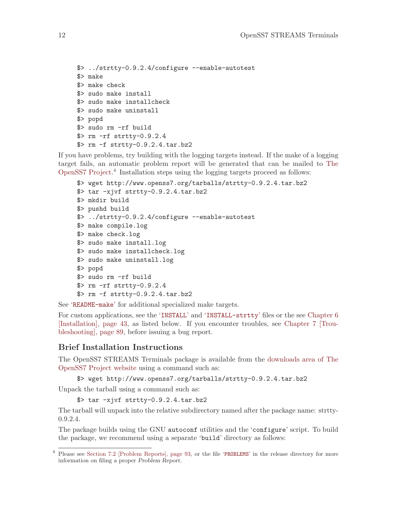```
$> ../strtty-0.9.2.4/configure --enable-autotest
$> make
$> make check
$> sudo make install
$> sudo make installcheck
$> sudo make uninstall
$> popd
$> sudo rm -rf build
$> rm -rf strtty-0.9.2.4
$> rm -f strtty-0.9.2.4.tar.bz2
```
If you have problems, try building with the logging targets instead. If the make of a logging target fails, an automatic problem report will be generated that can be mailed to [The](mailto:bugs@openss7.org) [OpenSS7 Project.](mailto:bugs@openss7.org) 4 Installation steps using the logging targets proceed as follows:

```
$> wget http://www.openss7.org/tarballs/strtty-0.9.2.4.tar.bz2
$> tar -xjvf strtty-0.9.2.4.tar.bz2
$> mkdir build
$> pushd build
$> ../strtty-0.9.2.4/configure --enable-autotest
$> make compile.log
$> make check.log
$> sudo make install.log
$> sudo make installcheck.log
$> sudo make uninstall.log
$> popd
$> sudo rm -rf build
$> rm -rf strtty-0.9.2.4
$> rm -f strtty-0.9.2.4.tar.bz2
```
See '[README-make](http://www.openss7.org/codefiles/strtty-0.9.2.4/README-make)' for additional specialized make targets.

For custom applications, see the '[INSTALL](http://www.openss7.org/codefiles/strtty-0.9.2.4/INSTALL)' and '[INSTALL-strtty](http://www.openss7.org/codefiles/strtty-0.9.2.4/INSTALL-strtty)' files or the see [Chapter 6](#page-52-0) [\[Installation\], page 43](#page-52-0), as listed below. If you encounter troubles, see [Chapter 7 \[Trou](#page-98-0)[bleshooting\], page 89](#page-98-0), before issuing a bug report.

## Brief Installation Instructions

The OpenSS7 STREAMS Terminals package is available from the [downloads area of The](http://www.openss7.org/download.html) [OpenSS7 Project website](http://www.openss7.org/download.html) using a command such as:

```
$> wget http://www.openss7.org/tarballs/strtty-0.9.2.4.tar.bz2
```
Unpack the tarball using a command such as:

```
$> tar -xjvf strtty-0.9.2.4.tar.bz2
```
The tarball will unpack into the relative subdirectory named after the package name: strtty-0.9.2.4.

The package builds using the GNU autoconf utilities and the 'configure' script. To build the package, we recommend using a separate 'build' directory as follows:

Please see [Section 7.2 \[Problem Reports\], page 93,](#page-102-1) or the file '[PROBLEMS](http://www.openss7.org/codefiles/strtty-0.9.2.4/PROBLEMS)' in the release directory for more information on filing a proper Problem Report.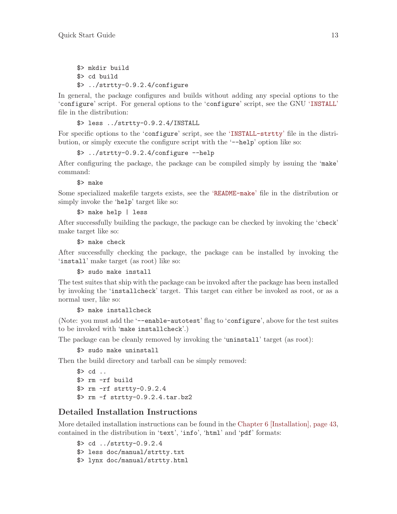<span id="page-22-0"></span>\$> mkdir build \$> cd build \$> ../strtty-0.9.2.4/configure

In general, the package configures and builds without adding any special options to the 'configure' script. For general options to the 'configure' script, see the GNU '[INSTALL](http://www.openss7.org/codefiles/strtty-0.9.2.4/INSTALL)' file in the distribution:

\$> less ../strtty-0.9.2.4/INSTALL

For specific options to the 'configure' script, see the '[INSTALL-strtty](http://www.openss7.org/codefiles/strtty-0.9.2.4/INSTALL-strtty)' file in the distribution, or simply execute the configure script with the '--help' option like so:

\$> ../strtty-0.9.2.4/configure --help

After configuring the package, the package can be compiled simply by issuing the 'make' command:

\$> make

Some specialized makefile targets exists, see the '[README-make](http://www.openss7.org/codefiles/strtty-0.9.2.4/README-make)' file in the distribution or simply invoke the 'help' target like so:

\$> make help | less

After successfully building the package, the package can be checked by invoking the 'check' make target like so:

\$> make check

After successfully checking the package, the package can be installed by invoking the 'install' make target (as root) like so:

\$> sudo make install

The test suites that ship with the package can be invoked after the package has been installed by invoking the 'installcheck' target. This target can either be invoked as root, or as a normal user, like so:

\$> make installcheck

(Note: you must add the '--enable-autotest' flag to 'configure', above for the test suites to be invoked with 'make installcheck'.)

The package can be cleanly removed by invoking the 'uninstall' target (as root):

\$> sudo make uninstall

Then the build directory and tarball can be simply removed:

```
$> cd ..
$> rm -rf build
$> rm -rf strtty-0.9.2.4
$> rm -f strtty-0.9.2.4.tar.bz2
```
### Detailed Installation Instructions

More detailed installation instructions can be found in the [Chapter 6 \[Installation\], page 43,](#page-52-0) contained in the distribution in 'text', 'info', 'html' and 'pdf' formats:

\$> cd ../strtty-0.9.2.4 \$> less doc/manual/strtty.txt \$> lynx doc/manual/strtty.html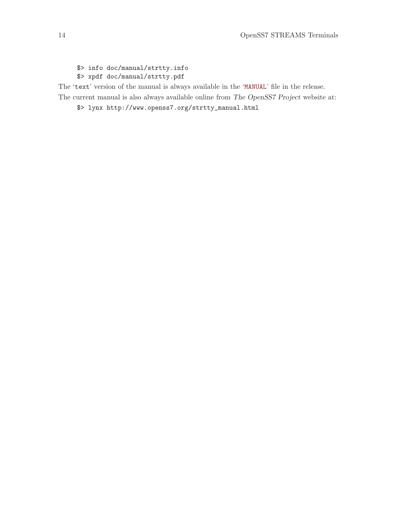\$> info doc/manual/strtty.info \$> xpdf doc/manual/strtty.pdf

The 'text' version of the manual is always available in the '[MANUAL](http://www.openss7.org/codefiles/strtty-0.9.2.4/MANUAL)' file in the release.

The current manual is also always available online from The OpenSS7 Project website at:

\$> lynx http://www.openss7.org/strtty\_manual.html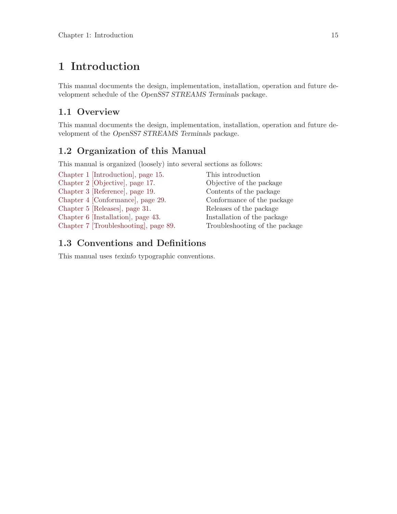## <span id="page-24-0"></span>1 Introduction

This manual documents the design, implementation, installation, operation and future development schedule of the OpenSS7 STREAMS Terminals package.

## 1.1 Overview

This manual documents the design, implementation, installation, operation and future development of the OpenSS7 STREAMS Terminals package.

## 1.2 Organization of this Manual

This manual is organized (loosely) into several sections as follows:

[Chapter 1 \[Introduction\], page 15](#page-24-0). This introduction

[Chapter 2 \[Objective\], page 17](#page-26-0). Objective of the package [Chapter 3 \[Reference\], page 19.](#page-28-0) Contents of the package [Chapter 4 \[Conformance\], page 29](#page-38-0). Conformance of the package [Chapter 5 \[Releases\], page 31](#page-40-0). Releases of the package [Chapter 6 \[Installation\], page 43.](#page-52-0) Installation of the package [Chapter 7 \[Troubleshooting\], page 89.](#page-98-0) Troubleshooting of the package

## 1.3 Conventions and Definitions

This manual uses texinfo typographic conventions.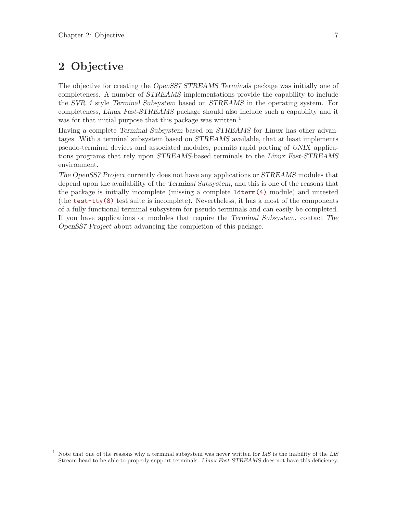## <span id="page-26-0"></span>2 Objective

The objective for creating the OpenSS7 STREAMS Terminals package was initially one of completeness. A number of STREAMS implementations provide the capability to include the SVR 4 style Terminal Subsystem based on STREAMS in the operating system. For completeness, Linux Fast-STREAMS package should also include such a capability and it was for that initial purpose that this package was written.<sup>1</sup>

Having a complete Terminal Subsystem based on STREAMS for Linux has other advantages. With a terminal subsystem based on STREAMS available, that at least implements pseudo-terminal devices and associated modules, permits rapid porting of UNIX applications programs that rely upon STREAMS-based terminals to the Linux Fast-STREAMS environment.

The OpenSS7 Project currently does not have any applications or STREAMS modules that depend upon the availability of the Terminal Subsystem, and this is one of the reasons that the package is initially incomplete (missing a complete [ldterm\(4\)](http://www.openss7.org/man2html?ldterm(4)) module) and untested (the [test-tty\(8\)](http://www.openss7.org/man2html?test-tty(8)) test suite is incomplete). Nevertheless, it has a most of the components of a fully functional terminal subsystem for pseudo-terminals and can easily be completed. If you have applications or modules that require the Terminal Subsystem, contact The OpenSS7 Project about advancing the completion of this package.

Note that one of the reasons why a terminal subsystem was never written for LiS is the inability of the LiS Stream head to be able to properly support terminals. Linux Fast-STREAMS does not have this deficiency.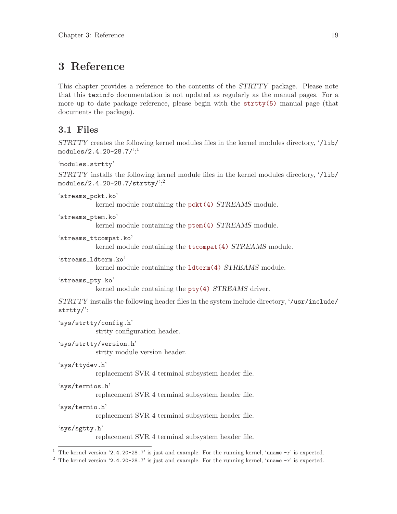## <span id="page-28-0"></span>3 Reference

This chapter provides a reference to the contents of the STRTTY package. Please note that this texinfo documentation is not updated as regularly as the manual pages. For a more up to date package reference, please begin with the [strtty\(5\)](http://www.openss7.org/man2html?strtty(5)) manual page (that documents the package).

## 3.1 Files

```
STRTTY creates the following kernel modules files in the kernel modules directory, '/lib/
 modules/2.4.20-28.7/':1
 'modules.strtty'
 STRTTY installs the following kernel module files in the kernel modules directory, '/lib/
 modules/2.4.20-28.7/strtty/':2
 'streams_pckt.ko'
             kernel module containing the pckt(4) STREAMS module.
 'streams_ptem.ko'
             kernel module containing the ptem(4) STREAMS module.
 'streams_ttcompat.ko'
             kernel module containing the ttcompat(4) STREAMS module.
 'streams_ldterm.ko'
             kernel module containing the ldterm(4) STREAMS module.
 'streams_pty.ko'
             kernel module containing the pty(4) STREAMS driver.
 STRTTY installs the following header files in the system include directory, '/usr/include/
 strtty/':
 'sys/strtty/config.h'
             strtty configuration header.
 'sys/strtty/version.h'
             strtty module version header.
 'sys/ttydev.h'
             replacement SVR 4 terminal subsystem header file.
 'sys/termios.h'
             replacement SVR 4 terminal subsystem header file.
 'sys/termio.h'
             replacement SVR 4 terminal subsystem header file.
 'sys/sgtty.h'
             replacement SVR 4 terminal subsystem header file.
<sup>1</sup> The kernel version '2.4.20-28.7' is just and example. For the running kernel, 'uname -r' is expected.
```
<sup>2</sup> The kernel version '2.4.20-28.7' is just and example. For the running kernel, 'uname -r' is expected.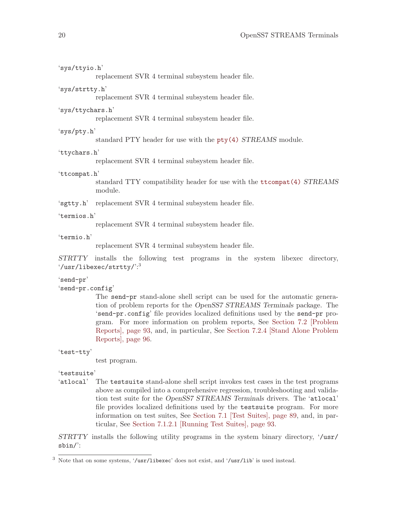| 'sys/ttyio.h'                 |                                                                                                                                                                                                                                                                                                                                                                                                                       |
|-------------------------------|-----------------------------------------------------------------------------------------------------------------------------------------------------------------------------------------------------------------------------------------------------------------------------------------------------------------------------------------------------------------------------------------------------------------------|
|                               | replacement SVR 4 terminal subsystem header file.                                                                                                                                                                                                                                                                                                                                                                     |
| 'sys/strtty.h'                | replacement SVR 4 terminal subsystem header file.                                                                                                                                                                                                                                                                                                                                                                     |
| 'sys/ttychars.h'              | replacement SVR 4 terminal subsystem header file.                                                                                                                                                                                                                                                                                                                                                                     |
| 'sys/pty.h'                   | standard PTY header for use with the pty(4) STREAMS module.                                                                                                                                                                                                                                                                                                                                                           |
| 'ttychars.h'                  | replacement SVR 4 terminal subsystem header file.                                                                                                                                                                                                                                                                                                                                                                     |
| 'ttcompat.h'                  | standard TTY compatibility header for use with the ttcompat(4) STREAMS<br>module.                                                                                                                                                                                                                                                                                                                                     |
|                               | 'sgtty.h' replacement SVR 4 terminal subsystem header file.                                                                                                                                                                                                                                                                                                                                                           |
| 'termios.h'                   | replacement SVR 4 terminal subsystem header file.                                                                                                                                                                                                                                                                                                                                                                     |
| 'termio.h'                    | replacement SVR 4 terminal subsystem header file.                                                                                                                                                                                                                                                                                                                                                                     |
| STRTTY                        | installs the following test programs in the system libexec directory,<br>$\frac{1}{2}$ /usr/libexec/strtty/ $\frac{1}{2}$                                                                                                                                                                                                                                                                                             |
| 'send-pr'<br>'send-pr.config' | The send-pr stand-alone shell script can be used for the automatic genera-<br>tion of problem reports for the OpenSS7 STREAMS Terminals package. The<br>'send-pr.config' file provides localized definitions used by the send-pr pro-<br>gram. For more information on problem reports, See Section 7.2 [Problem<br>Reports, page 93, and, in particular, See Section 7.2.4 [Stand Alone Problem<br>Reports, page 96. |
| 'test-tty'                    |                                                                                                                                                                                                                                                                                                                                                                                                                       |
|                               | test program.                                                                                                                                                                                                                                                                                                                                                                                                         |
| 'testsuite'                   | 'atlocal' The testsuite stand-alone shell script invokes test cases in the test programs                                                                                                                                                                                                                                                                                                                              |
|                               |                                                                                                                                                                                                                                                                                                                                                                                                                       |

above as compiled into a comprehensive regression, troubleshooting and validation test suite for the OpenSS7 STREAMS Terminals drivers. The 'atlocal' file provides localized definitions used by the testsuite program. For more information on test suites, See [Section 7.1 \[Test Suites\], page 89,](#page-98-1) and, in particular, See [Section 7.1.2.1 \[Running Test Suites\], page 93](#page-102-0).

STRTTY installs the following utility programs in the system binary directory, '/usr/ sbin/':

<sup>3</sup> Note that on some systems, '/usr/libexec' does not exist, and '/usr/lib' is used instead.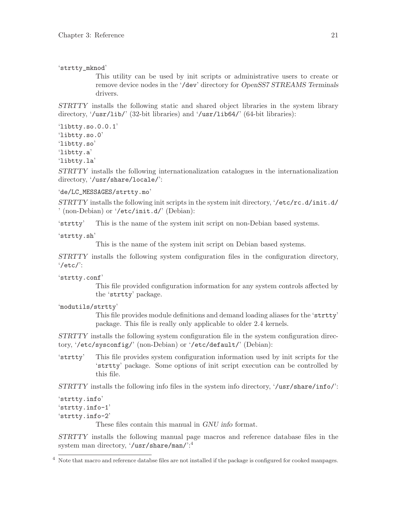'strtty\_mknod'

This utility can be used by init scripts or administrative users to create or remove device nodes in the '/dev' directory for OpenSS7 STREAMS Terminals drivers.

STRTTY installs the following static and shared object libraries in the system library directory, '/usr/lib/' (32-bit libraries) and '/usr/lib64/' (64-bit libraries):

'libtty.so.0.0.1'

'libtty.so.0'

'libtty.so'

'libtty.a' 'libtty.la'

STRTTY installs the following internationalization catalogues in the internationalization directory, '/usr/share/locale/':

'de/LC\_MESSAGES/strtty.mo'

STRTTY installs the following init scripts in the system init directory, '/etc/rc.d/init.d/ ' (non-Debian) or '/etc/init.d/' (Debian):

'strtty' This is the name of the system init script on non-Debian based systems.

'strtty.sh'

This is the name of the system init script on Debian based systems.

STRTTY installs the following system configuration files in the configuration directory, '/etc/':

'strtty.conf'

This file provided configuration information for any system controls affected by the 'strtty' package.

'modutils/strtty'

This file provides module definitions and demand loading aliases for the 'strtty' package. This file is really only applicable to older 2.4 kernels.

STRTTY installs the following system configuration file in the system configuration directory, '/etc/sysconfig/' (non-Debian) or '/etc/default/' (Debian):

'strtty' This file provides system configuration information used by init scripts for the 'strtty' package. Some options of init script execution can be controlled by this file.

 $STRTTY$  installs the following info files in the system info directory,  $\sqrt{u}$ sr/share/info/:

'strtty.info' 'strtty.info-1' 'strtty.info-2'

These files contain this manual in GNU info format.

STRTTY installs the following manual page macros and reference database files in the system man directory, '/usr/share/man/':<sup>4</sup>

 $4$  Note that macro and reference databse files are not installed if the package is configured for cooked manpages.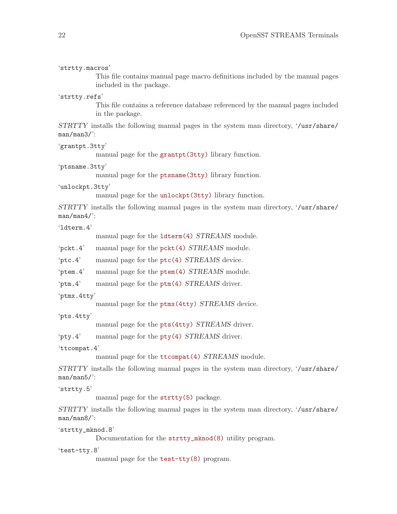| 'strtty.macros'  | This file contains manual page macro definitions included by the manual pages<br>included in the package. |
|------------------|-----------------------------------------------------------------------------------------------------------|
| 'strtty.refs'    |                                                                                                           |
|                  | This file contains a reference database referenced by the manual pages included<br>in the package.        |
| $man/man3$ .     | STRTTY installs the following manual pages in the system man directory, '/usr/share/                      |
| 'grantpt.3tty'   |                                                                                                           |
|                  | manual page for the grantpt (3tty) library function.                                                      |
| 'ptsname.3tty'   | manual page for the ptsname (3tty) library function.                                                      |
| 'unlockpt.3tty'  |                                                                                                           |
|                  | manual page for the unlockpt (3tty) library function.                                                     |
| $man/man4$ /     | STRTTY installs the following manual pages in the system man directory, '/usr/share/                      |
| '1dterm.4'       |                                                                                                           |
|                  | manual page for the <b>ldterm</b> (4) STREAMS module.                                                     |
| pckt.4'          | manual page for the pckt(4) STREAMS module.                                                               |
| 'ptc.4'          | manual page for the ptc(4) STREAMS device.                                                                |
| 'ptem.4'         | manual page for the ptem(4) STREAMS module.                                                               |
| 'ptm.4'          | manual page for the ptm(4) STREAMS driver.                                                                |
| 'ptmx.4tty'      |                                                                                                           |
|                  | manual page for the ptmx (4tty) STREAMS device.                                                           |
| 'pts.4tty'       |                                                                                                           |
|                  | manual page for the pts (4tty) STREAMS driver.                                                            |
| $'$ pty.4'       | manual page for the pty(4) STREAMS driver.                                                                |
| 'ttcompat. $4'$  | manual page for the ttcompat(4) STREAMS module.                                                           |
|                  |                                                                                                           |
| $man/man5$ .     | STRTTY installs the following manual pages in the system man directory, '/usr/share/                      |
| 'strtty.5'       |                                                                                                           |
|                  | manual page for the strtty(5) package.                                                                    |
| $man/man8$ .     | STRTTY installs the following manual pages in the system man directory, '/usr/share/                      |
| 'strtty_mknod.8' | Documentation for the strtty_mknod(8) utility program.                                                    |
| 'test-tty.8'     |                                                                                                           |
|                  | manual page for the test-tty(8) program.                                                                  |
|                  |                                                                                                           |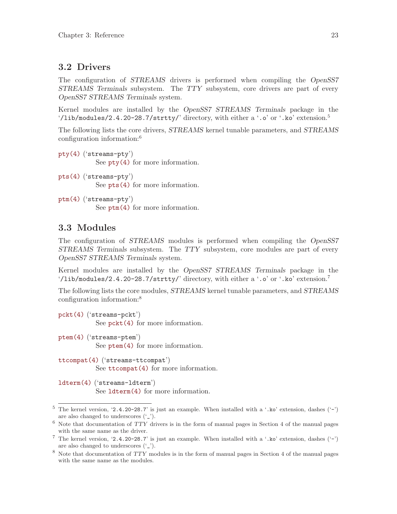## <span id="page-32-0"></span>3.2 Drivers

The configuration of STREAMS drivers is performed when compiling the OpenSS7 STREAMS Terminals subsystem. The TTY subsystem, core drivers are part of every OpenSS7 STREAMS Terminals system.

Kernel modules are installed by the OpenSS7 STREAMS Terminals package in the '/lib/modules/2.4.20-28.7/strtty/' directory, with either a '.o' or '.ko' extension.<sup>5</sup>

The following lists the core drivers, STREAMS kernel tunable parameters, and STREAMS configuration information:<sup>6</sup>

```
pty(4) ('streams-pty')
           See pty(4) for more information.
pts(4) ('streams-pty')
```
See [pts\(4\)](http://www.openss7.org/man2html?pts(4)) for more information.

```
ptm(4) ('streams-pty')
           See ptm(4) for more information.
```
## 3.3 Modules

The configuration of STREAMS modules is performed when compiling the OpenSS7 STREAMS Terminals subsystem. The TTY subsystem, core modules are part of every OpenSS7 STREAMS Terminals system.

Kernel modules are installed by the OpenSS7 STREAMS Terminals package in the '/lib/modules/2.4.20-28.7/strtty/' directory, with either a '.o' or '.ko' extension.<sup>7</sup>

The following lists the core modules, STREAMS kernel tunable parameters, and STREAMS configuration information:<sup>8</sup>

```
pckt(4) ('streams-pckt')
           See pckt(4) for more information.
```

```
ptem(4) ('streams-ptem')
           See ptem(4) for more information.
```
[ttcompat\(4\)](http://www.openss7.org/man2html?ttcompat(4)) ('streams-ttcompat') See [ttcompat\(4\)](http://www.openss7.org/man2html?ttcompat(4)) for more information.

```
ldterm(4) ('streams-ldterm')
           See ldterm(4) for more information.
```
<sup>&</sup>lt;sup>5</sup> The kernel version, '2.4.20-28.7' is just an example. When installed with a '.ko' extension, dashes  $(5 - 7)$ are also changed to underscores ('\_').

 $6$  Note that documentation of  $TTY$  drivers is in the form of manual pages in Section 4 of the manual pages with the same name as the driver.

<sup>&</sup>lt;sup>7</sup> The kernel version, '2.4.20-28.7' is just an example. When installed with a '.ko' extension, dashes  $(2)$ are also changed to underscores  $(′_-'$ ).

<sup>8</sup> Note that documentation of TTY modules is in the form of manual pages in Section 4 of the manual pages with the same name as the modules.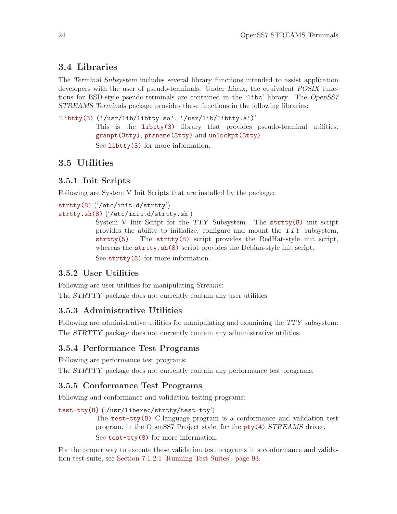## <span id="page-33-0"></span>3.4 Libraries

The Terminal Subsystem includes several library functions intended to assist application developers with the user of pseudo-terminals. Under Linux, the equivalent POSIX functions for BSD-style pseudo-terminals are contained in the 'libc' library. The OpenSS7 STREAMS Terminals package provides these functions in the following libraries:

'[libtty\(3\)](http://www.openss7.org/man2html?libtty(3)) ('/usr/lib/libtty.so', '/usr/lib/libtty.a')' This is the [libtty\(3\)](http://www.openss7.org/man2html?libtty(3)) library that provides pseudo-terminal utilities: [granpt\(3tty\)](http://www.openss7.org/man2html?granpt(3tty)), [ptsname\(3tty\)](http://www.openss7.org/man2html?ptsname(3tty)) and [unlockpt\(3tty\)](http://www.openss7.org/man2html?unlockpt(3tty)). See [libtty\(3\)](http://www.openss7.org/man2html?libtty(3)) for more information.

## 3.5 Utilities

### 3.5.1 Init Scripts

Following are System V Init Scripts that are installed by the package:

```
strtty(8) ('/etc/init.d/strtty')
strtty.sh(8) ('/etc/init.d/strtty.sh')
```
System V Init Script for the TTY Subsystem. The [strtty\(8\)](http://www.openss7.org/man2html?strtty(8)) init script provides the ability to initialize, configure and mount the TTY subsystem, [strtty\(5\)](http://www.openss7.org/man2html?strtty(5)). The [strtty\(8\)](http://www.openss7.org/man2html?strtty(8)) script provides the RedHat-style init script, whereas the [strtty.sh\(8\)](http://www.openss7.org/man2html?strtty.sh(8)) script provides the Debian-style init script. See [strtty\(8\)](http://www.openss7.org/man2html?strtty(8)) for more information.

### 3.5.2 User Utilities

Following are user utilities for manipulating Streams:

The STRTTY package does not currently contain any user utilities.

### 3.5.3 Administrative Utilities

Following are administrative utilities for manipulating and examining the TTY subsystem: The STRTTY package does not currently contain any administrative utilities.

### 3.5.4 Performance Test Programs

Following are performance test programs:

The STRTTY package does not currently contain any performance test programs.

### 3.5.5 Conformance Test Programs

Following and conformance and validation testing programs:

```
test-tty(8) ('/usr/libexec/strtty/test-tty')
```
The [test-tty\(8\)](http://www.openss7.org/man2html?test-tty(8)) C-language program is a conformance and validation test program, in the OpenSS7 Project style, for the [pty\(4\)](http://www.openss7.org/man2html?pty(4)) STREAMS driver.

See [test-tty\(8\)](http://www.openss7.org/man2html?test-tty(8)) for more information.

For the proper way to execute these validation test programs in a conformance and validation test suite, see [Section 7.1.2.1 \[Running Test Suites\], page 93](#page-102-0).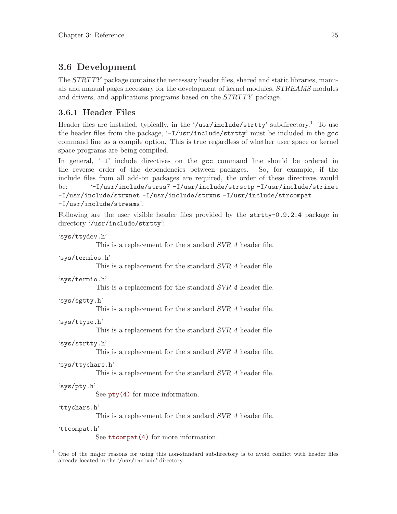## <span id="page-34-0"></span>3.6 Development

The STRTTY package contains the necessary header files, shared and static libraries, manuals and manual pages necessary for the development of kernel modules, STREAMS modules and drivers, and applications programs based on the STRTTY package.

## 3.6.1 Header Files

Header files are installed, typically, in the '/usr/include/strtty' subdirectory.<sup>1</sup> To use the header files from the package, '-I/usr/include/strtty' must be included in the gcc command line as a compile option. This is true regardless of whether user space or kernel space programs are being compiled.

In general,  $\left(-\mathbf{I}\right)$  include directives on the gcc command line should be ordered in the reverse order of the dependencies between packages. So, for example, if the include files from all add-on packages are required, the order of these directives would be: '-I/usr/include/strss7 -I/usr/include/strsctp -I/usr/include/strinet -I/usr/include/strxnet -I/usr/include/strxns -I/usr/include/strcompat -I/usr/include/streams'.

Following are the user visible header files provided by the strtty-0.9.2.4 package in directory '/usr/include/strtty':

```
'sys/ttydev.h'
            This is a replacement for the standard SVR 4 header file.
'sys/termios.h'
            This is a replacement for the standard SVR 4 header file.
'sys/termio.h'
            This is a replacement for the standard SVR 4 header file.
'sys/sgtty.h'
            This is a replacement for the standard SVR 4 header file.
'sys/ttyio.h'
            This is a replacement for the standard SVR 4 header file.
'sys/strtty.h'
            This is a replacement for the standard SVR 4 header file.
'sys/ttychars.h'
            This is a replacement for the standard SVR 4 header file.
'sys/pty.h'
            See pty(4) for more information.
'ttychars.h'
            This is a replacement for the standard SVR 4 header file.
'ttcompat.h'
            ttcompat(4) for more information.
1 One of the major reasons for using this non-standard subdirectory is to avoid conflict with header files
already located in the '/usr/include' directory.
```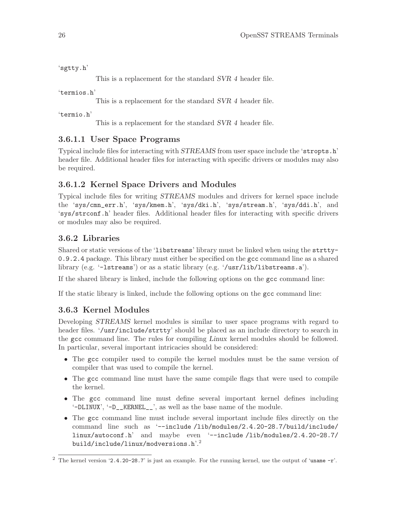<span id="page-35-0"></span>'sgtty.h'

This is a replacement for the standard SVR 4 header file.

'termios.h'

This is a replacement for the standard SVR 4 header file.

'termio.h'

This is a replacement for the standard SVR 4 header file.

## 3.6.1.1 User Space Programs

Typical include files for interacting with STREAMS from user space include the 'stropts.h' header file. Additional header files for interacting with specific drivers or modules may also be required.

## 3.6.1.2 Kernel Space Drivers and Modules

Typical include files for writing STREAMS modules and drivers for kernel space include the 'sys/cmn\_err.h', 'sys/kmem.h', 'sys/dki.h', 'sys/stream.h', 'sys/ddi.h', and 'sys/strconf.h' header files. Additional header files for interacting with specific drivers or modules may also be required.

## 3.6.2 Libraries

Shared or static versions of the 'libstreams' library must be linked when using the strtty-0.9.2.4 package. This library must either be specified on the gcc command line as a shared library (e.g. '-lstreams') or as a static library (e.g. '/usr/lib/libstreams.a').

If the shared library is linked, include the following options on the gcc command line:

If the static library is linked, include the following options on the gcc command line:

## 3.6.3 Kernel Modules

Developing STREAMS kernel modules is similar to user space programs with regard to header files. '/usr/include/strtty' should be placed as an include directory to search in the gcc command line. The rules for compiling Linux kernel modules should be followed. In particular, several important intricacies should be considered:

- The gcc compiler used to compile the kernel modules must be the same version of compiler that was used to compile the kernel.
- The gcc command line must have the same compile flags that were used to compile the kernel.
- The gcc command line must define several important kernel defines including '-DLINUX', '-D\_\_KERNEL\_\_', as well as the base name of the module.
- The gcc command line must include several important include files directly on the command line such as '--include /lib/modules/2.4.20-28.7/build/include/ linux/autoconf.h' and maybe even '--include /lib/modules/2.4.20-28.7/ build/include/linux/modversions.h'.<sup>2</sup>

<sup>2</sup> The kernel version '2.4.20-28.7' is just an example. For the running kernel, use the output of 'uname -r'.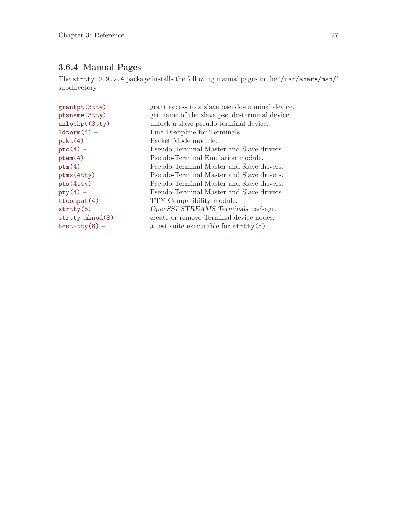## 3.6.4 Manual Pages

The strtty-0.9.2.4 package installs the following manual pages in the '/usr/share/man/' subdirectory:

| $grantpt(3tty) -$         | grant access to a slave pseudo-terminal device.  |
|---------------------------|--------------------------------------------------|
| $pt$ sname $(3$ tty $)$ - | get name of the slave pseudo-terminal device.    |
| $unlockpt(3tty) -$        | unlock a slave pseudo-terminal device.           |
| $ldterm(4)$ -             | Line Discipline for Terminals.                   |
| $pckt(4) -$               | Packet Mode module.                              |
| $ptc(4) -$                | Pseudo-Terminal Master and Slave drivers.        |
| $ptem(4) -$               | Pseudo-Terminal Emulation module.                |
| $ptm(4) -$                | Pseudo-Terminal Master and Slave drivers.        |
| $ptmx(4tty) -$            | Pseudo-Terminal Master and Slave drivers.        |
| $pts(4tty) -$             | Pseudo-Terminal Master and Slave drivers.        |
| $pty(4) -$                | Pseudo-Terminal Master and Slave drivers.        |
| $ttcompat(4) -$           | TTY Compatibility module.                        |
| $strtry(5) -$             | OpenSS7 STREAMS Terminals package.               |
| $strtry_mknod(8)$ -       | create or remove Terminal device nodes.          |
| $test-tty(8)$ -           | a test suite executable for $\text{strity}(5)$ . |
|                           |                                                  |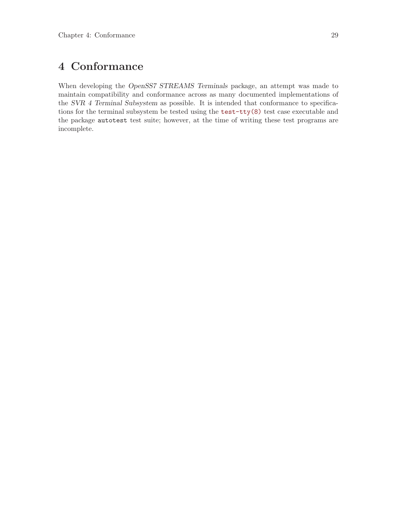# 4 Conformance

When developing the OpenSS7 STREAMS Terminals package, an attempt was made to maintain compatibility and conformance across as many documented implementations of the SVR 4 Terminal Subsystem as possible. It is intended that conformance to specifications for the terminal subsystem be tested using the [test-tty\(8\)](http://www.openss7.org/man2html?test-tty(8)) test case executable and the package autotest test suite; however, at the time of writing these test programs are incomplete.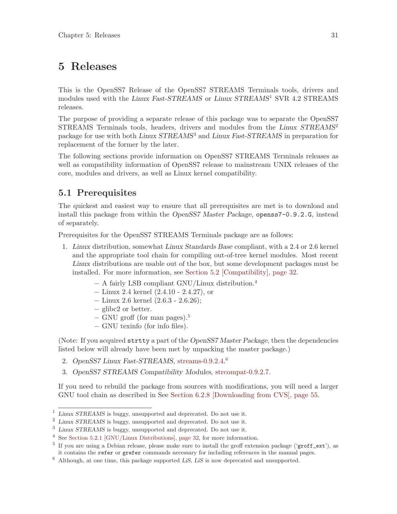# <span id="page-40-0"></span>5 Releases

This is the OpenSS7 Release of the OpenSS7 STREAMS Terminals tools, drivers and modules used with the Linux Fast-STREAMS or Linux STREAMS<sup>1</sup> SVR 4.2 STREAMS releases.

The purpose of providing a separate release of this package was to separate the OpenSS7 STREAMS Terminals tools, headers, drivers and modules from the Linux STREAMS<sup>2</sup> package for use with both Linux STREAMS<sup>3</sup> and Linux Fast-STREAMS in preparation for replacement of the former by the later.

The following sections provide information on OpenSS7 STREAMS Terminals releases as well as compatibility information of OpenSS7 release to mainstream UNIX releases of the core, modules and drivers, as well as Linux kernel compatibility.

## 5.1 Prerequisites

The quickest and easiest way to ensure that all prerequisites are met is to download and install this package from within the OpenSS7 Master Package, openss7-0.9.2.G, instead of separately.

Prerequisites for the OpenSS7 STREAMS Terminals package are as follows:

- 1. Linux distribution, somewhat Linux Standards Base compliant, with a 2.4 or 2.6 kernel and the appropriate tool chain for compiling out-of-tree kernel modules. Most recent Linux distributions are usable out of the box, but some development packages must be installed. For more information, see [Section 5.2 \[Compatibility\], page 32](#page-41-0).
	- − A fairly LSB compliant GNU/Linux distribution.<sup>4</sup>
	- − Linux 2.4 kernel (2.4.10 2.4.27), or
	- − Linux 2.6 kernel (2.6.3 2.6.26);
	- − glibc2 or better.
	- − GNU groff (for man pages).<sup>5</sup>
	- − GNU texinfo (for info files).

(Note: If you acquired strtty a part of the OpenSS7 Master Package, then the dependencies listed below will already have been met by unpacking the master package.)

- 2. OpenSS7 Linux Fast-STREAMS, [streams-0.9.2.4.](http://www.openss7.org/tarballs/streams-0.9.2.4.tar.bz2) 6
- 3. OpenSS7 STREAMS Compatibility Modules, [strcompat-0.9.2.7.](http://www.openss7.org/tarballs/strcompat-0.9.2.7.tar.bz2)

If you need to rebuild the package from sources with modifications, you will need a larger GNU tool chain as described in See [Section 6.2.8 \[Downloading from CVS\], page 55](#page-64-0).

<sup>&</sup>lt;sup>1</sup> Linux STREAMS is buggy, unsupported and deprecated. Do not use it.

<sup>2</sup> Linux STREAMS is buggy, unsupported and deprecated. Do not use it.

<sup>3</sup> Linux STREAMS is buggy, unsupported and deprecated. Do not use it.

<sup>4</sup> See [Section 5.2.1 \[GNU/Linux Distributions\], page 32,](#page-41-1) for more information.

<sup>&</sup>lt;sup>5</sup> If you are using a Debian release, please make sure to install the groff extension package ('groff\_ext'), as it contains the refer or grefer commands necessary for including references in the manual pages.

<sup>6</sup> Although, at one time, this package supported LiS, LiS is now deprecated and unsupported.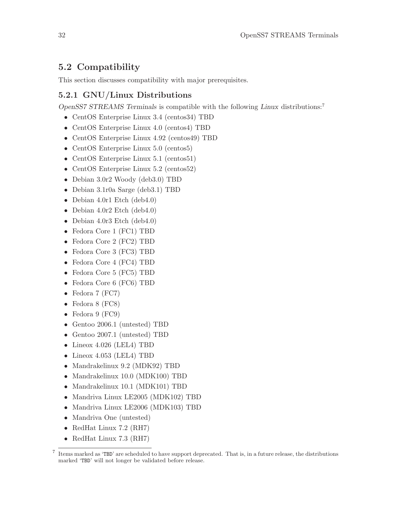## <span id="page-41-0"></span>5.2 Compatibility

This section discusses compatibility with major prerequisites.

## <span id="page-41-1"></span>5.2.1 GNU/Linux Distributions

OpenSS7 STREAMS Terminals is compatible with the following Linux distributions:<sup>7</sup>

- CentOS Enterprise Linux 3.4 (centos34) TBD
- CentOS Enterprise Linux 4.0 (centos4) TBD
- CentOS Enterprise Linux 4.92 (centos49) TBD
- CentOS Enterprise Linux 5.0 (centos5)
- CentOS Enterprise Linux 5.1 (centos51)
- CentOS Enterprise Linux 5.2 (centos52)
- Debian 3.0r2 Woody (deb3.0) TBD
- Debian 3.1r0a Sarge (deb3.1) TBD
- Debian 4.0r1 Etch (deb4.0)
- Debian 4.0r2 Etch (deb4.0)
- Debian 4.0r3 Etch (deb4.0)
- Fedora Core 1 (FC1) TBD
- Fedora Core 2 (FC2) TBD
- Fedora Core 3 (FC3) TBD
- Fedora Core 4 (FC4) TBD
- Fedora Core 5 (FC5) TBD
- Fedora Core 6 (FC6) TBD
- Fedora 7 (FC7)
- Fedora 8 (FC8)
- Fedora 9 (FC9)
- Gentoo 2006.1 (untested) TBD
- Gentoo 2007.1 (untested) TBD
- Lineox 4.026 (LEL4) TBD
- Lineox 4.053 (LEL4) TBD
- Mandrakelinux 9.2 (MDK92) TBD
- Mandrakelinux 10.0 (MDK100) TBD
- Mandrakelinux 10.1 (MDK101) TBD
- Mandriva Linux LE2005 (MDK102) TBD
- Mandriva Linux LE2006 (MDK103) TBD
- Mandriva One (untested)
- RedHat Linux 7.2 (RH7)
- RedHat Linux 7.3 (RH7)

<sup>7</sup> Items marked as 'TBD' are scheduled to have support deprecated. That is, in a future release, the distributions marked 'TBD' will not longer be validated before release.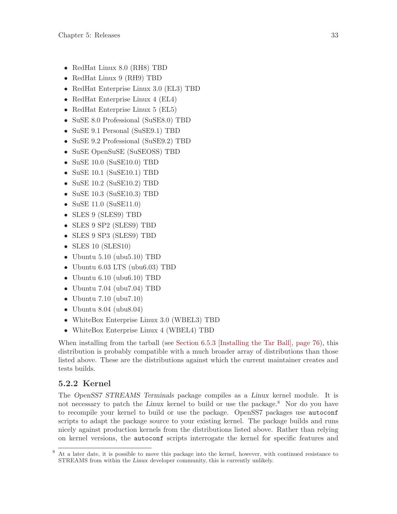- RedHat Linux 8.0 (RH8) TBD
- RedHat Linux 9 (RH9) TBD
- RedHat Enterprise Linux 3.0 (EL3) TBD
- RedHat Enterprise Linux 4 (EL4)
- RedHat Enterprise Linux 5 (EL5)
- SuSE 8.0 Professional (SuSE8.0) TBD
- SuSE 9.1 Personal (SuSE9.1) TBD
- SuSE 9.2 Professional (SuSE9.2) TBD
- SuSE OpenSuSE (SuSEOSS) TBD
- SuSE 10.0 (SuSE10.0) TBD
- SuSE 10.1 (SuSE10.1) TBD
- SuSE 10.2 (SuSE10.2) TBD
- SuSE 10.3 (SuSE10.3) TBD
- SuSE 11.0 (SuSE11.0)
- SLES 9 (SLES9) TBD
- SLES 9 SP2 (SLES9) TBD
- SLES 9 SP3 (SLES9) TBD
- SLES 10 (SLES10)
- Ubuntu 5.10 (ubu5.10) TBD
- Ubuntu 6.03 LTS (ubu6.03) TBD
- Ubuntu 6.10 (ubu6.10) TBD
- Ubuntu 7.04 (ubu7.04) TBD
- Ubuntu 7.10 (ubu7.10)
- Ubuntu 8.04 (ubu $8.04$ )
- WhiteBox Enterprise Linux 3.0 (WBEL3) TBD
- WhiteBox Enterprise Linux 4 (WBEL4) TBD

When installing from the tarball (see [Section 6.5.3 \[Installing the Tar Ball\], page 76](#page-85-0)), this distribution is probably compatible with a much broader array of distributions than those listed above. These are the distributions against which the current maintainer creates and tests builds.

## 5.2.2 Kernel

The OpenSS7 STREAMS Terminals package compiles as a Linux kernel module. It is not necessary to patch the Linux kernel to build or use the package.<sup>8</sup> Nor do you have to recompile your kernel to build or use the package. OpenSS7 packages use autoconf scripts to adapt the package source to your existing kernel. The package builds and runs nicely against production kernels from the distributions listed above. Rather than relying on kernel versions, the autoconf scripts interrogate the kernel for specific features and

<sup>8</sup> At a later date, it is possible to move this package into the kernel, however, with continued resistance to STREAMS from within the Linux developer community, this is currently unlikely.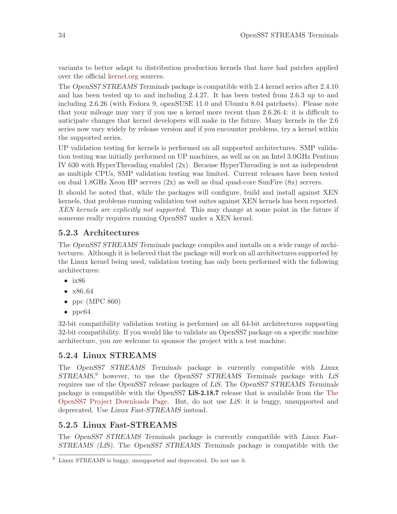variants to better adapt to distribution production kernels that have had patches applied over the official [kernel.org](http://www.kernel.org/) sources.

The OpenSS7 STREAMS Terminals package is compatible with 2.4 kernel series after 2.4.10 and has been tested up to and including 2.4.27. It has been tested from 2.6.3 up to and including 2.6.26 (with Fedora 9, openSUSE 11.0 and Ubuntu 8.04 patchsets). Please note that your mileage may vary if you use a kernel more recent than 2.6.26.4: it is difficult to anticipate changes that kernel developers will make in the future. Many kernels in the 2.6 series now vary widely by release version and if you encounter problems, try a kernel within the supported series.

UP validation testing for kernels is performed on all supported architectures. SMP validation testing was initially performed on UP machines, as well as on an Intel 3.0GHz Pentium IV 630 with HyperThreading enabled (2x). Because HyperThreading is not as independent as multiple CPUs, SMP validation testing was limited. Current releases have been tested on dual  $1.8\text{GHz}$  Xeon HP servers  $(2x)$  as well as dual quad-core SunFire  $(8x)$  servers.

It should be noted that, while the packages will configure, build and install against XEN kernels, that problems running validation test suites against XEN kernels has been reported. XEN kernels are explicitly not supported. This may change at some point in the future if someone really requires running OpenSS7 under a XEN kernel.

## 5.2.3 Architectures

The OpenSS7 STREAMS Terminals package compiles and installs on a wide range of architectures. Although it is believed that the package will work on all architectures supported by the Linux kernel being used, validation testing has only been performed with the following architectures:

- $\bullet$  ix86
- $x86.64$
- ppc (MPC  $860$ )
- ppc<sub>64</sub>

32-bit compatibility validation testing is performed on all 64-bit architectures supporting 32-bit compatibility. If you would like to validate an OpenSS7 package on a specific machine architecture, you are welcome to sponsor the project with a test machine.

## 5.2.4 Linux STREAMS

The OpenSS7 STREAMS Terminals package is currently compatible with Linux STREAMS, <sup>9</sup> however, to use the OpenSS7 STREAMS Terminals package with LiS requires use of the OpenSS7 release packages of LiS. The OpenSS7 STREAMS Terminals package is compatible with the OpenSS7 LiS-2.18.7 release that is available from the [The](http://www.openss7.org/download.html) [OpenSS7 Project Downloads Page](http://www.openss7.org/download.html). But, do not use LiS: it is buggy, unsupported and deprecated. Use Linux Fast-STREAMS instead.

## 5.2.5 Linux Fast-STREAMS

The OpenSS7 STREAMS Terminals package is currently compatible with Linux Fast-STREAMS (LfS). The OpenSS7 STREAMS Terminals package is compatible with the

 $9$  Linux STREAMS is buggy, unsupported and deprecated. Do not use it.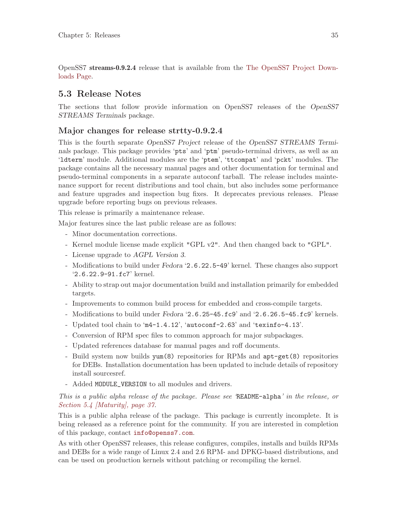OpenSS7 streams-0.9.2.4 release that is available from the [The OpenSS7 Project Down](http://www.openss7.org/download.html)[loads Page.](http://www.openss7.org/download.html)

## 5.3 Release Notes

The sections that follow provide information on OpenSS7 releases of the OpenSS7 STREAMS Terminals package.

## Major changes for release strtty-0.9.2.4

This is the fourth separate OpenSS7 Project release of the OpenSS7 STREAMS Terminals package. This package provides 'pts' and 'ptm' pseudo-terminal drivers, as well as an 'ldterm' module. Additional modules are the 'ptem', 'ttcompat' and 'pckt' modules. The package contains all the necessary manual pages and other documentation for terminal and pseudo-terminal components in a separate autoconf tarball. The release includes maintenance support for recent distributions and tool chain, but also includes some performance and feature upgrades and inspection bug fixes. It deprecates previous releases. Please upgrade before reporting bugs on previous releases.

This release is primarily a maintenance release.

Major features since the last public release are as follows:

- Minor documentation corrections.
- Kernel module license made explicit "GPL v2". And then changed back to "GPL".
- License upgrade to AGPL Version 3.
- Modifications to build under Fedora '2.6.22.5-49' kernel. These changes also support '2.6.22.9-91.fc7' kernel.
- Ability to strap out major documentation build and installation primarily for embedded targets.
- Improvements to common build process for embedded and cross-compile targets.
- Modifications to build under Fedora '2.6.25-45.fc9' and '2.6.26.5-45.fc9' kernels.
- Updated tool chain to 'm4-1.4.12', 'autoconf-2.63' and 'texinfo-4.13'.
- Conversion of RPM spec files to common approach for major subpackages.
- Updated references database for manual pages and roff documents.
- Build system now builds yum(8) repositories for RPMs and apt-get(8) repositories for DEBs. Installation documentation has been updated to include details of repository install sourcesref.
- Added MODULE\_VERSION to all modules and drivers.

This is a public alpha release of the package. Please see 'README-alpha' in the release, or [Section 5.4 \[Maturity\], page 37.](#page-46-0)

This is a public alpha release of the package. This package is currently incomplete. It is being released as a reference point for the community. If you are interested in completion of this package, contact [info@openss7.com](mailto:info@openss7.com).

As with other OpenSS7 releases, this release configures, compiles, installs and builds RPMs and DEBs for a wide range of Linux 2.4 and 2.6 RPM- and DPKG-based distributions, and can be used on production kernels without patching or recompiling the kernel.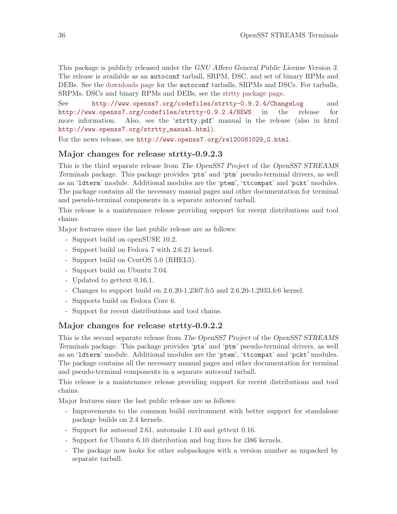This package is publicly released under the GNU Affero General Public License Version 3. The release is available as an autoconf tarball, SRPM, DSC, and set of binary RPMs and DEBs. See the [downloads page](http://www.openss7.org/download.html) for the autoconf tarballs, SRPMs and DSCs. For tarballs, SRPMs, DSCs and binary RPMs and DEBs, see the [strtty package page](http://www.openss7.org/strtty_pkg.html).

See <http://www.openss7.org/codefiles/strtty-0.9.2.4/ChangeLog> and <http://www.openss7.org/codefiles/strtty-0.9.2.4/NEWS> in the release for more information. Also, see the 'strtty.pdf' manual in the release (also in html [http://www.openss7.org/strtty\\_manual.html](http://www.openss7.org/strtty_manual.html)).

For the news release, see [http://www.openss7.org/rel20081029\\_G.html](http://www.openss7.org/rel20081029_G.html).

## Major changes for release strtty-0.9.2.3

This is the third separate release from The OpenSS7 Project of the OpenSS7 STREAMS Terminals package. This package provides 'pts' and 'ptm' pseudo-terminal drivers, as well as an 'ldterm' module. Additional modules are the 'ptem', 'ttcompat' and 'pckt' modules. The package contains all the necessary manual pages and other documentation for terminal and pseudo-terminal components in a separate autoconf tarball.

This release is a maintenance release providing support for recent distributions and tool chains.

Major features since the last public release are as follows:

- Support build on openSUSE 10.2.
- Support build on Fedora 7 with 2.6.21 kernel.
- Support build on CentOS 5.0 (RHEL5).
- Support build on Ubuntu 7.04.
- Updated to gettext 0.16.1.
- Changes to support build on 2.6.20-1.2307.fc5 and 2.6.20-1.2933.fc6 kernel.
- Supports build on Fedora Core 6.
- Support for recent distributions and tool chains.

## Major changes for release strtty-0.9.2.2

This is the second separate release from The OpenSS7 Project of the OpenSS7 STREAMS Terminals package. This package provides 'pts' and 'ptm' pseudo-terminal drivers, as well as an 'ldterm' module. Additional modules are the 'ptem', 'ttcompat' and 'pckt' modules. The package contains all the necessary manual pages and other documentation for terminal and pseudo-terminal components in a separate autoconf tarball.

This release is a maintenance release providing support for recent distributions and tool chains.

Major features since the last public release are as follows:

- Improvements to the common build environment with better support for standalone package builds on 2.4 kernels.
- Support for autoconf 2.61, automake 1.10 and gettext 0.16.
- Support for Ubuntu 6.10 distribution and bug fixes for i386 kernels.
- The package now looks for other subpackages with a version number as unpacked by separate tarball.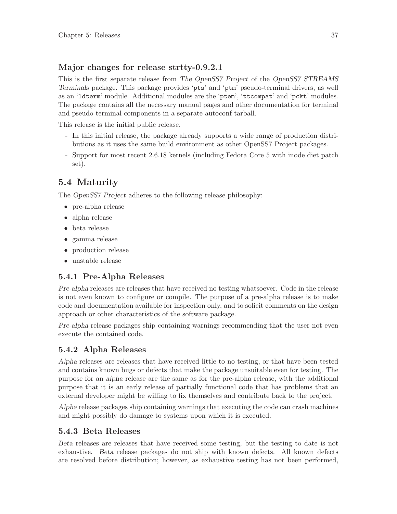## Major changes for release strtty-0.9.2.1

This is the first separate release from The OpenSS7 Project of the OpenSS7 STREAMS Terminals package. This package provides 'pts' and 'ptm' pseudo-terminal drivers, as well as an 'ldterm' module. Additional modules are the 'ptem', 'ttcompat' and 'pckt' modules. The package contains all the necessary manual pages and other documentation for terminal and pseudo-terminal components in a separate autoconf tarball.

This release is the initial public release.

- In this initial release, the package already supports a wide range of production distributions as it uses the same build environment as other OpenSS7 Project packages.
- Support for most recent 2.6.18 kernels (including Fedora Core 5 with inode diet patch set).

## <span id="page-46-0"></span>5.4 Maturity

The OpenSS7 Project adheres to the following release philosophy:

- pre-alpha release
- alpha release
- beta release
- gamma release
- production release
- unstable release

## 5.4.1 Pre-Alpha Releases

Pre-alpha releases are releases that have received no testing whatsoever. Code in the release is not even known to configure or compile. The purpose of a pre-alpha release is to make code and documentation available for inspection only, and to solicit comments on the design approach or other characteristics of the software package.

Pre-alpha release packages ship containing warnings recommending that the user not even execute the contained code.

## 5.4.2 Alpha Releases

Alpha releases are releases that have received little to no testing, or that have been tested and contains known bugs or defects that make the package unsuitable even for testing. The purpose for an alpha release are the same as for the pre-alpha release, with the additional purpose that it is an early release of partially functional code that has problems that an external developer might be willing to fix themselves and contribute back to the project.

Alpha release packages ship containing warnings that executing the code can crash machines and might possibly do damage to systems upon which it is executed.

## 5.4.3 Beta Releases

Beta releases are releases that have received some testing, but the testing to date is not exhaustive. Beta release packages do not ship with known defects. All known defects are resolved before distribution; however, as exhaustive testing has not been performed,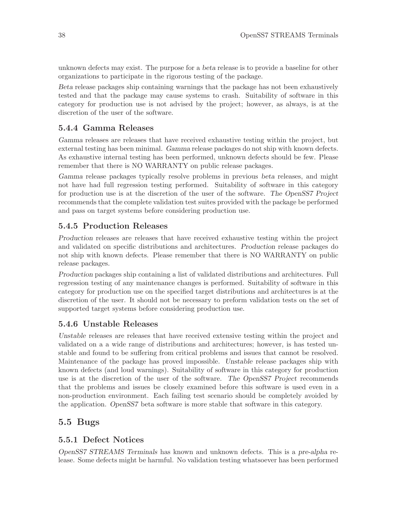unknown defects may exist. The purpose for a beta release is to provide a baseline for other organizations to participate in the rigorous testing of the package.

Beta release packages ship containing warnings that the package has not been exhaustively tested and that the package may cause systems to crash. Suitability of software in this category for production use is not advised by the project; however, as always, is at the discretion of the user of the software.

## 5.4.4 Gamma Releases

Gamma releases are releases that have received exhaustive testing within the project, but external testing has been minimal. Gamma release packages do not ship with known defects. As exhaustive internal testing has been performed, unknown defects should be few. Please remember that there is NO WARRANTY on public release packages.

Gamma release packages typically resolve problems in previous beta releases, and might not have had full regression testing performed. Suitability of software in this category for production use is at the discretion of the user of the software. The OpenSS7 Project recommends that the complete validation test suites provided with the package be performed and pass on target systems before considering production use.

## 5.4.5 Production Releases

Production releases are releases that have received exhaustive testing within the project and validated on specific distributions and architectures. Production release packages do not ship with known defects. Please remember that there is NO WARRANTY on public release packages.

Production packages ship containing a list of validated distributions and architectures. Full regression testing of any maintenance changes is performed. Suitability of software in this category for production use on the specified target distributions and architectures is at the discretion of the user. It should not be necessary to preform validation tests on the set of supported target systems before considering production use.

## 5.4.6 Unstable Releases

Unstable releases are releases that have received extensive testing within the project and validated on a a wide range of distributions and architectures; however, is has tested unstable and found to be suffering from critical problems and issues that cannot be resolved. Maintenance of the package has proved impossible. Unstable release packages ship with known defects (and loud warnings). Suitability of software in this category for production use is at the discretion of the user of the software. The OpenSS7 Project recommends that the problems and issues be closely examined before this software is used even in a non-production environment. Each failing test scenario should be completely avoided by the application. OpenSS7 beta software is more stable that software in this category.

## 5.5 Bugs

## 5.5.1 Defect Notices

OpenSS7 STREAMS Terminals has known and unknown defects. This is a pre-alpha release. Some defects might be harmful. No validation testing whatsoever has been performed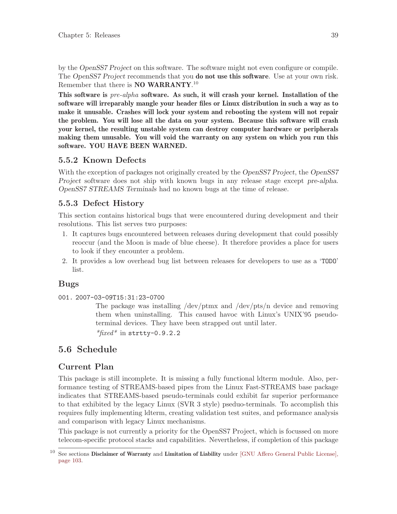by the OpenSS7 Project on this software. The software might not even configure or compile. The OpenSS7 Project recommends that you **do not use this software**. Use at your own risk. Remember that there is **NO WARRANTY**.<sup>10</sup>

This software is pre-alpha software. As such, it will crash your kernel. Installation of the software will irreparably mangle your header files or Linux distribution in such a way as to make it unusable. Crashes will lock your system and rebooting the system will not repair the problem. You will lose all the data on your system. Because this software will crash your kernel, the resulting unstable system can destroy computer hardware or peripherals making them unusable. You will void the warranty on any system on which you run this software. YOU HAVE BEEN WARNED.

## 5.5.2 Known Defects

With the exception of packages not originally created by the *OpenSS7 Project*, the *OpenSS7* Project software does not ship with known bugs in any release stage except pre-alpha. OpenSS7 STREAMS Terminals had no known bugs at the time of release.

## 5.5.3 Defect History

This section contains historical bugs that were encountered during development and their resolutions. This list serves two purposes:

- 1. It captures bugs encountered between releases during development that could possibly reoccur (and the Moon is made of blue cheese). It therefore provides a place for users to look if they encounter a problem.
- 2. It provides a low overhead bug list between releases for developers to use as a 'TODO' list.

## Bugs

001. 2007-03-09T15:31:23-0700

The package was installing /dev/ptmx and /dev/pts/n device and removing them when uninstalling. This caused havoc with Linux's UNIX'95 pseudoterminal devices. They have been strapped out until later.

\*fixed\* in strtty-0.9.2.2

## 5.6 Schedule

## Current Plan

This package is still incomplete. It is missing a fully functional ldterm module. Also, performance testing of STREAMS-based pipes from the Linux Fast-STREAMS base package indicates that STREAMS-based pseudo-terminals could exhibit far superior performance to that exhibited by the legacy Linux (SVR 3 style) pseduo-terminals. To accomplish this requires fully implementing ldterm, creating validation test suites, and peformance analysis and comparison with legacy Linux mechanisms.

This package is not currently a priority for the OpenSS7 Project, which is focussed on more telecom-specific protocol stacks and capabilities. Nevertheless, if completion of this package

 $10$  See sections Disclaimer of Warranty and Limitation of Liability under [\[GNU Affero General Public License\],](#page-112-0) [page 103](#page-112-0).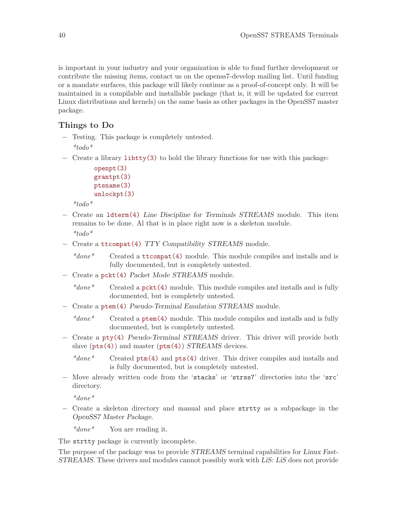is important in your industry and your organization is able to fund further development or contribute the missing items, contact us on the openss7-develop mailing list. Until funding or a mandate surfaces, this package will likely continue as a proof-of-concept only. It will be maintained in a compilable and installable package (that is, it will be updated for current Linux distributions and kernels) on the same basis as other packages in the OpenSS7 master package.

## Things to Do

- − Testing. This package is completely untested.  $*_{todo}*$
- − Create a library [libtty\(3\)](http://www.openss7.org/man2html?libtty(3)) to hold the library functions for use with this package:

```
openpt(3)
grantpt(3)
ptsname(3)
unlockpt(3)
```
 $*_{todo}*$ 

- − Create an [ldterm\(4\)](http://www.openss7.org/man2html?ldterm(4)) Line Discipline for Terminals STREAMS module. This item remains to be done. Al that is in place right now is a skeleton module.  $*_{todo}*$
- − Create a [ttcompat\(4\)](http://www.openss7.org/man2html?ttcompat(4)) TTY Compatibility STREAMS module.
	- $*done*$  Created a [ttcompat\(4\)](http://www.openss7.org/man2html?ttcompat(4)) module. This module compiles and installs and is fully documented, but is completely untested.
- − Create a [pckt\(4\)](http://www.openss7.org/man2html?pckt(4)) Packet Mode STREAMS module.
	- \*done\* Created a  $pclt(4)$  module. This module compiles and installs and is fully documented, but is completely untested.
- − Create a [ptem\(4\)](http://www.openss7.org/man2html?ptem(4)) Pseudo-Terminal Emulation STREAMS module.

 $*done*$  Created a [ptem\(4\)](http://www.openss7.org/man2html?ptem(4)) module. This module compiles and installs and is fully documented, but is completely untested.

− Create a [pty\(4\)](http://www.openss7.org/man2html?pty(4)) Pseudo-Terminal STREAMS driver. This driver will provide both slave  $(pts(4))$  $(pts(4))$  $(pts(4))$  and master  $(ptm(4))$  $(ptm(4))$  $(ptm(4))$  STREAMS devices.

```
*done* Created ptm(4) and pts(4) driver. This driver compiles and installs and
           is fully documented, but is completely untested.
```
− Move already written code from the 'stacks' or 'strss7' directories into the 'src' directory.

 $*_{done}*$ 

− Create a skeleton directory and manual and place strtty as a subpackage in the OpenSS7 Master Package.

\*done\* You are reading it.

The strtty package is currently incomplete.

The purpose of the package was to provide  $STREAMS$  terminal capabilities for Linux Fast-STREAMS. These drivers and modules cannot possibly work with LiS: LiS does not provide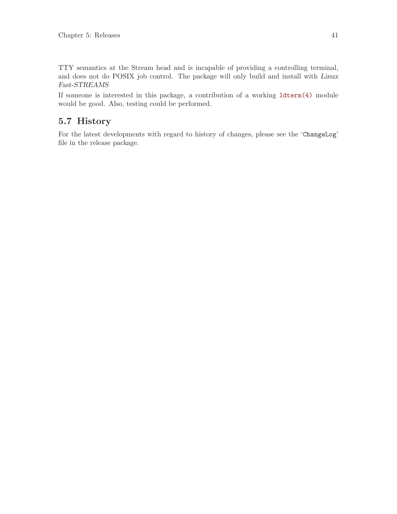TTY semantics at the Stream head and is incapable of providing a controlling terminal, and does not do POSIX job control. The package will only build and install with Linux Fast-STREAMS

If someone is interested in this package, a contribution of a working [ldterm\(4\)](http://www.openss7.org/man2html?ldterm(4)) module would be good. Also, testing could be performed.

## 5.7 History

For the latest developments with regard to history of changes, please see the 'ChangeLog' file in the release package.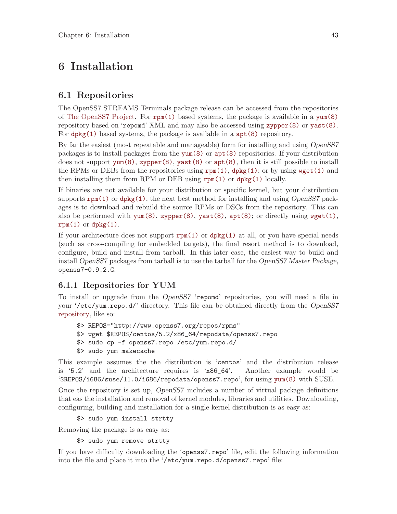# 6 Installation

## 6.1 Repositories

The OpenSS7 STREAMS Terminals package release can be accessed from the repositories of [The OpenSS7 Project.](http://www.openss7.org/repos) For  $rpm(1)$  based systems, the package is available in a [yum\(8\)](http://www.openss7.org/man2html?yum(8)) repository based on 'repomd' XML and may also be accessed using [zypper\(8\)](http://www.openss7.org/man2html?zypper(8)) or [yast\(8\)](http://www.openss7.org/man2html?yast(8)). For [dpkg\(1\)](http://www.openss7.org/man2html?dpkg(1)) based systems, the package is available in a  $apt(8)$  repository.

By far the easiest (most repeatable and manageable) form for installing and using OpenSS7 packages is to install packages from the [yum\(8\)](http://www.openss7.org/man2html?yum(8)) or [apt\(8\)](http://www.openss7.org/man2html?apt(8)) repositories. If your distribution does not support  $\text{yum}(8)$ ,  $\text{xypper}(8)$ ,  $\text{yast}(8)$  or  $\text{apt}(8)$ , then it is still possible to install the RPMs or DEBs from the repositories using  $\text{rpm}(1)$ ,  $\text{dpkg}(1)$ ; or by using  $\text{wget}(1)$  and then installing them from RPM or DEB using  $rpm(1)$  or  $dpkg(1)$  locally.

If binaries are not available for your distribution or specific kernel, but your distribution supports  $\text{rpm}(1)$  or  $\text{dpkg}(1)$ , the next best method for installing and using *OpenSS7* packages is to download and rebuild the source RPMs or DSCs from the repository. This can also be performed with  $\text{num}(8)$ ,  $\text{xypper}(8)$ ,  $\text{yast}(8)$ ,  $\text{apt}(8)$ ; or directly using  $\text{wget}(1)$ ,  $rpm(1)$  or  $dpkg(1)$ .

If your architecture does not support  $\text{rpm}(1)$  or  $\text{dpkg}(1)$  at all, or you have special needs (such as cross-compiling for embedded targets), the final resort method is to download, configure, build and install from tarball. In this later case, the easiest way to build and install OpenSS7 packages from tarball is to use the tarball for the OpenSS7 Master Package, openss7-0.9.2.G.

## 6.1.1 Repositories for YUM

To install or upgrade from the OpenSS7 'repomd' repositories, you will need a file in your '/etc/yum.repo.d/' directory. This file can be obtained directly from the OpenSS7 [repository](http://www.openss7.org/repos), like so:

```
$> REPOS="http://www.openss7.org/repos/rpms"
$> wget $REPOS/centos/5.2/x86_64/repodata/openss7.repo
$> sudo cp -f openss7.repo /etc/yum.repo.d/
$> sudo yum makecache
```
This example assumes the the distribution is 'centos' and the distribution release is '5.2' and the architecture requires is 'x86\_64'. Another example would be '\$REPOS/i686/suse/11.0/i686/repodata/openss7.repo', for using [yum\(8\)](http://www.openss7.org/man2html?yum(8)) with SUSE.

Once the repository is set up, OpenSS7 includes a number of virtual package definitions that eas the installation and removal of kernel modules, libraries and utilities. Downloading, configuring, building and installation for a single-kernel distribution is as easy as:

\$> sudo yum install strtty

Removing the package is as easy as:

\$> sudo yum remove strtty

If you have difficulty downloading the 'openss7.repo' file, edit the following information into the file and place it into the '/etc/yum.repo.d/openss7.repo' file: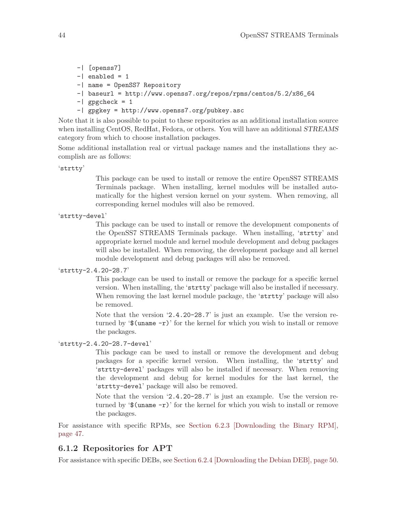- -| [openss7]
- $-$ | enabled = 1
- -| name = OpenSS7 Repository
- -| baseurl = http://www.openss7.org/repos/rpms/centos/5.2/x86\_64
- $-$ | gpgcheck = 1
- -| gpgkey = http://www.openss7.org/pubkey.asc

Note that it is also possible to point to these repositories as an additional installation source when installing CentOS, RedHat, Fedora, or others. You will have an additional *STREAMS* category from which to choose installation packages.

Some additional installation real or virtual package names and the installations they accomplish are as follows:

'strtty'

This package can be used to install or remove the entire OpenSS7 STREAMS Terminals package. When installing, kernel modules will be installed automatically for the highest version kernel on your system. When removing, all corresponding kernel modules will also be removed.

```
'strtty-devel'
```
This package can be used to install or remove the development components of the OpenSS7 STREAMS Terminals package. When installing, 'strtty' and appropriate kernel module and kernel module development and debug packages will also be installed. When removing, the development package and all kernel module development and debug packages will also be removed.

```
'strtty-2.4.20-28.7'
```
This package can be used to install or remove the package for a specific kernel version. When installing, the 'strtty' package will also be installed if necessary. When removing the last kernel module package, the 'strtty' package will also be removed.

Note that the version '2.4.20-28.7' is just an example. Use the version returned by  $\mathcal{L}$  (uname  $-r$ ) for the kernel for which you wish to install or remove the packages.

'strtty-2.4.20-28.7-devel'

This package can be used to install or remove the development and debug packages for a specific kernel version. When installing, the 'strtty' and 'strtty-devel' packages will also be installed if necessary. When removing the development and debug for kernel modules for the last kernel, the 'strtty-devel' package will also be removed.

Note that the version '2.4.20-28.7' is just an example. Use the version returned by  $\mathcal{L}(\mathbf{v}) = -\mathbf{r}'$  for the kernel for which you wish to install or remove the packages.

For assistance with specific RPMs, see [Section 6.2.3 \[Downloading the Binary RPM\],](#page-56-0) [page 47](#page-56-0).

## 6.1.2 Repositories for APT

For assistance with specific DEBs, see [Section 6.2.4 \[Downloading the Debian DEB\], page 50.](#page-59-0)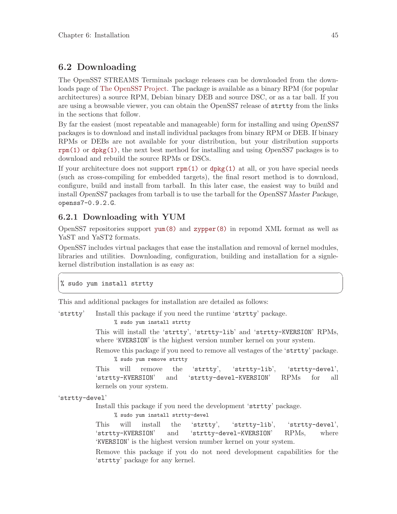## 6.2 Downloading

The OpenSS7 STREAMS Terminals package releases can be downloaded from the downloads page of [The OpenSS7 Project](http://www.openss7.org/download.html). The package is available as a binary RPM (for popular architectures) a source RPM, Debian binary DEB and source DSC, or as a tar ball. If you are using a browsable viewer, you can obtain the OpenSS7 release of strtty from the links in the sections that follow.

By far the easiest (most repeatable and manageable) form for installing and using OpenSS7 packages is to download and install individual packages from binary RPM or DEB. If binary RPMs or DEBs are not available for your distribution, but your distribution supports  $rpm(1)$  or dpkg $(1)$ , the next best method for installing and using *OpenSS7* packages is to download and rebuild the source RPMs or DSCs.

If your architecture does not support  $\text{rpm}(1)$  or  $\text{dpkg}(1)$  at all, or you have special needs (such as cross-compiling for embedded targets), the final resort method is to download, configure, build and install from tarball. In this later case, the easiest way to build and install OpenSS7 packages from tarball is to use the tarball for the OpenSS7 Master Package, openss7-0.9.2.G.

## 6.2.1 Downloading with YUM

OpenSS7 repositories support  $\text{yum}(8)$  and  $\text{zypper}(8)$  in repomd XML format as well as YaST and YaST2 formats.

OpenSS7 includes virtual packages that ease the installation and removal of kernel modules, libraries and utilities. Downloading, configuration, building and installation for a signlekernel distribution installation is as easy as:

 $\sqrt{2\pi}$ 

✡ ✠

```
% sudo yum install strtty
```
This and additional packages for installation are detailed as follows:

'strtty' Install this package if you need the runtime 'strtty' package.

% sudo yum install strtty

This will install the 'strtty', 'strtty-lib' and 'strtty-KVERSION' RPMs, where 'KVERSION' is the highest version number kernel on your system.

Remove this package if you need to remove all vestages of the 'strtty' package. % sudo yum remove strtty

This will remove the 'strtty', 'strtty-lib', 'strtty-devel', 'strtty-KVERSION' and 'strtty-devel-KVERSION' RPMs for all kernels on your system.

'strtty-devel'

Install this package if you need the development 'strtty' package.

% sudo yum install strtty-devel

This will install the 'strtty', 'strtty-lib', 'strtty-devel', 'strtty-KVERSION' and 'strtty-devel-KVERSION' RPMs, where 'KVERSION' is the highest version number kernel on your system.

Remove this package if you do not need development capabilities for the 'strtty' package for any kernel.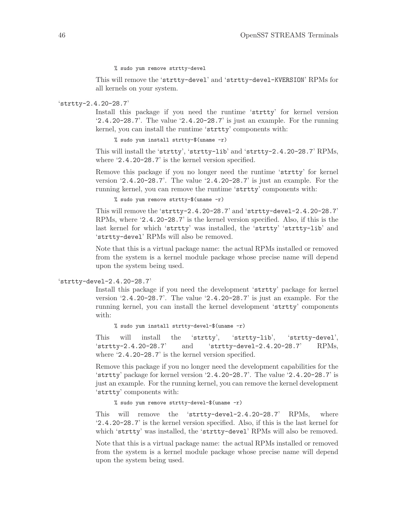% sudo yum remove strtty-devel

This will remove the 'strtty-devel' and 'strtty-devel-KVERSION' RPMs for all kernels on your system.

#### 'strtty-2.4.20-28.7'

Install this package if you need the runtime 'strtty' for kernel version '2.4.20-28.7'. The value '2.4.20-28.7' is just an example. For the running kernel, you can install the runtime 'strtty' components with:

% sudo yum install strtty-\$(uname -r)

This will install the 'strtty', 'strtty-lib' and 'strtty-2.4.20-28.7' RPMs, where '2.4.20-28.7' is the kernel version specified.

Remove this package if you no longer need the runtime 'strtty' for kernel version '2.4.20-28.7'. The value '2.4.20-28.7' is just an example. For the running kernel, you can remove the runtime 'strtty' components with:

% sudo yum remove strtty-\$(uname -r)

This will remove the 'strtty-2.4.20-28.7' and 'strtty-devel-2.4.20-28.7' RPMs, where '2.4.20-28.7' is the kernel version specified. Also, if this is the last kernel for which 'strtty' was installed, the 'strtty' 'strtty-lib' and 'strtty-devel' RPMs will also be removed.

Note that this is a virtual package name: the actual RPMs installed or removed from the system is a kernel module package whose precise name will depend upon the system being used.

#### 'strtty-devel-2.4.20-28.7'

Install this package if you need the development 'strtty' package for kernel version '2.4.20-28.7'. The value '2.4.20-28.7' is just an example. For the running kernel, you can install the kernel development 'strtty' components with:

% sudo yum install strtty-devel-\$(uname -r)

This will install the 'strtty', 'strtty-lib', 'strtty-devel', 'strtty-2.4.20-28.7' and 'strtty-devel-2.4.20-28.7' RPMs, where '2.4.20-28.7' is the kernel version specified.

Remove this package if you no longer need the development capabilities for the 'strtty' package for kernel version '2.4.20-28.7'. The value '2.4.20-28.7' is just an example. For the running kernel, you can remove the kernel development 'strtty' components with:

% sudo yum remove strtty-devel-\$(uname -r)

This will remove the 'strtty-devel-2.4.20-28.7' RPMs, where '2.4.20-28.7' is the kernel version specified. Also, if this is the last kernel for which 'strtty' was installed, the 'strtty-devel' RPMs will also be removed.

Note that this is a virtual package name: the actual RPMs installed or removed from the system is a kernel module package whose precise name will depend upon the system being used.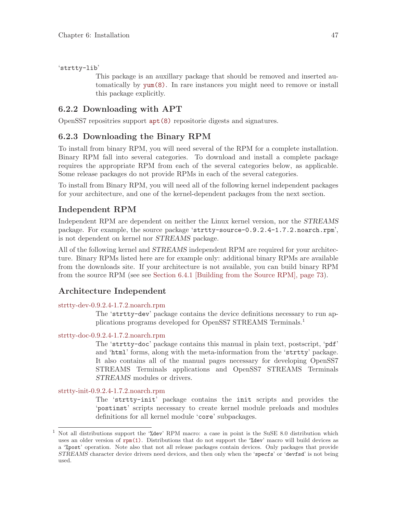'strtty-lib'

This package is an auxillary package that should be removed and inserted automatically by [yum\(8\)](http://www.openss7.org/man2html?yum(8)). In rare instances you might need to remove or install this package explicitly.

## 6.2.2 Downloading with APT

OpenSS7 repositries support [apt\(8\)](http://www.openss7.org/man2html?apt(8)) repositorie digests and signatures.

## <span id="page-56-0"></span>6.2.3 Downloading the Binary RPM

To install from binary RPM, you will need several of the RPM for a complete installation. Binary RPM fall into several categories. To download and install a complete package requires the appropriate RPM from each of the several categories below, as applicable. Some release packages do not provide RPMs in each of the several categories.

To install from Binary RPM, you will need all of the following kernel independent packages for your architecture, and one of the kernel-dependent packages from the next section.

## Independent RPM

Independent RPM are dependent on neither the Linux kernel version, nor the STREAMS package. For example, the source package 'strtty-source-0.9.2.4-1.7.2.noarch.rpm', is not dependent on kernel nor STREAMS package.

All of the following kernel and STREAMS independent RPM are required for your architecture. Binary RPMs listed here are for example only: additional binary RPMs are available from the downloads site. If your architecture is not available, you can build binary RPM from the source RPM (see see [Section 6.4.1 \[Building from the Source RPM\], page 73](#page-82-0)).

## Architecture Independent

### [strtty-dev-0.9.2.4-1.7.2.noarch.rpm](http://www.openss7.org/rpms/RPMS/noarch/strtty-dev-0.9.2.4-1.7.2.noarch.rpm)

The 'strtty-dev' package contains the device definitions necessary to run applications programs developed for OpenSS7 STREAMS Terminals.<sup>1</sup>

### [strtty-doc-0.9.2.4-1.7.2.noarch.rpm](http://www.openss7.org/rpms/RPMS/noarch/strtty-doc-0.9.2.4-1.7.2.noarch.rpm)

The 'strtty-doc' package contains this manual in plain text, postscript, 'pdf' and 'html' forms, along with the meta-information from the 'strtty' package. It also contains all of the manual pages necessary for developing OpenSS7 STREAMS Terminals applications and OpenSS7 STREAMS Terminals STREAMS modules or drivers.

[strtty-init-0.9.2.4-1.7.2.noarch.rpm](http://www.openss7.org/rpms/RPMS/noarch/strtty-init-0.9.2.4-1.7.2.noarch.rpm)

The 'strtty-init' package contains the init scripts and provides the 'postinst' scripts necessary to create kernel module preloads and modules definitions for all kernel module 'core' subpackages.

<sup>&</sup>lt;sup>1</sup> Not all distributions support the '%dev' RPM macro: a case in point is the SuSE 8.0 distribution which uses an older version of [rpm\(1\)](http://www.openss7.org/man2html?rpm(1)). Distributions that do not support the '%dev' macro will build devices as a '%post' operation. Note also that not all release packages contain devices. Only packages that provide STREAMS character device drivers need devices, and then only when the 'specfs' or 'devfsd' is not being used.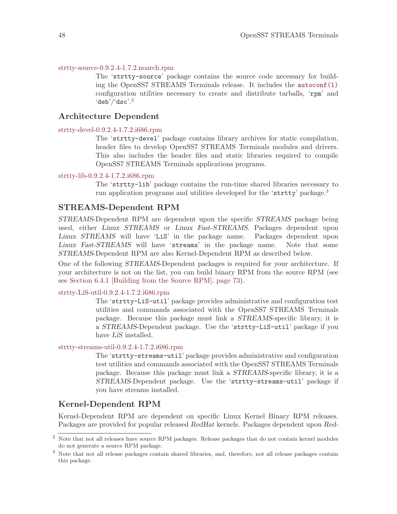#### [strtty-source-0.9.2.4-1.7.2.noarch.rpm](http://www.openss7.org/rpms/RPMS/noarch/strtty-source-0.9.2.4-1.7.2.noarch.rpm)

The 'strtty-source' package contains the source code necessary for building the OpenSS7 STREAMS Terminals release. It includes the [autoconf\(1\)](http://www.openss7.org/man2html?autoconf(1)) configuration utilities necessary to create and distribute tarballs, 'rpm' and  $'deb'/'dsc'.<sup>2</sup>$ 

### Architecture Dependent

#### [strtty-devel-0.9.2.4-1.7.2.i686.rpm](http://www.openss7.org/rpms/RPMS/i686/strtty-devel-0.9.2.4-1.7.2.i686.rpm)

The 'strtty-devel' package contains library archives for static compilation, header files to develop OpenSS7 STREAMS Terminals modules and drivers. This also includes the header files and static libraries required to compile OpenSS7 STREAMS Terminals applications programs.

#### [strtty-lib-0.9.2.4-1.7.2.i686.rpm](http://www.openss7.org/rpms/RPMS/i686/strtty-lib-0.9.2.4-1.7.2.i686.rpm)

The 'strtty-lib' package contains the run-time shared libraries necessary to run application programs and utilities developed for the 'strtty' package.<sup>3</sup>

### STREAMS-Dependent RPM

STREAMS-Dependent RPM are dependent upon the specific STREAMS package being used, either Linux STREAMS or Linux Fast-STREAMS. Packages dependent upon Linux STREAMS will have 'LiS' in the package name. Packages dependent upon Linux Fast-STREAMS will have 'streams' in the package name. Note that some STREAMS-Dependent RPM are also Kernel-Dependent RPM as described below.

One of the following STREAMS-Dependent packages is required for your architecture. If your architecture is not on the list, you can build binary RPM from the source RPM (see see [Section 6.4.1 \[Building from the Source RPM\], page 73](#page-82-0)).

#### [strtty-LiS-util-0.9.2.4-1.7.2.i686.rpm](http://www.openss7.org/rpms/RPMS/i686/strtty-LiS-util-0.9.2.4-1.7.2.i686.rpm)

The 'strtty-LiS-util' package provides administrative and configuration test utilities and commands associated with the OpenSS7 STREAMS Terminals package. Because this package must link a STREAMS-specific library, it is a STREAMS-Dependent package. Use the 'strtty-LiS-util' package if you have LiS installed.

#### [strtty-streams-util-0.9.2.4-1.7.2.i686.rpm](http://www.openss7.org/rpms/RPMS/i686/strtty-streams-util-0.9.2.4-1.7.2.i686.rpm)

The 'strtty-streams-util' package provides administrative and configuration test utilities and commands associated with the OpenSS7 STREAMS Terminals package. Because this package must link a STREAMS-specific library, it is a STREAMS-Dependent package. Use the 'strtty-streams-util' package if you have streams installed.

### Kernel-Dependent RPM

Kernel-Dependent RPM are dependent on specific Linux Kernel Binary RPM releases. Packages are provided for popular released RedHat kernels. Packages dependent upon Red-

<sup>2</sup> Note that not all releases have source RPM packages. Release packages that do not contain kernel modules do not generate a source RPM package.

<sup>3</sup> Note that not all release packages contain shared libraries, and, therefore, not all release packages contain this package.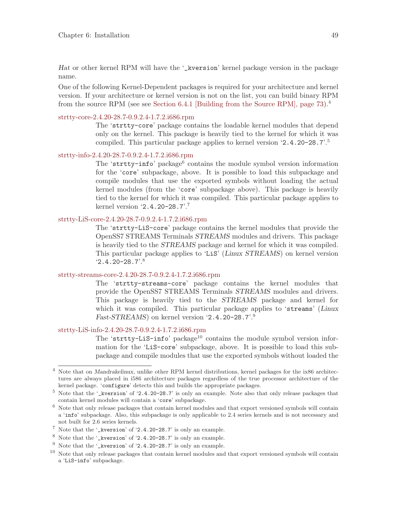Hat or other kernel RPM will have the '\_kversion' kernel package version in the package name.

One of the following Kernel-Dependent packages is required for your architecture and kernel version. If your architecture or kernel version is not on the list, you can build binary RPM from the source RPM (see see [Section 6.4.1 \[Building from the Source RPM\], page 73](#page-82-0)).<sup>4</sup>

#### [strtty-core-2.4.20-28.7-0.9.2.4-1.7.2.i686.rpm](http://www.openss7.org/rpms/RPMS/i686/strtty-core-2.4.20-28.7-0.9.2.4-1.7.2.i686.rpm)

The 'strtty-core' package contains the loadable kernel modules that depend only on the kernel. This package is heavily tied to the kernel for which it was compiled. This particular package applies to kernel version '2.4.20-28.7'.<sup>5</sup>

### [strtty-info-2.4.20-28.7-0.9.2.4-1.7.2.i686.rpm](http://www.openss7.org/rpms/RPMS/i686/strtty-info-2.4.20-28.7-0.9.2.4-1.7.2.i686.rpm)

The 'strtty-info' package<sup>6</sup> contains the module symbol version information for the 'core' subpackage, above. It is possible to load this subpackage and compile modules that use the exported symbols without loading the actual kernel modules (from the 'core' subpackage above). This package is heavily tied to the kernel for which it was compiled. This particular package applies to kernel version '2.4.20-28.7'.<sup>7</sup>

### [strtty-LiS-core-2.4.20-28.7-0.9.2.4-1.7.2.i686.rpm](http://www.openss7.org/rpms/RPMS/i686/strtty-LiS-core-2.4.20-28.7-0.9.2.4-1.7.2.i686.rpm)

The 'strtty-LiS-core' package contains the kernel modules that provide the OpenSS7 STREAMS Terminals STREAMS modules and drivers. This package is heavily tied to the STREAMS package and kernel for which it was compiled. This particular package applies to 'LiS' (Linux STREAMS) on kernel version  $2.4.20 - 28.7$ '.<sup>8</sup>

### [strtty-streams-core-2.4.20-28.7-0.9.2.4-1.7.2.i686.rpm](http://www.openss7.org/rpms/RPMS/i686/strtty-streams-core-2.4.20-28.7-0.9.2.4-1.7.2.i686.rpm)

The 'strtty-streams-core' package contains the kernel modules that provide the OpenSS7 STREAMS Terminals STREAMS modules and drivers. This package is heavily tied to the STREAMS package and kernel for which it was compiled. This particular package applies to 'streams' (Linux Fast-STREAMS) on kernel version '2.4.20-28.7'.<sup>9</sup>

### [strtty-LiS-info-2.4.20-28.7-0.9.2.4-1.7.2.i686.rpm](http://www.openss7.org/rpms/RPMS/i686/strtty-LiS-info-2.4.20-28.7-0.9.2.4-1.7.2.i686.rpm)

The 'strtty-LiS-info' package<sup>10</sup> contains the module symbol version information for the 'LiS-core' subpackage, above. It is possible to load this subpackage and compile modules that use the exported symbols without loaded the

<sup>4</sup> Note that on Mandrakelinux, unlike other RPM kernel distributions, kernel packages for the ix86 architectures are always placed in i586 architecture packages regardless of the true processor architecture of the kernel package. 'configure' detects this and builds the appropriate packages.

<sup>5</sup> Note that the '\_kversion' of '2.4.20-28.7' is only an example. Note also that only release packages that contain kernel modules will contain a 'core' subpackage.

 $^6\,$  Note that only release packages that contain kernel modules and that export versioned symbols will contain a 'info' subpackage. Also, this subpackage is only applicable to 2.4 series kernels and is not necessary and not built for 2.6 series kernels.

 $^7$  Note that the '\_kversion' of '2.4.20-28.7' is only an example.

<sup>8</sup> Note that the '\_kversion' of '2.4.20-28.7' is only an example.

<sup>&</sup>lt;sup>9</sup> Note that the '\_kversion' of '2.4.20-28.7' is only an example.<br><sup>10</sup> Note that only release packages that entain kernal modules and

Note that only release packages that contain kernel modules and that export versioned symbols will contain a 'LiS-info' subpackage.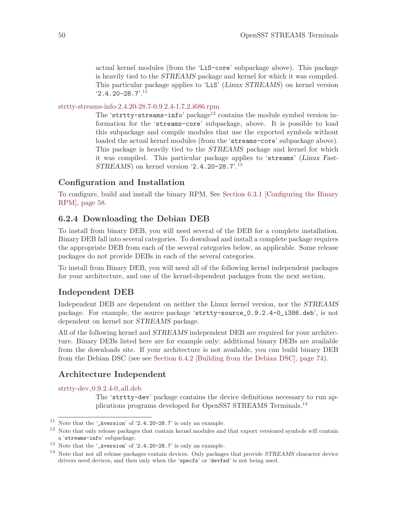actual kernel modules (from the 'LiS-core' subpackage above). This package is heavily tied to the STREAMS package and kernel for which it was compiled. This particular package applies to 'LiS' (Linux STREAMS) on kernel version  $2.4.20 - 28.7$ <sup>'.11</sup>

[strtty-streams-info-2.4.20-28.7-0.9.2.4-1.7.2.i686.rpm](http://www.openss7.org/rpms/RPMS/i686/strtty-streams-info-2.4.20-28.7-0.9.2.4-1.7.2.i686.rpm)

The 'strtty-streams-info' package<sup>12</sup> contains the module symbol version information for the 'streams-core' subpackage, above. It is possible to load this subpackage and compile modules that use the exported symbols without loaded the actual kernel modules (from the 'streams-core' subpackage above). This package is heavily tied to the STREAMS package and kernel for which it was compiled. This particular package applies to 'streams' (Linux Fast-STREAMS) on kernel version '2.4.20-28.7'.<sup>13</sup>

## Configuration and Installation

To configure, build and install the binary RPM, See [Section 6.3.1 \[Configuring the Binary](#page-67-0) [RPM\], page 58.](#page-67-0)

## <span id="page-59-0"></span>6.2.4 Downloading the Debian DEB

To install from binary DEB, you will need several of the DEB for a complete installation. Binary DEB fall into several categories. To download and install a complete package requires the appropriate DEB from each of the several categories below, as applicable. Some release packages do not provide DEBs in each of the several categories.

To install from Binary DEB, you will need all of the following kernel independent packages for your architecture, and one of the kernel-dependent packages from the next section.

### Independent DEB

Independent DEB are dependent on neither the Linux kernel version, nor the STREAMS package. For example, the source package 'strtty-source\_0.9.2.4-0\_i386.deb', is not dependent on kernel nor STREAMS package.

All of the following kernel and *STREAMS* independent DEB are required for your architecture. Binary DEBs listed here are for example only: additional binary DEBs are available from the downloads site. If your architecture is not available, you can build binary DEB from the Debian DSC (see see [Section 6.4.2 \[Building from the Debian DSC\], page 74](#page-83-0)).

## Architecture Independent

[strtty-dev](http://www.openss7.org/debian/strtty-dev_0.9.2.4-0_all.deb)<sub>-0.9.2.4-0-all.deb</sub>

The 'strtty-dev' package contains the device definitions necessary to run applications programs developed for OpenSS7 STREAMS Terminals.<sup>14</sup>

<sup>&</sup>lt;sup>11</sup> Note that the '\_kversion' of '2.4.20-28.7' is only an example.<br><sup>12</sup> Note that splu release neglpress that earthin learnal modules and

<sup>12</sup> Note that only release packages that contain kernel modules and that export versioned symbols will contain a 'streams-info' subpackage.

 $^{13}$  Note that the '\_kversion' of '2.4.20-28.7' is only an example.

<sup>&</sup>lt;sup>14</sup> Note that not all release packages contain devices. Only packages that provide STREAMS character device drivers need devices, and then only when the 'specfs' or 'devfsd' is not being used.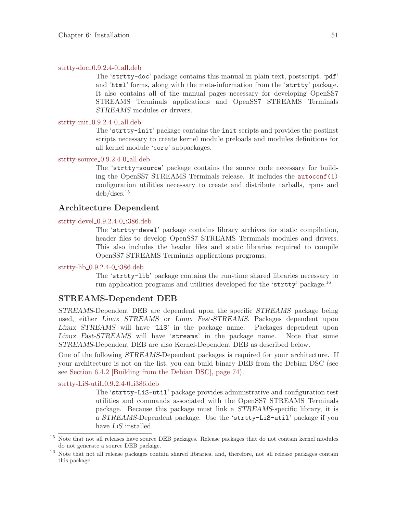#### [strtty-doc](http://www.openss7.org/debian/strtty-doc_0.9.2.4-0_all.deb) 0.9.2.4-0 all.deb

The 'strtty-doc' package contains this manual in plain text, postscript, 'pdf' and 'html' forms, along with the meta-information from the 'strtty' package. It also contains all of the manual pages necessary for developing OpenSS7 STREAMS Terminals applications and OpenSS7 STREAMS Terminals STREAMS modules or drivers.

#### [strtty-init](http://www.openss7.org/debian/strtty-init_0.9.2.4-0_all.deb) 0.9.2.4-0 all.deb

The 'strtty-init' package contains the init scripts and provides the postinst scripts necessary to create kernel module preloads and modules definitions for all kernel module 'core' subpackages.

#### [strtty-source](http://www.openss7.org/debian/strtty-source_0.9.2.4-0_all.deb) 0.9.2.4-0 all.deb

The 'strtty-source' package contains the source code necessary for building the OpenSS7 STREAMS Terminals release. It includes the [autoconf\(1\)](http://www.openss7.org/man2html?autoconf(1)) configuration utilities necessary to create and distribute tarballs, rpms and deb/dscs.<sup>15</sup>

## Architecture Dependent

#### [strtty-devel](http://www.openss7.org/debian/strtty-devel_0.9.2.4-0_i386.deb) 0.9.2.4-0 i386.deb

The 'strtty-devel' package contains library archives for static compilation, header files to develop OpenSS7 STREAMS Terminals modules and drivers. This also includes the header files and static libraries required to compile OpenSS7 STREAMS Terminals applications programs.

#### [strtty-lib](http://www.openss7.org/debian/strtty-lib_0.9.2.4-0_i386.deb) 0.9.2.4-0 i386.deb

The 'strtty-lib' package contains the run-time shared libraries necessary to run application programs and utilities developed for the 'strtty' package.<sup>16</sup>

### STREAMS-Dependent DEB

STREAMS-Dependent DEB are dependent upon the specific STREAMS package being used, either Linux STREAMS or Linux Fast-STREAMS. Packages dependent upon Linux STREAMS will have 'LiS' in the package name. Packages dependent upon Linux Fast-STREAMS will have 'streams' in the package name. Note that some STREAMS-Dependent DEB are also Kernel-Dependent DEB as described below.

One of the following STREAMS-Dependent packages is required for your architecture. If your architecture is not on the list, you can build binary DEB from the Debian DSC (see see [Section 6.4.2 \[Building from the Debian DSC\], page 74](#page-83-0)).

#### [strtty-LiS-util](http://www.openss7.org/debian/strtty-LiS-util_0.9.2.4-0_i386.deb) 0.9.2.4-0 i386.deb

The 'strtty-LiS-util' package provides administrative and configuration test utilities and commands associated with the OpenSS7 STREAMS Terminals package. Because this package must link a STREAMS-specific library, it is a STREAMS-Dependent package. Use the 'strtty-LiS-util' package if you have LiS installed.

<sup>&</sup>lt;sup>15</sup> Note that not all releases have source DEB packages. Release packages that do not contain kernel modules do not generate a source DEB package.

<sup>16</sup> Note that not all release packages contain shared libraries, and, therefore, not all release packages contain this package.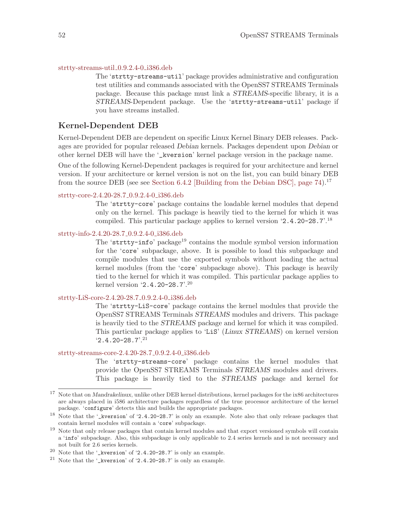#### [strtty-streams-util](http://www.openss7.org/debian/strtty-streams-util_0.9.2.4-0_i386.deb) 0.9.2.4-0 i386.deb

The 'strtty-streams-util' package provides administrative and configuration test utilities and commands associated with the OpenSS7 STREAMS Terminals package. Because this package must link a STREAMS-specific library, it is a STREAMS-Dependent package. Use the 'strtty-streams-util' package if you have streams installed.

#### Kernel-Dependent DEB

Kernel-Dependent DEB are dependent on specific Linux Kernel Binary DEB releases. Packages are provided for popular released Debian kernels. Packages dependent upon Debian or other kernel DEB will have the '\_kversion' kernel package version in the package name.

One of the following Kernel-Dependent packages is required for your architecture and kernel version. If your architecture or kernel version is not on the list, you can build binary DEB from the source DEB (see see Section 6.4.2 [Building from the Debian DSC], page  $74$ ).<sup>17</sup>

#### [strtty-core-2.4.20-28.7](http://www.openss7.org/debian/strtty-core-2.4.20-28.7_0.9.2.4-0_i386.deb) 0.9.2.4-0 i386.deb

The 'strtty-core' package contains the loadable kernel modules that depend only on the kernel. This package is heavily tied to the kernel for which it was compiled. This particular package applies to kernel version '2.4.20-28.7'.<sup>18</sup>

### [strtty-info-2.4.20-28.7](http://www.openss7.org/debian/strtty-info-2.4.20-28.7_0.9.2.4-0_i386.deb) 0.9.2.4-0 i386.deb

The 'strtty-info' package<sup>19</sup> contains the module symbol version information for the 'core' subpackage, above. It is possible to load this subpackage and compile modules that use the exported symbols without loading the actual kernel modules (from the 'core' subpackage above). This package is heavily tied to the kernel for which it was compiled. This particular package applies to kernel version '2.4.20-28.7'.<sup>20</sup>

#### [strtty-LiS-core-2.4.20-28.7](http://www.openss7.org/debian/strtty-LiS-core-2.4.20-28.7_0.9.2.4-0_i386.deb) 0.9.2.4-0 i386.deb

The 'strtty-LiS-core' package contains the kernel modules that provide the OpenSS7 STREAMS Terminals STREAMS modules and drivers. This package is heavily tied to the STREAMS package and kernel for which it was compiled. This particular package applies to 'LiS' (Linux STREAMS) on kernel version  $2.4.20 - 28.7$ <sup>21</sup>

#### [strtty-streams-core-2.4.20-28.7](http://www.openss7.org/debian/strtty-streams-core-2.4.20-28.7_0.9.2.4-0_i386.deb) 0.9.2.4-0 i386.deb

The 'strtty-streams-core' package contains the kernel modules that provide the OpenSS7 STREAMS Terminals STREAMS modules and drivers. This package is heavily tied to the STREAMS package and kernel for

 $^{17}\,$  Note that on Mandrakelinux, unlike other DEB kernel distributions, kernel packages for the ix86 architectures are always placed in i586 architecture packages regardless of the true processor architecture of the kernel package. 'configure' detects this and builds the appropriate packages.

<sup>18</sup> Note that the '\_kversion' of '2.4.20-28.7' is only an example. Note also that only release packages that contain kernel modules will contain a 'core' subpackage.

<sup>&</sup>lt;sup>19</sup> Note that only release packages that contain kernel modules and that export versioned symbols will contain a 'info' subpackage. Also, this subpackage is only applicable to 2.4 series kernels and is not necessary and not built for 2.6 series kernels.

 $20$  Note that the '\_kversion' of '2.4.20-28.7' is only an example.

<sup>&</sup>lt;sup>21</sup> Note that the '\_kversion' of  $\langle 2.4.20-28.7 \rangle$  is only an example.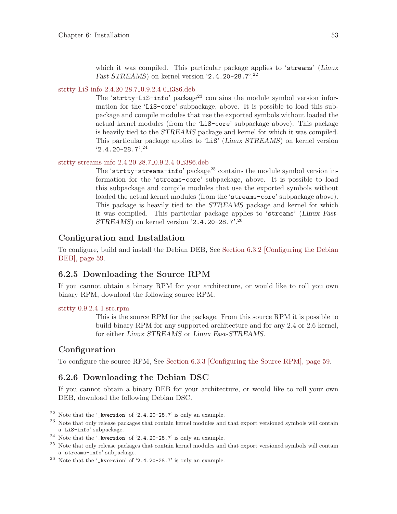which it was compiled. This particular package applies to 'streams' (Linux Fast-STREAMS) on kernel version  $2.4.20$ -28.7'<sup>22</sup>

#### [strtty-LiS-info-2.4.20-28.7](http://www.openss7.org/debian/strtty-LiS-info-2.4.20-28.7_0.9.2.4-0_i386.deb) 0.9.2.4-0 i386.deb

The 'strtty-LiS-info' package<sup>23</sup> contains the module symbol version information for the 'LiS-core' subpackage, above. It is possible to load this subpackage and compile modules that use the exported symbols without loaded the actual kernel modules (from the 'LiS-core' subpackage above). This package is heavily tied to the STREAMS package and kernel for which it was compiled. This particular package applies to 'LiS' (Linux STREAMS) on kernel version  $2.4.20 - 28.7$ <sup>24</sup>

#### [strtty-streams-info-2.4.20-28.7](http://www.openss7.org/debian/strtty-streams-info-2.4.20-28.7_0.9.2.4-0_i386.deb) 0.9.2.4-0 i386.deb

The 'strtty-streams-info' package<sup>25</sup> contains the module symbol version information for the 'streams-core' subpackage, above. It is possible to load this subpackage and compile modules that use the exported symbols without loaded the actual kernel modules (from the 'streams-core' subpackage above). This package is heavily tied to the STREAMS package and kernel for which it was compiled. This particular package applies to 'streams' (Linux Fast-STREAMS) on kernel version '2.4.20-28.7'.<sup>26</sup>

## Configuration and Installation

To configure, build and install the Debian DEB, See [Section 6.3.2 \[Configuring the Debian](#page-68-0) [DEB\], page 59.](#page-68-0)

## 6.2.5 Downloading the Source RPM

If you cannot obtain a binary RPM for your architecture, or would like to roll you own binary RPM, download the following source RPM.

#### [strtty-0.9.2.4-1.src.rpm](http://www.openss7.org/rpms/SRPMS/strtty-0.9.2.4-1.src.rpm)

This is the source RPM for the package. From this source RPM it is possible to build binary RPM for any supported architecture and for any 2.4 or 2.6 kernel, for either Linux STREAMS or Linux Fast-STREAMS.

## Configuration

To configure the source RPM, See [Section 6.3.3 \[Configuring the Source RPM\], page 59.](#page-68-1)

### 6.2.6 Downloading the Debian DSC

If you cannot obtain a binary DEB for your architecture, or would like to roll your own DEB, download the following Debian DSC.

 $^{22}$  Note that the '\_kversion' of '2.4.20-28.7' is only an example.

<sup>23</sup> Note that only release packages that contain kernel modules and that export versioned symbols will contain a 'LiS-info' subpackage.

<sup>24</sup> Note that the '\_kversion' of '2.4.20-28.7' is only an example.

<sup>&</sup>lt;sup>25</sup> Note that only release packages that contain kernel modules and that export versioned symbols will contain a 'streams-info' subpackage.

 $26$  Note that the '\_kversion' of '2.4.20-28.7' is only an example.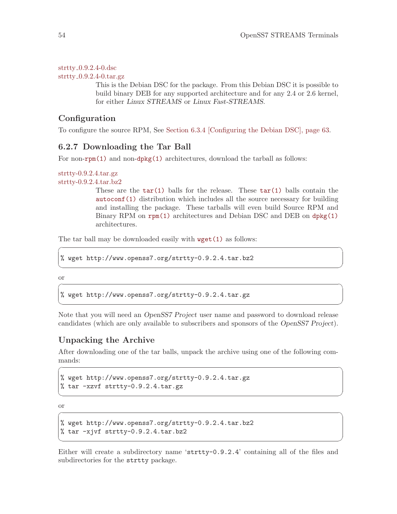strtty [0.9.2.4-0.dsc](http://www.openss7.org/debian/strtty_0.9.2.4-0.dsc)  $struty_0.9.2.4-0.1ar.gz$ 

> This is the Debian DSC for the package. From this Debian DSC it is possible to build binary DEB for any supported architecture and for any 2.4 or 2.6 kernel, for either Linux STREAMS or Linux Fast-STREAMS.

## Configuration

To configure the source RPM, See [Section 6.3.4 \[Configuring the Debian DSC\], page 63.](#page-72-0)

## 6.2.7 Downloading the Tar Ball

For non-[rpm\(1\)](http://www.openss7.org/man2html?rpm(1)) and non-[dpkg\(1\)](http://www.openss7.org/man2html?dpkg(1)) architectures, download the tarball as follows:

```
strtty-0.9.2.4.tar.gz
strtty-0.9.2.4.tar.bz2
```
These are the  $\tan(1)$  balls for the release. These  $\tan(1)$  balls contain the [autoconf\(1\)](http://www.openss7.org/man2html?autoconf(1)) distribution which includes all the source necessary for building and installing the package. These tarballs will even build Source RPM and Binary RPM on [rpm\(1\)](http://www.openss7.org/man2html?rpm(1)) architectures and Debian DSC and DEB on [dpkg\(1\)](http://www.openss7.org/man2html?dpkg(1)) architectures.

The tar ball may be downloaded easily with  $\text{wget}(1)$  as follows:

```
% wget http://www.openss7.org/strtty-0.9.2.4.tar.bz2
```
or  $\sqrt{2\pi}$ 

% wget http://www.openss7.org/strtty-0.9.2.4.tar.gz

Note that you will need an OpenSS7 Project user name and password to download release candidates (which are only available to subscribers and sponsors of the OpenSS7 Project).

 $\sqrt{2\pi}$ 

✡ ✠

✡ ✠

## Unpacking the Archive

After downloading one of the tar balls, unpack the archive using one of the following commands:

 $\sqrt{2\pi}$ 

✡ ✠

```
% wget http://www.openss7.org/strtty-0.9.2.4.tar.gz
% tar -xzvf strtty-0.9.2.4.tar.gz
```
or  $\sqrt{2\pi}$ 

```
% wget http://www.openss7.org/strtty-0.9.2.4.tar.bz2
% tar -xjvf strtty-0.9.2.4.tar.bz2
```
Either will create a subdirectory name 'strtty-0.9.2.4' containing all of the files and subdirectories for the strtty package.

✡ ✠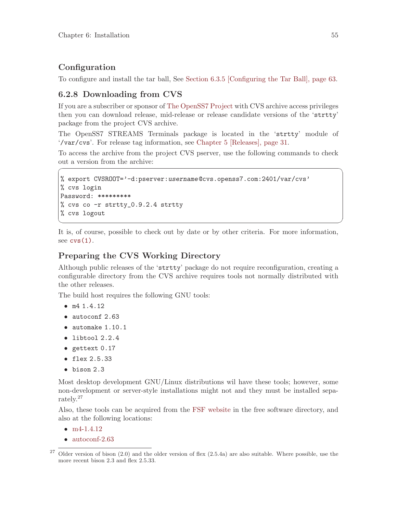## **Configuration**

To configure and install the tar ball, See [Section 6.3.5 \[Configuring the Tar Ball\], page 63.](#page-72-1)

## <span id="page-64-0"></span>6.2.8 Downloading from CVS

If you are a subscriber or sponsor of [The OpenSS7 Project](http://www.openss7.org/) with CVS archive access privileges then you can download release, mid-release or release candidate versions of the 'strtty' package from the project CVS archive.

The OpenSS7 STREAMS Terminals package is located in the 'strtty' module of '/var/cvs'. For release tag information, see [Chapter 5 \[Releases\], page 31](#page-40-0).

To access the archive from the project CVS pserver, use the following commands to check out a version from the archive:

 $\sqrt{2\pi}$ 

```
% export CVSROOT='-d:pserver:username@cvs.openss7.com:2401/var/cvs'
% cvs login
Password: *********
% cvs co -r strtty_0.9.2.4 strtty
% cvs logout
```
It is, of course, possible to check out by date or by other criteria. For more information, see  $\text{cvs}(1)$ .

✡ ✠

## Preparing the CVS Working Directory

Although public releases of the 'strtty' package do not require reconfiguration, creating a configurable directory from the CVS archive requires tools not normally distributed with the other releases.

The build host requires the following GNU tools:

- m4 1.4.12
- autoconf 2.63
- automake 1.10.1
- libtool 2.2.4
- gettext 0.17
- flex 2.5.33
- bison 2.3

Most desktop development GNU/Linux distributions wil have these tools; however, some non-development or server-style installations might not and they must be installed separately.<sup>27</sup>

Also, these tools can be acquired from the [FSF website](http://www.fsf.org/) in the free software directory, and also at the following locations:

- [m4-1.4.12](http://www.openss7.org/tarballs/m4-1.4.12.tar.bz2)
- [autoconf-2.63](http://www.openss7.org/tarballs/autoconf-2.63.tar.bz2)

 $27$  Older version of bison (2.0) and the older version of flex (2.5.4a) are also suitable. Where possible, use the more recent bison 2.3 and flex 2.5.33.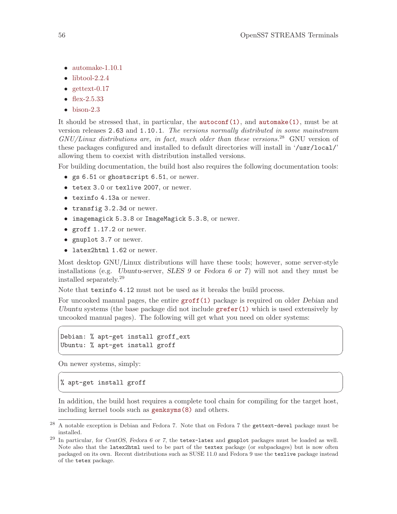- [automake-1.10.1](http://www.openss7.org/tarballs/automake-1.10.1.tar.bz2)
- $\bullet$  [libtool-2.2.4](http://www.openss7.org/tarballs/libtool-2.2.4.tar.gz)
- $\bullet$  [gettext-0.17](http://www.openss7.org/tarballs/gettext-0.17.tar.gz)
- [flex-2.5.33](http://www.openss7.org/tarballs/flex-2.5.33.tar.bz2)
- $\bullet$  [bison-2.3](http://www.openss7.org/tarballs/bison-2.3.tar.bz2)

It should be stressed that, in particular, the  $\text{autoconf}(1)$ , and  $\text{automake}(1)$ , must be at version releases 2.63 and 1.10.1. The versions normally distributed in some mainstream  $GNU/Linux$  distributions are, in fact, much older than these versions.<sup>28</sup> GNU version of these packages configured and installed to default directories will install in '/usr/local/' allowing them to coexist with distribution installed versions.

For building documentation, the build host also requires the following documentation tools:

- gs 6.51 or ghostscript 6.51, or newer.
- tetex 3.0 or texlive 2007, or newer.
- texinfo 4.13a or newer.
- transfig 3.2.3d or newer.
- imagemagick 5.3.8 or ImageMagick 5.3.8, or newer.
- groff  $1.17.2$  or newer.
- gnuplot 3.7 or newer.
- latex2html 1.62 or newer.

Most desktop GNU/Linux distributions will have these tools; however, some server-style installations (e.g. Ubuntu-server, SLES 9 or Fedora 6 or 7) will not and they must be installed separately.<sup>29</sup>

Note that texinfo 4.12 must not be used as it breaks the build process.

For uncooked manual pages, the entire [groff\(1\)](http://www.openss7.org/man2html?groff(1)) package is required on older Debian and Ubuntu systems (the base package did not include  $\text{gr\texttt{efer}}(1)$  which is used extensively by uncooked manual pages). The following will get what you need on older systems:

 $\sqrt{2\pi}$ 

✡ ✠

 $\sqrt{2\pi}$ 

✡ ✠

Debian: % apt-get install groff\_ext Ubuntu: % apt-get install groff

On newer systems, simply:

% apt-get install groff

In addition, the build host requires a complete tool chain for compiling for the target host, including kernel tools such as [genksyms\(8\)](http://www.openss7.org/man2html?genksyms(8)) and others.

<sup>28</sup> A notable exception is Debian and Fedora 7. Note that on Fedora 7 the gettext-devel package must be installed.

 $^{29}$  In particular, for CentOS, Fedora 6 or 7, the tetex-latex and gnuplot packages must be loaded as well. Note also that the latex2html used to be part of the textex package (or subpackages) but is now often packaged on its own. Recent distributions such as SUSE 11.0 and Fedora 9 use the texlive package instead of the tetex package.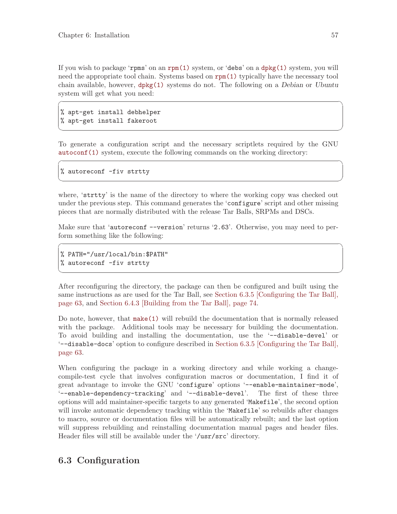If you wish to package 'rpms' on an [rpm\(1\)](http://www.openss7.org/man2html?rpm(1)) system, or 'debs' on a [dpkg\(1\)](http://www.openss7.org/man2html?dpkg(1)) system, you will need the appropriate tool chain. Systems based on [rpm\(1\)](http://www.openss7.org/man2html?rpm(1)) typically have the necessary tool chain available, however, [dpkg\(1\)](http://www.openss7.org/man2html?dpkg(1)) systems do not. The following on a Debian or Ubuntu system will get what you need:

 $\sqrt{2\pi}$ 

✡ ✠

 $\sqrt{2\pi}$ 

✡ ✠

% apt-get install debhelper % apt-get install fakeroot

To generate a configuration script and the necessary scriptlets required by the GNU [autoconf\(1\)](http://www.openss7.org/man2html?autoconf(1)) system, execute the following commands on the working directory:

% autoreconf -fiv strtty

where, 'strtty' is the name of the directory to where the working copy was checked out under the previous step. This command generates the 'configure' script and other missing pieces that are normally distributed with the release Tar Balls, SRPMs and DSCs.

Make sure that 'autoreconf --version' returns '2.63'. Otherwise, you may need to perform something like the following:

 $\sqrt{2\pi}$ 

✡ ✠

% PATH="/usr/local/bin:\$PATH" % autoreconf -fiv strtty

After reconfiguring the directory, the package can then be configured and built using the same instructions as are used for the Tar Ball, see [Section 6.3.5 \[Configuring the Tar Ball\],](#page-72-1) [page 63](#page-72-1), and [Section 6.4.3 \[Building from the Tar Ball\], page 74.](#page-83-1)

Do note, however, that [make\(1\)](http://www.openss7.org/man2html?make(1)) will rebuild the documentation that is normally released with the package. Additional tools may be necessary for building the documentation. To avoid building and installing the documentation, use the '--disable-devel' or '--disable-docs' option to configure described in [Section 6.3.5 \[Configuring the Tar Ball\],](#page-72-1) [page 63](#page-72-1).

When configuring the package in a working directory and while working a changecompile-test cycle that involves configuration macros or documentation, I find it of great advantage to invoke the GNU 'configure' options '--enable-maintainer-mode', '--enable-dependency-tracking' and '--disable-devel'. The first of these three options will add maintainer-specific targets to any generated 'Makefile', the second option will invoke automatic dependency tracking within the 'Makefile' so rebuilds after changes to macro, source or documentation files will be automatically rebuilt; and the last option will suppress rebuilding and reinstalling documentation manual pages and header files. Header files will still be available under the '/usr/src' directory.

## 6.3 Configuration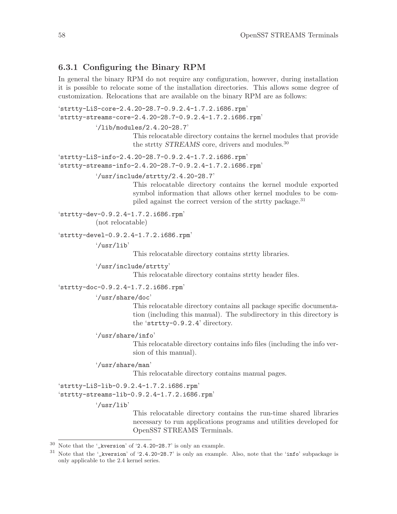## <span id="page-67-0"></span>6.3.1 Configuring the Binary RPM

In general the binary RPM do not require any configuration, however, during installation it is possible to relocate some of the installation directories. This allows some degree of customization. Relocations that are available on the binary RPM are as follows:

```
'strtty-LiS-core-2.4.20-28.7-0.9.2.4-1.7.2.i686.rpm'
'strtty-streams-core-2.4.20-28.7-0.9.2.4-1.7.2.i686.rpm'
          '/lib/modules/2.4.20-28.7'
```
This relocatable directory contains the kernel modules that provide the strtty STREAMS core, drivers and modules.<sup>30</sup>

```
'strtty-LiS-info-2.4.20-28.7-0.9.2.4-1.7.2.i686.rpm'
'strtty-streams-info-2.4.20-28.7-0.9.2.4-1.7.2.i686.rpm'
```
'/usr/include/strtty/2.4.20-28.7'

This relocatable directory contains the kernel module exported symbol information that allows other kernel modules to be compiled against the correct version of the strtty package.<sup>31</sup>

'strtty-dev-0.9.2.4-1.7.2.i686.rpm'

(not relocatable)

```
'strtty-devel-0.9.2.4-1.7.2.i686.rpm'
```
'/usr/lib'

This relocatable directory contains strtty libraries.

'/usr/include/strtty'

This relocatable directory contains strtty header files.

'strtty-doc-0.9.2.4-1.7.2.i686.rpm'

'/usr/share/doc'

This relocatable directory contains all package specific documentation (including this manual). The subdirectory in this directory is the 'strtty-0.9.2.4' directory.

'/usr/share/info'

This relocatable directory contains info files (including the info version of this manual).

'/usr/share/man'

This relocatable directory contains manual pages.

'strtty-LiS-lib-0.9.2.4-1.7.2.i686.rpm'

'strtty-streams-lib-0.9.2.4-1.7.2.i686.rpm'

'/usr/lib'

This relocatable directory contains the run-time shared libraries necessary to run applications programs and utilities developed for OpenSS7 STREAMS Terminals.

 $^{30}\,$  Note that the '\_kversion' of '2.4.20–28.7' is only an example.

 $31$  Note that the '\_kversion' of '2.4.20-28.7' is only an example. Also, note that the 'info' subpackage is only applicable to the 2.4 kernel series.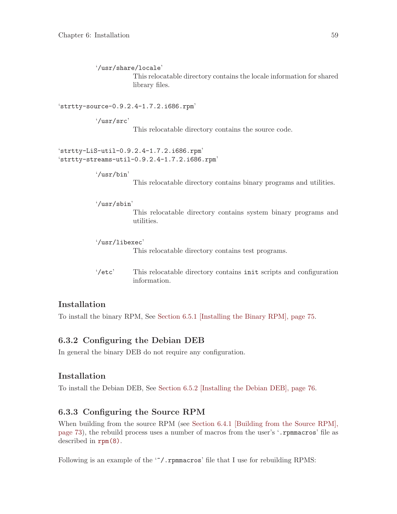'/usr/share/locale' This relocatable directory contains the locale information for shared library files.

'strtty-source-0.9.2.4-1.7.2.i686.rpm'

'/usr/src'

This relocatable directory contains the source code.

'strtty-LiS-util-0.9.2.4-1.7.2.i686.rpm' 'strtty-streams-util-0.9.2.4-1.7.2.i686.rpm'

'/usr/bin'

This relocatable directory contains binary programs and utilities.

'/usr/sbin'

This relocatable directory contains system binary programs and utilities.

'/usr/libexec'

This relocatable directory contains test programs.

'/etc' This relocatable directory contains init scripts and configuration information.

## **Installation**

To install the binary RPM, See [Section 6.5.1 \[Installing the Binary RPM\], page 75](#page-84-0).

## <span id="page-68-0"></span>6.3.2 Configuring the Debian DEB

In general the binary DEB do not require any configuration.

### Installation

To install the Debian DEB, See [Section 6.5.2 \[Installing the Debian DEB\], page 76.](#page-85-1)

## <span id="page-68-1"></span>6.3.3 Configuring the Source RPM

When building from the source RPM (see [Section 6.4.1 \[Building from the Source RPM\],](#page-82-0) [page 73](#page-82-0)), the rebuild process uses a number of macros from the user's '.rpmmacros' file as described in [rpm\(8\)](http://www.openss7.org/man2html?rpm(8)).

Following is an example of the ' $\gamma$ .rpmmacros' file that I use for rebuilding RPMS: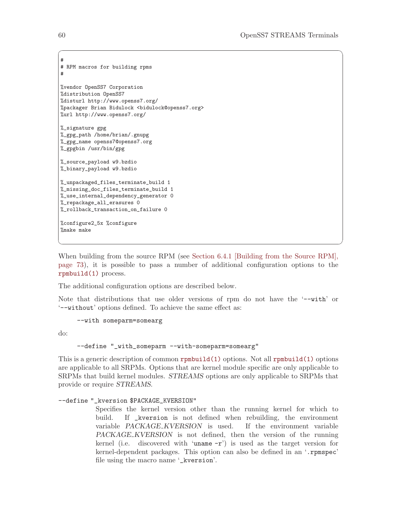```
#
# RPM macros for building rpms
#
%vendor OpenSS7 Corporation
%distribution OpenSS7
%disturl http://www.openss7.org/
%packager Brian Bidulock <bidulock@openss7.org>
%url http://www.openss7.org/
%_signature gpg
%_gpg_path /home/brian/.gnupg
%_gpg_name openss7@openss7.org
%_gpgbin /usr/bin/gpg
%_source_payload w9.bzdio
%_binary_payload w9.bzdio
%_unpackaged_files_terminate_build 1
%_missing_doc_files_terminate_build 1
%_use_internal_dependency_generator 0
%_repackage_all_erasures 0
%_rollback_transaction_on_failure 0
%configure2_5x %configure
%make make
```
When building from the source RPM (see [Section 6.4.1 \[Building from the Source RPM\],](#page-82-0) [page 73](#page-82-0)), it is possible to pass a number of additional configuration options to the [rpmbuild\(1\)](http://www.openss7.org/man2html?rpmbuild(1)) process.

✡ ✠

 $\sqrt{a}$   $\sqrt{a}$   $\sqrt{a}$   $\sqrt{a}$   $\sqrt{a}$   $\sqrt{a}$   $\sqrt{a}$   $\sqrt{a}$   $\sqrt{a}$   $\sqrt{a}$   $\sqrt{a}$   $\sqrt{a}$   $\sqrt{a}$   $\sqrt{a}$   $\sqrt{a}$   $\sqrt{a}$   $\sqrt{a}$   $\sqrt{a}$   $\sqrt{a}$   $\sqrt{a}$   $\sqrt{a}$   $\sqrt{a}$   $\sqrt{a}$   $\sqrt{a}$   $\sqrt{a}$   $\sqrt{a}$   $\sqrt{a}$   $\sqrt{a$ 

The additional configuration options are described below.

Note that distributions that use older versions of rpm do not have the '--with' or '--without' options defined. To achieve the same effect as:

```
--with someparm=somearg
```
do:

```
--define "_with_someparm --with-someparm=somearg"
```
This is a generic description of common [rpmbuild\(1\)](http://www.openss7.org/man2html?rpmbuild(1)) options. Not all [rpmbuild\(1\)](http://www.openss7.org/man2html?rpmbuild(1)) options are applicable to all SRPMs. Options that are kernel module specific are only applicable to SRPMs that build kernel modules. STREAMS options are only applicable to SRPMs that provide or require STREAMS.

#### --define "\_kversion \$PACKAGE\_KVERSION"

Specifies the kernel version other than the running kernel for which to build. If \_kversion is not defined when rebuilding, the environment variable PACKAGE KVERSION is used. If the environment variable PACKAGE KVERSION is not defined, then the version of the running kernel (i.e. discovered with 'uname  $-r'$ ) is used as the target version for kernel-dependent packages. This option can also be defined in an '.rpmspec' file using the macro name '\_kversion'.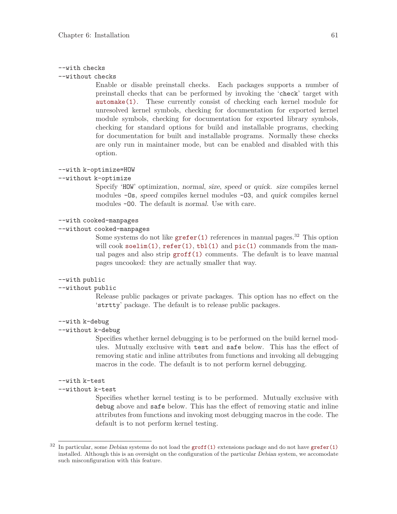#### --with checks

--without checks

Enable or disable preinstall checks. Each packages supports a number of preinstall checks that can be performed by invoking the 'check' target with [automake\(1\)](http://www.openss7.org/man2html?automake(1)). These currently consist of checking each kernel module for unresolved kernel symbols, checking for documentation for exported kernel module symbols, checking for documentation for exported library symbols, checking for standard options for build and installable programs, checking for documentation for built and installable programs. Normally these checks are only run in maintainer mode, but can be enabled and disabled with this option.

#### --with k-optimize=HOW

#### --without k-optimize

Specify 'HOW' optimization, normal, size, speed or quick. size compiles kernel modules -Os, speed compiles kernel modules -O3, and quick compiles kernel modules -O0. The default is normal. Use with care.

#### --with cooked-manpages

#### --without cooked-manpages

Some systems do not like  $\text{gr\text{-}fer}(1)$  references in manual pages.<sup>32</sup> This option will cook [soelim\(1\)](http://www.openss7.org/man2html?soelim(1)),  $refer(1)$ ,  $tbl(1)$  and  $pic(1)$  commands from the manual pages and also strip [groff\(1\)](http://www.openss7.org/man2html?groff(1)) comments. The default is to leave manual pages uncooked: they are actually smaller that way.

#### --with public

#### --without public

Release public packages or private packages. This option has no effect on the 'strtty' package. The default is to release public packages.

#### --with k-debug

#### --without k-debug

Specifies whether kernel debugging is to be performed on the build kernel modules. Mutually exclusive with test and safe below. This has the effect of removing static and inline attributes from functions and invoking all debugging macros in the code. The default is to not perform kernel debugging.

#### --with k-test

#### --without k-test

Specifies whether kernel testing is to be performed. Mutually exclusive with debug above and safe below. This has the effect of removing static and inline attributes from functions and invoking most debugging macros in the code. The default is to not perform kernel testing.

 $32$  In particular, some Debian systems do not load the [groff\(1\)](http://www.openss7.org/man2html?groff(1)) extensions package and do not have [grefer\(1\)](http://www.openss7.org/man2html?grefer(1)) installed. Although this is an oversight on the configuration of the particular Debian system, we accomodate such misconfiguration with this feature.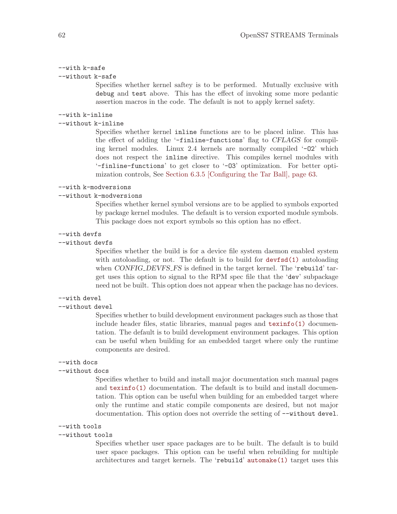#### --with k-safe

#### --without k-safe

Specifies whether kernel saftey is to be performed. Mutually exclusive with debug and test above. This has the effect of invoking some more pedantic assertion macros in the code. The default is not to apply kernel safety.

#### --with k-inline

#### --without k-inline

Specifies whether kernel inline functions are to be placed inline. This has the effect of adding the '-finline-functions' flag to CFLAGS for compiling kernel modules. Linux 2.4 kernels are normally compiled '-O2' which does not respect the inline directive. This compiles kernel modules with '-finline-functions' to get closer to '-O3' optimization. For better optimization controls, See [Section 6.3.5 \[Configuring the Tar Ball\], page 63.](#page-72-1)

#### --with k-modversions

#### --without k-modversions

Specifies whether kernel symbol versions are to be applied to symbols exported by package kernel modules. The default is to version exported module symbols. This package does not export symbols so this option has no effect.

#### --with devfs

#### --without devfs

Specifies whether the build is for a device file system daemon enabled system with autoloading, or not. The default is to build for  $devfsd(1)$  autoloading when CONFIG DEVFS FS is defined in the target kernel. The 'rebuild' target uses this option to signal to the RPM spec file that the 'dev' subpackage need not be built. This option does not appear when the package has no devices.

#### --with devel

#### --without devel

Specifies whether to build development environment packages such as those that include header files, static libraries, manual pages and  $\text{texinfo}(1)$  documentation. The default is to build development environment packages. This option can be useful when building for an embedded target where only the runtime components are desired.

#### --with docs

#### --without docs

Specifies whether to build and install major documentation such manual pages and [texinfo\(1\)](http://www.openss7.org/man2html?texinfo(1)) documentation. The default is to build and install documentation. This option can be useful when building for an embedded target where only the runtime and static compile components are desired, but not major documentation. This option does not override the setting of --without devel.

#### --with tools

#### --without tools

Specifies whether user space packages are to be built. The default is to build user space packages. This option can be useful when rebuilding for multiple architectures and target kernels. The 'rebuild' [automake\(1\)](http://www.openss7.org/man2html?automake(1)) target uses this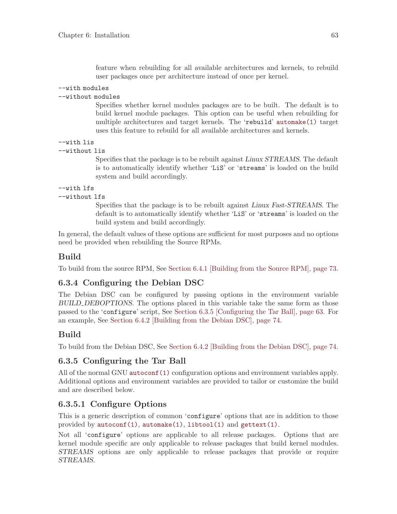feature when rebuilding for all available architectures and kernels, to rebuild user packages once per architecture instead of once per kernel.

### --with modules

### --without modules

Specifies whether kernel modules packages are to be built. The default is to build kernel module packages. This option can be useful when rebuilding for multiple architectures and target kernels. The 'rebuild' [automake\(1\)](http://www.openss7.org/man2html?automake(1)) target uses this feature to rebuild for all available architectures and kernels.

```
--with lis
```

```
--without lis
```
Specifies that the package is to be rebuilt against Linux STREAMS. The default is to automatically identify whether 'LiS' or 'streams' is loaded on the build system and build accordingly.

```
--with lfs
```
### --without lfs

Specifies that the package is to be rebuilt against Linux Fast-STREAMS. The default is to automatically identify whether 'LiS' or 'streams' is loaded on the build system and build accordingly.

In general, the default values of these options are sufficient for most purposes and no options need be provided when rebuilding the Source RPMs.

## Build

To build from the source RPM, See [Section 6.4.1 \[Building from the Source RPM\], page 73.](#page-82-0)

## <span id="page-72-1"></span>6.3.4 Configuring the Debian DSC

The Debian DSC can be configured by passing options in the environment variable BUILD DEBOPTIONS. The options placed in this variable take the same form as those passed to the 'configure' script, See [Section 6.3.5 \[Configuring the Tar Ball\], page 63](#page-72-0). For an example, See [Section 6.4.2 \[Building from the Debian DSC\], page 74.](#page-83-0)

## Build

To build from the Debian DSC, See [Section 6.4.2 \[Building from the Debian DSC\], page 74.](#page-83-0)

## <span id="page-72-0"></span>6.3.5 Configuring the Tar Ball

All of the normal GNU [autoconf\(1\)](http://www.openss7.org/man2html?autoconf(1)) configuration options and environment variables apply. Additional options and environment variables are provided to tailor or customize the build and are described below.

# 6.3.5.1 Configure Options

This is a generic description of common 'configure' options that are in addition to those provided by [autoconf\(1\)](http://www.openss7.org/man2html?autoconf(1)), [automake\(1\)](http://www.openss7.org/man2html?automake(1)), [libtool\(1\)](http://www.openss7.org/man2html?libtool(1)) and [gettext\(1\)](http://www.openss7.org/man2html?gettext(1)).

Not all 'configure' options are applicable to all release packages. Options that are kernel module specific are only applicable to release packages that build kernel modules. STREAMS options are only applicable to release packages that provide or require STREAMS.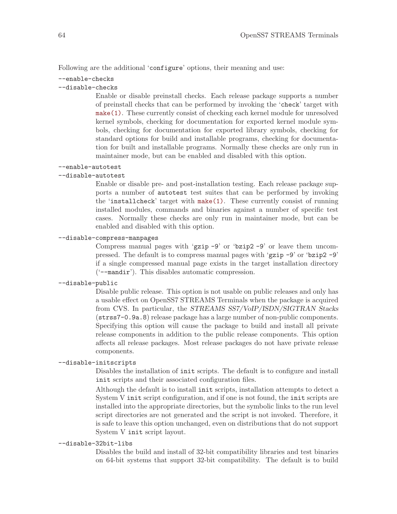Following are the additional 'configure' options, their meaning and use:

# --enable-checks

### --disable-checks

Enable or disable preinstall checks. Each release package supports a number of preinstall checks that can be performed by invoking the 'check' target with [make\(1\)](http://www.openss7.org/man2html?make(1)). These currently consist of checking each kernel module for unresolved kernel symbols, checking for documentation for exported kernel module symbols, checking for documentation for exported library symbols, checking for standard options for build and installable programs, checking for documentation for built and installable programs. Normally these checks are only run in maintainer mode, but can be enabled and disabled with this option.

### --enable-autotest

### --disable-autotest

Enable or disable pre- and post-installation testing. Each release package supports a number of autotest test suites that can be performed by invoking the 'installcheck' target with [make\(1\)](http://www.openss7.org/man2html?make(1)). These currently consist of running installed modules, commands and binaries against a number of specific test cases. Normally these checks are only run in maintainer mode, but can be enabled and disabled with this option.

#### --disable-compress-manpages

Compress manual pages with 'gzip -9' or 'bzip2 -9' or leave them uncompressed. The default is to compress manual pages with 'gzip -9' or 'bzip2 -9' if a single compressed manual page exists in the target installation directory ('--mandir'). This disables automatic compression.

### --disable-public

Disable public release. This option is not usable on public releases and only has a usable effect on OpenSS7 STREAMS Terminals when the package is acquired from CVS. In particular, the STREAMS SS7/VoIP/ISDN/SIGTRAN Stacks (strss7-0.9a.8) release package has a large number of non-public components. Specifying this option will cause the package to build and install all private release components in addition to the public release components. This option affects all release packages. Most release packages do not have private release components.

#### --disable-initscripts

Disables the installation of init scripts. The default is to configure and install init scripts and their associated configuration files.

Although the default is to install init scripts, installation attempts to detect a System V init script configuration, and if one is not found, the init scripts are installed into the appropriate directories, but the symbolic links to the run level script directories are not generated and the script is not invoked. Therefore, it is safe to leave this option unchanged, even on distributions that do not support System V init script layout.

### --disable-32bit-libs

Disables the build and install of 32-bit compatibility libraries and test binaries on 64-bit systems that support 32-bit compatibility. The default is to build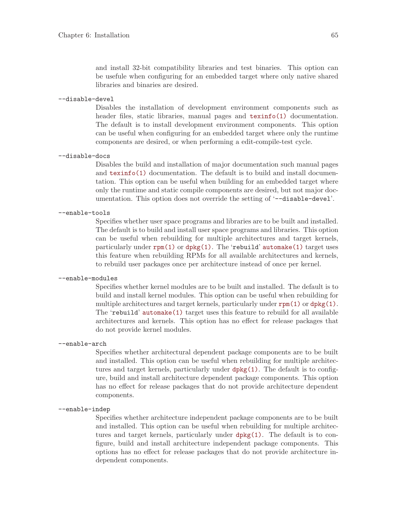and install 32-bit compatibility libraries and test binaries. This option can be usefule when configuring for an embedded target where only native shared libraries and binaries are desired.

--disable-devel

Disables the installation of development environment components such as header files, static libraries, manual pages and **[texinfo\(1\)](http://www.openss7.org/man2html?texinfo(1))** documentation. The default is to install development environment components. This option can be useful when configuring for an embedded target where only the runtime components are desired, or when performing a edit-compile-test cycle.

--disable-docs

Disables the build and installation of major documentation such manual pages and [texinfo\(1\)](http://www.openss7.org/man2html?texinfo(1)) documentation. The default is to build and install documentation. This option can be useful when building for an embedded target where only the runtime and static compile components are desired, but not major documentation. This option does not override the setting of '--disable-devel'.

#### --enable-tools

Specifies whether user space programs and libraries are to be built and installed. The default is to build and install user space programs and libraries. This option can be useful when rebuilding for multiple architectures and target kernels, particularly under  $rpm(1)$  or  $dpkg(1)$ . The 'rebuild' [automake\(1\)](http://www.openss7.org/man2html?automake(1)) target uses this feature when rebuilding RPMs for all available architectures and kernels, to rebuild user packages once per architecture instead of once per kernel.

### --enable-modules

Specifies whether kernel modules are to be built and installed. The default is to build and install kernel modules. This option can be useful when rebuilding for multiple architectures and target kernels, particularly under  $\text{rpm}(1)$  or  $\text{dpkg}(1)$ . The 'rebuild' [automake\(1\)](http://www.openss7.org/man2html?automake(1)) target uses this feature to rebuild for all available architectures and kernels. This option has no effect for release packages that do not provide kernel modules.

#### --enable-arch

Specifies whether architectural dependent package components are to be built and installed. This option can be useful when rebuilding for multiple architectures and target kernels, particularly under [dpkg\(1\)](http://www.openss7.org/man2html?dpkg(1)). The default is to configure, build and install architecture dependent package components. This option has no effect for release packages that do not provide architecture dependent components.

#### --enable-indep

Specifies whether architecture independent package components are to be built and installed. This option can be useful when rebuilding for multiple architectures and target kernels, particularly under [dpkg\(1\)](http://www.openss7.org/man2html?dpkg(1)). The default is to configure, build and install architecture independent package components. This options has no effect for release packages that do not provide architecture independent components.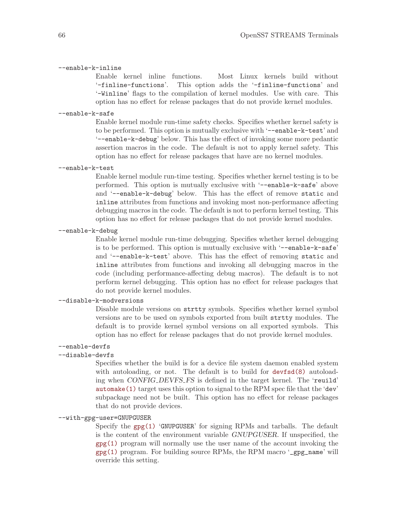### --enable-k-inline

Enable kernel inline functions. Most Linux kernels build without '-finline-functions'. This option adds the '-finline-functions' and '-Winline' flags to the compilation of kernel modules. Use with care. This option has no effect for release packages that do not provide kernel modules.

#### --enable-k-safe

Enable kernel module run-time safety checks. Specifies whether kernel safety is to be performed. This option is mutually exclusive with '--enable-k-test' and '--enable-k-debug' below. This has the effect of invoking some more pedantic assertion macros in the code. The default is not to apply kernel safety. This option has no effect for release packages that have are no kernel modules.

#### --enable-k-test

Enable kernel module run-time testing. Specifies whether kernel testing is to be performed. This option is mutually exclusive with '--enable-k-safe' above and '--enable-k-debug' below. This has the effect of remove static and inline attributes from functions and invoking most non-performance affecting debugging macros in the code. The default is not to perform kernel testing. This option has no effect for release packages that do not provide kernel modules.

#### --enable-k-debug

Enable kernel module run-time debugging. Specifies whether kernel debugging is to be performed. This option is mutually exclusive with '--enable-k-safe' and '--enable-k-test' above. This has the effect of removing static and inline attributes from functions and invoking all debugging macros in the code (including performance-affecting debug macros). The default is to not perform kernel debugging. This option has no effect for release packages that do not provide kernel modules.

### --disable-k-modversions

Disable module versions on strtty symbols. Specifies whether kernel symbol versions are to be used on symbols exported from built strtty modules. The default is to provide kernel symbol versions on all exported symbols. This option has no effect for release packages that do not provide kernel modules.

### --enable-devfs

#### --disable-devfs

Specifies whether the build is for a device file system daemon enabled system with autoloading, or not. The default is to build for [devfsd\(8\)](http://www.openss7.org/man2html?devfsd(8)) autoloading when CONFIG DEVFS FS is defined in the target kernel. The 'reuild' [automake\(1\)](http://www.openss7.org/man2html?automake(1)) target uses this option to signal to the RPM spec file that the 'dev' subpackage need not be built. This option has no effect for release packages that do not provide devices.

## --with-gpg-user=GNUPGUSER

Specify the  $gpg(1)$  'GNUPGUSER' for signing RPMs and tarballs. The default is the content of the environment variable GNUPGUSER. If unspecified, the  $\texttt{gpg}(1)$  program will normally use the user name of the account invoking the [gpg\(1\)](http://www.openss7.org/man2html?gpg(1)) program. For building source RPMs, the RPM macro '\_gpg\_name' will override this setting.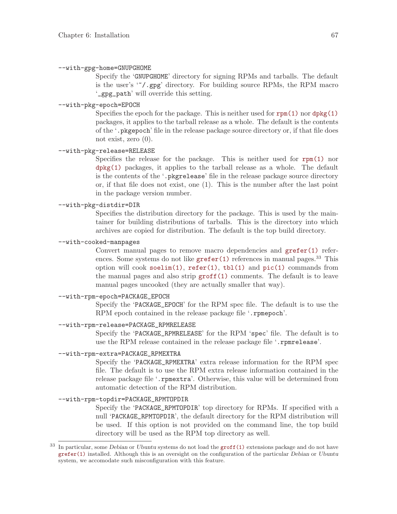#### --with-gpg-home=GNUPGHOME

Specify the 'GNUPGHOME' directory for signing RPMs and tarballs. The default is the user's '~/.gpg' directory. For building source RPMs, the RPM macro '\_gpg\_path' will override this setting.

#### --with-pkg-epoch=EPOCH

Specifies the epoch for the package. This is neither used for  $\text{rpm}(1)$  nor  $\text{dpkg}(1)$ packages, it applies to the tarball release as a whole. The default is the contents of the '.pkgepoch' file in the release package source directory or, if that file does not exist, zero (0).

### --with-pkg-release=RELEASE

Specifies the release for the package. This is neither used for  $\text{rpm}(1)$  nor [dpkg\(1\)](http://www.openss7.org/man2html?dpkg(1)) packages, it applies to the tarball release as a whole. The default is the contents of the '.pkgrelease' file in the release package source directory or, if that file does not exist, one (1). This is the number after the last point in the package version number.

#### --with-pkg-distdir=DIR

Specifies the distribution directory for the package. This is used by the maintainer for building distributions of tarballs. This is the directory into which archives are copied for distribution. The default is the top build directory.

### --with-cooked-manpages

Convert manual pages to remove macro dependencies and [grefer\(1\)](http://www.openss7.org/man2html?grefer(1)) references. Some systems do not like  $\text{grefer}(1)$  references in manual pages.<sup>33</sup> This option will cook [soelim\(1\)](http://www.openss7.org/man2html?soelim(1)),  $refer(1)$ ,  $tbl(1)$  and  $pic(1)$  commands from the manual pages and also strip  $\text{groff}(1)$  comments. The default is to leave manual pages uncooked (they are actually smaller that way).

### --with-rpm-epoch=PACKAGE\_EPOCH

Specify the 'PACKAGE\_EPOCH' for the RPM spec file. The default is to use the RPM epoch contained in the release package file '.rpmepoch'.

### --with-rpm-release=PACKAGE\_RPMRELEASE

Specify the 'PACKAGE\_RPMRELEASE' for the RPM 'spec' file. The default is to use the RPM release contained in the release package file '.rpmrelease'.

### --with-rpm-extra=PACKAGE\_RPMEXTRA

Specify the 'PACKAGE\_RPMEXTRA' extra release information for the RPM spec file. The default is to use the RPM extra release information contained in the release package file '.rpmextra'. Otherwise, this value will be determined from automatic detection of the RPM distribution.

### --with-rpm-topdir=PACKAGE\_RPMTOPDIR

Specify the 'PACKAGE\_RPMTOPDIR' top directory for RPMs. If specified with a null 'PACKAGE\_RPMTOPDIR', the default directory for the RPM distribution will be used. If this option is not provided on the command line, the top build directory will be used as the RPM top directory as well.

<sup>&</sup>lt;sup>33</sup> In particular, some *Debian* or *Ubuntu* systems do not load the [groff\(1\)](http://www.openss7.org/man2html?groff(1)) extensions package and do not have [grefer\(1\)](http://www.openss7.org/man2html?grefer(1)) installed. Although this is an oversight on the configuration of the particular Debian or Ubuntu system, we accomodate such misconfiguration with this feature.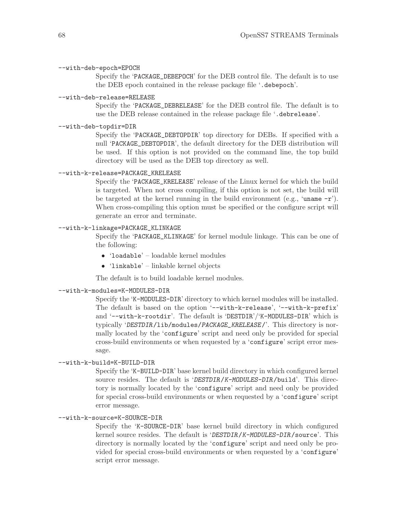#### --with-deb-epoch=EPOCH

Specify the 'PACKAGE\_DEBEPOCH' for the DEB control file. The default is to use the DEB epoch contained in the release package file '.debepoch'.

### --with-deb-release=RELEASE

Specify the 'PACKAGE\_DEBRELEASE' for the DEB control file. The default is to use the DEB release contained in the release package file '.debrelease'.

#### --with-deb-topdir=DIR

Specify the 'PACKAGE\_DEBTOPDIR' top directory for DEBs. If specified with a null 'PACKAGE\_DEBTOPDIR', the default directory for the DEB distribution will be used. If this option is not provided on the command line, the top build directory will be used as the DEB top directory as well.

### --with-k-release=PACKAGE\_KRELEASE

Specify the 'PACKAGE\_KRELEASE' release of the Linux kernel for which the build is targeted. When not cross compiling, if this option is not set, the build will be targeted at the kernel running in the build environment (e.g., 'uname  $-r$ '). When cross-compiling this option must be specified or the configure script will generate an error and terminate.

### --with-k-linkage=PACKAGE\_KLINKAGE

Specify the 'PACKAGE\_KLINKAGE' for kernel module linkage. This can be one of the following:

- 'loadable' loadable kernel modules
- 'linkable' linkable kernel objects

The default is to build loadable kernel modules.

#### --with-k-modules=K-MODULES-DIR

Specify the 'K-MODULES-DIR' directory to which kernel modules will be installed. The default is based on the option '--with-k-release', '--with-k-prefix' and '--with-k-rootdir'. The default is 'DESTDIR'/'K-MODULES-DIR' which is typically 'DESTDIR/lib/modules/PACKAGE\_KRELEASE/'. This directory is normally located by the 'configure' script and need only be provided for special cross-build environments or when requested by a 'configure' script error message.

### --with-k-build=K-BUILD-DIR

Specify the 'K-BUILD-DIR' base kernel build directory in which configured kernel source resides. The default is 'DESTDIR/K-MODULES-DIR/build'. This directory is normally located by the 'configure' script and need only be provided for special cross-build environments or when requested by a 'configure' script error message.

### --with-k-source=K-SOURCE-DIR

Specify the 'K-SOURCE-DIR' base kernel build directory in which configured kernel source resides. The default is 'DESTDIR/K-MODULES-DIR/source'. This directory is normally located by the 'configure' script and need only be provided for special cross-build environments or when requested by a 'configure' script error message.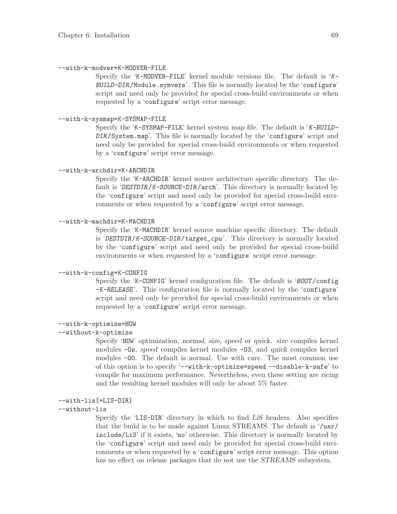### --with-k-modver=K-MODVER-FILE

Specify the 'K-MODVER-FILE' kernel module versions file. The default is 'K-BUILD-DIR/Module.symvers'. This file is normally located by the 'configure' script and need only be provided for special cross-build environments or when requested by a 'configure' script error message.

### --with-k-sysmap=K-SYSMAP-FILE

Specify the 'K-SYSMAP-FILE' kernel system map file. The default is 'K-BUILD-DIR/System.map'. This file is normally located by the 'configure' script and need only be provided for special cross-build environments or when requested by a 'configure' script error message.

### --with-k-archdir=K-ARCHDIR

Specify the 'K-ARCHDIR' kernel source architecture specific directory. The default is 'DESTDIR/K-SOURCE-DIR/arch'. This directory is normally located by the 'configure' script and need only be provided for special cross-build environments or when requested by a 'configure' script error message.

### --with-k-machdir=K-MACHDIR

Specify the 'K-MACHDIR' kernel source machine specific directory. The default is 'DESTDIR/K-SOURCE-DIR/target\_cpu'. This directory is normally located by the 'configure' script and need only be provided for special cross-build environments or when requested by a 'configure' script error message.

### --with-k-config=K-CONFIG

Specify the 'K-CONFIG' kernel configuration file. The default is 'BOOT/config -K-RELEASE'. This configuration file is normally located by the 'configure' script and need only be provided for special cross-build environments or when requested by a 'configure' script error message.

#### --with-k-optimize=HOW

### --without-k-optimize

Specify 'HOW' optimization, normal, size, speed or quick. size compiles kernel modules -Os, speed compiles kernel modules -O3, and quick compiles kernel modules -O0. The default is normal. Use with care. The most common use of this option is to specify '--with-k-optimize=speed --disable-k-safe' to compile for maximum performance. Nevertheless, even these setting are ricing and the resulting kernel modules will only be about 5% faster.

#### --with-lis[=LIS-DIR]

#### --without-lis

Specify the 'LIS-DIR' directory in which to find LiS headers. Also specifies that the build is to be made against Linux STREAMS. The default is '/usr/ include/LiS' if it exists, 'no' otherwise. This directory is normally located by the 'configure' script and need only be provided for special cross-build environments or when requested by a 'configure' script error message. This option has no effect on release packages that do not use the STREAMS subsystem.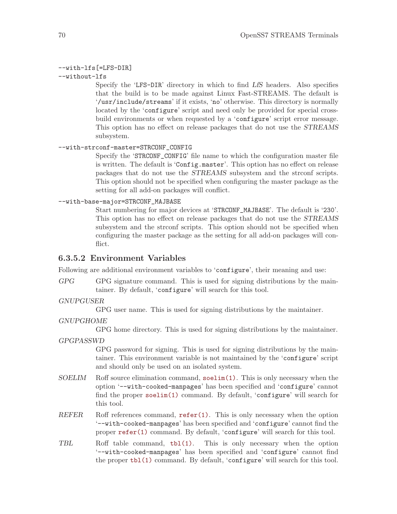### --with-lfs[=LFS-DIR]

--without-lfs

Specify the 'LFS-DIR' directory in which to find LfS headers. Also specifies that the build is to be made against Linux Fast-STREAMS. The default is '/usr/include/streams' if it exists, 'no' otherwise. This directory is normally located by the 'configure' script and need only be provided for special crossbuild environments or when requested by a 'configure' script error message. This option has no effect on release packages that do not use the STREAMS subsystem.

#### --with-strconf-master=STRCONF\_CONFIG

Specify the 'STRCONF\_CONFIG' file name to which the configuration master file is written. The default is 'Config.master'. This option has no effect on release packages that do not use the STREAMS subsystem and the strconf scripts. This option should not be specified when configuring the master package as the setting for all add-on packages will conflict.

### --with-base-major=STRCONF\_MAJBASE

Start numbering for major devices at 'STRCONF\_MAJBASE'. The default is '230'. This option has no effect on release packages that do not use the STREAMS subsystem and the strconf scripts. This option should not be specified when configuring the master package as the setting for all add-on packages will conflict.

### 6.3.5.2 Environment Variables

Following are additional environment variables to 'configure', their meaning and use:

GPG GPG signature command. This is used for signing distributions by the maintainer. By default, 'configure' will search for this tool.

### GNUPGUSER

GPG user name. This is used for signing distributions by the maintainer.

#### GNUPGHOME

GPG home directory. This is used for signing distributions by the maintainer.

#### GPGPASSWD

GPG password for signing. This is used for signing distributions by the maintainer. This environment variable is not maintained by the 'configure' script and should only be used on an isolated system.

- $SOELIM$  Roff source elimination command,  $\text{selim}(1)$ . This is only necessary when the option '--with-cooked-manpages' has been specified and 'configure' cannot find the proper [soelim\(1\)](http://www.openss7.org/man2html?soelim(1)) command. By default, 'configure' will search for this tool.
- REFER Roff references command, [refer\(1\)](http://www.openss7.org/man2html?refer(1)). This is only necessary when the option '--with-cooked-manpages' has been specified and 'configure' cannot find the proper  $\text{refer}(1)$  command. By default, 'configure' will search for this tool.
- TBL Roff table command, [tbl\(1\)](http://www.openss7.org/man2html?tbl(1)). This is only necessary when the option '--with-cooked-manpages' has been specified and 'configure' cannot find the proper [tbl\(1\)](http://www.openss7.org/man2html?tbl(1)) command. By default, 'configure' will search for this tool.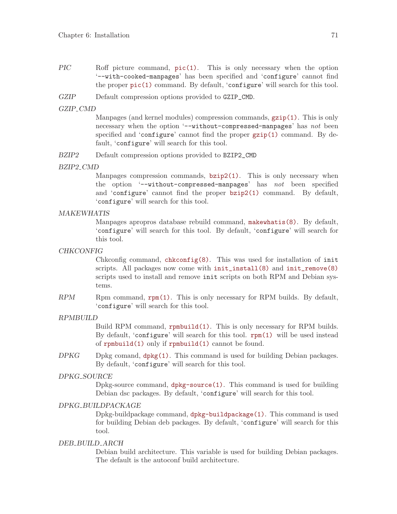- PIC Roff picture command,  $pic(1)$ . This is only necessary when the option '--with-cooked-manpages' has been specified and 'configure' cannot find the proper [pic\(1\)](http://www.openss7.org/man2html?pic(1)) command. By default, 'configure' will search for this tool.
- GZIP Default compression options provided to GZIP\_CMD.

### GZIP CMD

Manpages (and kernel modules) compression commands, [gzip\(1\)](http://www.openss7.org/man2html?gzip(1)). This is only necessary when the option '--without-compressed-manpages' has not been specified and 'configure' cannot find the proper [gzip\(1\)](http://www.openss7.org/man2html?gzip(1)) command. By default, 'configure' will search for this tool.

BZIP2 Default compression options provided to BZIP2\_CMD

#### BZIP2 CMD

Manpages compression commands, [bzip2\(1\)](http://www.openss7.org/man2html?bzip2(1)). This is only necessary when the option '--without-compressed-manpages' has not been specified and 'configure' cannot find the proper [bzip2\(1\)](http://www.openss7.org/man2html?bzip2(1)) command. By default, 'configure' will search for this tool.

### MAKEWHATIS

Manpages apropros database rebuild command, [makewhatis\(8\)](http://www.openss7.org/man2html?makewhatis(8)). By default, 'configure' will search for this tool. By default, 'configure' will search for this tool.

### CHKCONFIG

Chkconfig command,  $\text{chkconfig}(8)$ . This was used for installation of init scripts. All packages now come with  $init\_install(8)$  and  $init\_remove(8)$ scripts used to install and remove init scripts on both RPM and Debian systems.

 $RPM$  Rpm command,  $rpm(1)$ . This is only necessary for RPM builds. By default, 'configure' will search for this tool.

### RPMBUILD

Build RPM command, [rpmbuild\(1\)](http://www.openss7.org/man2html?rpmbuild(1)). This is only necessary for RPM builds. By default, 'configure' will search for this tool. [rpm\(1\)](http://www.openss7.org/man2html?rpm(1)) will be used instead of [rpmbuild\(1\)](http://www.openss7.org/man2html?rpmbuild(1)) only if [rpmbuild\(1\)](http://www.openss7.org/man2html?rpmbuild(1)) cannot be found.

DPKG Dpkg comand,  $dpkg(1)$ . This command is used for building Debian packages. By default, 'configure' will search for this tool.

### DPKG SOURCE

Dpkg-source command, [dpkg-source\(1\)](http://www.openss7.org/man2html?dpkg-source(1)). This command is used for building Debian dsc packages. By default, 'configure' will search for this tool.

### DPKG BUILDPACKAGE

Dpkg-buildpackage command, [dpkg-buildpackage\(1\)](http://www.openss7.org/man2html?dpkg-buildpackage(1)). This command is used for building Debian deb packages. By default, 'configure' will search for this tool.

### DEB BUILD ARCH

Debian build architecture. This variable is used for building Debian packages. The default is the autoconf build architecture.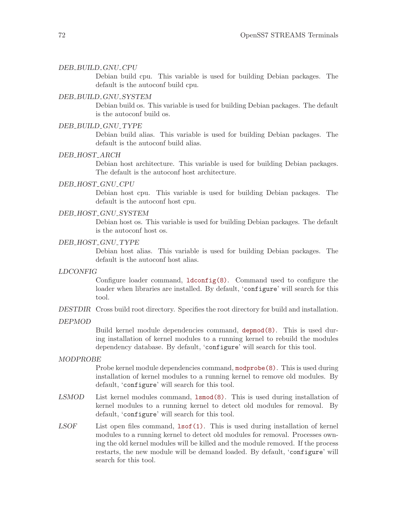#### DEB BUILD GNU CPU

Debian build cpu. This variable is used for building Debian packages. The default is the autoconf build cpu.

### DEB BUILD GNU SYSTEM

Debian build os. This variable is used for building Debian packages. The default is the autoconf build os.

### DEB BUILD GNU TYPE

Debian build alias. This variable is used for building Debian packages. The default is the autoconf build alias.

#### DEB HOST ARCH

Debian host architecture. This variable is used for building Debian packages. The default is the autoconf host architecture.

### DEB HOST GNU CPU

Debian host cpu. This variable is used for building Debian packages. The default is the autoconf host cpu.

### DEB HOST GNU SYSTEM

Debian host os. This variable is used for building Debian packages. The default is the autoconf host os.

### DEB HOST GNU TYPE

Debian host alias. This variable is used for building Debian packages. The default is the autoconf host alias.

### LDCONFIG

Configure loader command,  $ld$ config(8). Command used to configure the loader when libraries are installed. By default, 'configure' will search for this tool.

DESTDIR Cross build root directory. Specifies the root directory for build and installation.

DEPMOD

Build kernel module dependencies command, [depmod\(8\)](http://www.openss7.org/man2html?depmod(8)). This is used during installation of kernel modules to a running kernel to rebuild the modules dependency database. By default, 'configure' will search for this tool.

#### MODPROBE

Probe kernel module dependencies command, [modprobe\(8\)](http://www.openss7.org/man2html?modprobe(8)). This is used during installation of kernel modules to a running kernel to remove old modules. By default, 'configure' will search for this tool.

- LSMOD List kernel modules command, [lsmod\(8\)](http://www.openss7.org/man2html?lsmod(8)). This is used during installation of kernel modules to a running kernel to detect old modules for removal. By default, 'configure' will search for this tool.
- $LSOF$  List open files command,  $lsof(1)$ . This is used during installation of kernel modules to a running kernel to detect old modules for removal. Processes owning the old kernel modules will be killed and the module removed. If the process restarts, the new module will be demand loaded. By default, 'configure' will search for this tool.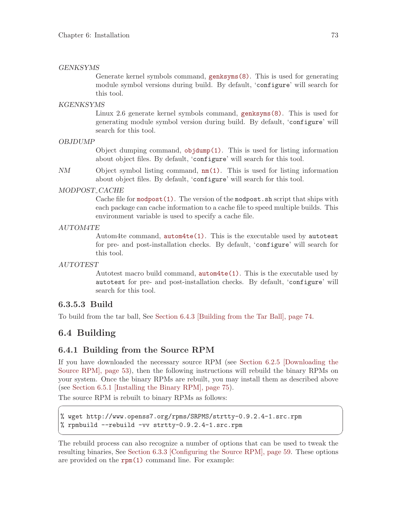#### GENKSYMS

Generate kernel symbols command, [genksyms\(8\)](http://www.openss7.org/man2html?genksyms(8)). This is used for generating module symbol versions during build. By default, 'configure' will search for this tool.

#### KGENKSYMS

Linux 2.6 generate kernel symbols command, [genksyms\(8\)](http://www.openss7.org/man2html?genksyms(8)). This is used for generating module symbol version during build. By default, 'configure' will search for this tool.

### OBJDUMP

Object dumping command,  $objdump(1)$ . This is used for listing information about object files. By default, 'configure' will search for this tool.

NM Object symbol listing command, [nm\(1\)](http://www.openss7.org/man2html?nm(1)). This is used for listing information about object files. By default, 'configure' will search for this tool.

#### MODPOST CACHE

Cache file for [modpost\(1\)](http://www.openss7.org/man2html?modpost(1)). The version of the modpost.sh script that ships with each package can cache information to a cache file to speed multiple builds. This environment variable is used to specify a cache file.

#### AUTOM4TE

Autom4te command, [autom4te\(1\)](http://www.openss7.org/man2html?autom4te(1)). This is the executable used by autotest for pre- and post-installation checks. By default, 'configure' will search for this tool.

### AUTOTEST

Autotest macro build command, [autom4te\(1\)](http://www.openss7.org/man2html?autom4te(1)). This is the executable used by autotest for pre- and post-installation checks. By default, 'configure' will search for this tool.

## 6.3.5.3 Build

To build from the tar ball, See [Section 6.4.3 \[Building from the Tar Ball\], page 74](#page-83-1).

## 6.4 Building

### <span id="page-82-0"></span>6.4.1 Building from the Source RPM

If you have downloaded the necessary source RPM (see [Section 6.2.5 \[Downloading the](#page-62-0) [Source RPM\], page 53\)](#page-62-0), then the following instructions will rebuild the binary RPMs on your system. Once the binary RPMs are rebuilt, you may install them as described above (see [Section 6.5.1 \[Installing the Binary RPM\], page 75\)](#page-84-0).

 $\sqrt{a}$   $\sqrt{a}$   $\sqrt{a}$   $\sqrt{a}$   $\sqrt{a}$   $\sqrt{a}$   $\sqrt{a}$   $\sqrt{a}$   $\sqrt{a}$   $\sqrt{a}$   $\sqrt{a}$   $\sqrt{a}$   $\sqrt{a}$   $\sqrt{a}$   $\sqrt{a}$   $\sqrt{a}$   $\sqrt{a}$   $\sqrt{a}$   $\sqrt{a}$   $\sqrt{a}$   $\sqrt{a}$   $\sqrt{a}$   $\sqrt{a}$   $\sqrt{a}$   $\sqrt{a}$   $\sqrt{a}$   $\sqrt{a}$   $\sqrt{a$ 

✡ ✠

The source RPM is rebuilt to binary RPMs as follows:

```
% wget http://www.openss7.org/rpms/SRPMS/strtty-0.9.2.4-1.src.rpm
% rpmbuild --rebuild -vv strtty-0.9.2.4-1.src.rpm
```
The rebuild process can also recognize a number of options that can be used to tweak the resulting binaries, See [Section 6.3.3 \[Configuring the Source RPM\], page 59](#page-68-0). These options are provided on the  $rpm(1)$  command line. For example: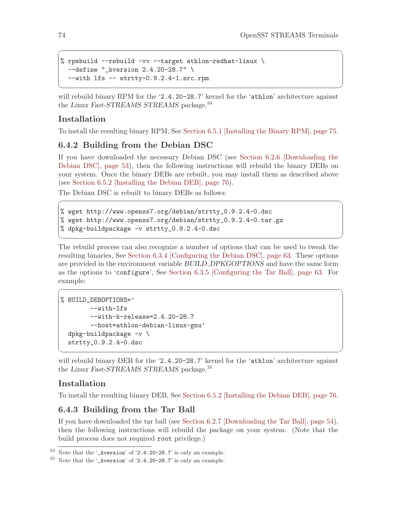```
% rpmbuild --rebuild -vv --target athlon-redhat-linux \
 --define "_kversion 2.4.20-28.7" \
 --with lfs -- strtty-0.9.2.4-1.src.rpm
```
will rebuild binary RPM for the '2.4.20-28.7' kernel for the 'athlon' architecture against the Linux Fast-STREAMS STREAMS package.<sup>34</sup>

 $\sqrt{a}$   $\sqrt{a}$   $\sqrt{a}$   $\sqrt{a}$   $\sqrt{a}$   $\sqrt{a}$   $\sqrt{a}$   $\sqrt{a}$   $\sqrt{a}$   $\sqrt{a}$   $\sqrt{a}$   $\sqrt{a}$   $\sqrt{a}$   $\sqrt{a}$   $\sqrt{a}$   $\sqrt{a}$   $\sqrt{a}$   $\sqrt{a}$   $\sqrt{a}$   $\sqrt{a}$   $\sqrt{a}$   $\sqrt{a}$   $\sqrt{a}$   $\sqrt{a}$   $\sqrt{a}$   $\sqrt{a}$   $\sqrt{a}$   $\sqrt{a$ 

✡ ✠

## Installation

To install the resulting binary RPM, See [Section 6.5.1 \[Installing the Binary RPM\], page 75.](#page-84-0)

## <span id="page-83-0"></span>6.4.2 Building from the Debian DSC

If you have downloaded the necessary Debian DSC (see [Section 6.2.6 \[Downloading the](#page-62-1) [Debian DSC\], page 53\)](#page-62-1), then the following instructions will rebuild the binary DEBs on your system. Once the binary DEBs are rebuilt, you may install them as described above (see [Section 6.5.2 \[Installing the Debian DEB\], page 76](#page-85-0)).

 $\sqrt{2\pi}$ 

✡ ✠

 $\sqrt{2\pi}$ 

The Debian DSC is rebuilt to binary DEBs as follows:

```
% wget http://www.openss7.org/debian/strtty_0.9.2.4-0.dsc
% wget http://www.openss7.org/debian/strtty_0.9.2.4-0.tar.gz
% dpkg-buildpackage -v strtty_0.9.2.4-0.dsc
```
The rebuild process can also recognize a number of options that can be used to tweak the resulting binaries, See [Section 6.3.4 \[Configuring the Debian DSC\], page 63](#page-72-1). These options are provided in the environment variable BUILD\_DPKGOPTIONS and have the same form as the options to 'configure', See [Section 6.3.5 \[Configuring the Tar Ball\], page 63](#page-72-0). For example:

```
% BUILD_DEBOPTIONS='
        --with-lfs
        --with-k-release=2.4.20-28.7
        --host=athlon-debian-linux-gnu'
  dpkg-buildpackage -v \
  strtty_0.9.2.4-0.dsc
```
will rebuild binary DEB for the '2.4.20-28.7' kernel for the 'athlon' architecture against the Linux Fast-STREAMS STREAMS package.<sup>35</sup>

✡ ✠

## Installation

To install the resulting binary DEB, See [Section 6.5.2 \[Installing the Debian DEB\], page 76.](#page-85-0)

## <span id="page-83-1"></span>6.4.3 Building from the Tar Ball

If you have downloaded the tar ball (see [Section 6.2.7 \[Downloading the Tar Ball\], page 54\)](#page-63-0), then the following instructions will rebuild the package on your system. (Note that the build process does not required root privilege.)

<sup>34</sup> Note that the '\_kversion' of '2.4.20-28.7' is only an example.

<sup>35</sup> Note that the '\_kversion' of '2.4.20-28.7' is only an example.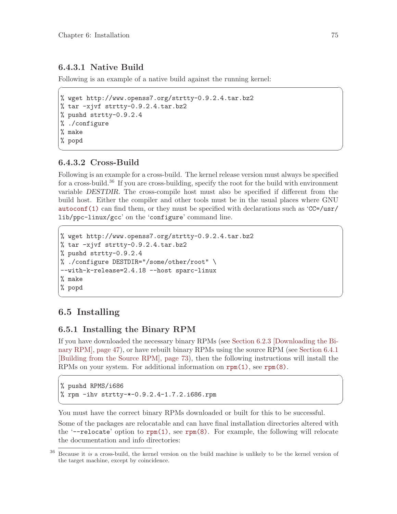## 6.4.3.1 Native Build

Following is an example of a native build against the running kernel:

% wget http://www.openss7.org/strtty-0.9.2.4.tar.bz2 % tar -xjvf strtty-0.9.2.4.tar.bz2 % pushd strtty-0.9.2.4 % ./configure % make % popd

## 6.4.3.2 Cross-Build

Following is an example for a cross-build. The kernel release version must always be specified for a cross-build.<sup>36</sup> If you are cross-building, specify the root for the build with environment variable DESTDIR. The cross-compile host must also be specified if different from the build host. Either the compiler and other tools must be in the usual places where GNU [autoconf\(1\)](http://www.openss7.org/man2html?autoconf(1)) can find them, or they must be specified with declarations such as  $CC=/usr/$ lib/ppc-linux/gcc' on the 'configure' command line.

 $\sqrt{2\pi}$ 

✡ ✠

 $\sqrt{2\pi}$ 

✡ ✠

```
% wget http://www.openss7.org/strtty-0.9.2.4.tar.bz2
% tar -xjvf strtty-0.9.2.4.tar.bz2
% pushd strtty-0.9.2.4
% ./configure DESTDIR="/some/other/root" \
--with-k-release=2.4.18 --host sparc-linux
% make
% popd
```
# 6.5 Installing

## <span id="page-84-0"></span>6.5.1 Installing the Binary RPM

If you have downloaded the necessary binary RPMs (see [Section 6.2.3 \[Downloading the Bi](#page-56-0)[nary RPM\], page 47\)](#page-56-0), or have rebuilt binary RPMs using the source RPM (see [Section 6.4.1](#page-82-0) [\[Building from the Source RPM\], page 73\)](#page-82-0), then the following instructions will install the RPMs on your system. For additional information on [rpm\(1\)](http://www.openss7.org/man2html?rpm(1)), see [rpm\(8\)](http://www.openss7.org/man2html?rpm(8)).

 $\sqrt{2\pi}$ 

✡ ✠

% pushd RPMS/i686 % rpm -ihv strtty-\*-0.9.2.4-1.7.2.i686.rpm

You must have the correct binary RPMs downloaded or built for this to be successful.

Some of the packages are relocatable and can have final installation directories altered with the '--relocate' option to  $rpm(1)$ , see  $rpm(8)$ . For example, the following will relocate the documentation and info directories:

<sup>36</sup> Because it is a cross-build, the kernel version on the build machine is unlikely to be the kernel version of the target machine, except by coincidence.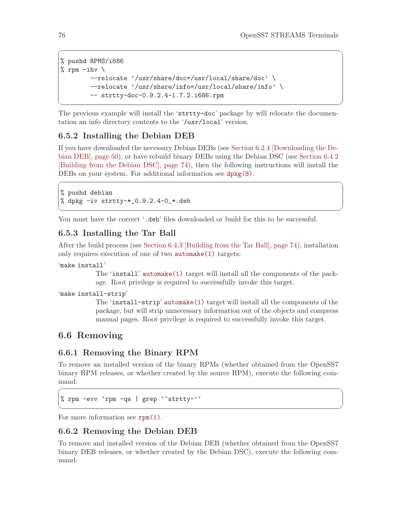```
% pushd RPMS/i686
% rpm -ihv \setminus--relocate '/usr/share/doc=/usr/local/share/doc' \
        --relocate '/usr/share/info=/usr/local/share/info' \
        -- strtty-doc-0.9.2.4-1.7.2.i686.rpm
```
The previous example will install the 'strtty-doc' package by will relocate the documentation an info directory contents to the '/usr/local' version.

✡ ✠

 $\sqrt{a}$   $\sqrt{a}$   $\sqrt{a}$   $\sqrt{a}$   $\sqrt{a}$   $\sqrt{a}$   $\sqrt{a}$   $\sqrt{a}$   $\sqrt{a}$   $\sqrt{a}$   $\sqrt{a}$   $\sqrt{a}$   $\sqrt{a}$   $\sqrt{a}$   $\sqrt{a}$   $\sqrt{a}$   $\sqrt{a}$   $\sqrt{a}$   $\sqrt{a}$   $\sqrt{a}$   $\sqrt{a}$   $\sqrt{a}$   $\sqrt{a}$   $\sqrt{a}$   $\sqrt{a}$   $\sqrt{a}$   $\sqrt{a}$   $\sqrt{a$ 

# <span id="page-85-0"></span>6.5.2 Installing the Debian DEB

If you have downloaded the necessary Debian DEBs (see [Section 6.2.4 \[Downloading the De](#page-59-0)[bian DEB\], page 50](#page-59-0)), or have rebuild binary DEBs using the Debian DSC (see [Section 6.4.2](#page-83-0) [\[Building from the Debian DSC\], page 74](#page-83-0)), then the following instructions will install the DEBs on your system. For additional information see [dpkg\(8\)](http://www.openss7.org/man2html?dpkg(8)).

 $\sqrt{2\pi}$ 

✡ ✠

% pushd debian % dpkg -iv strtty-\*\_0.9.2.4-0\_\*.deb

You must have the correct '.deb' files downloaded or build for this to be successful.

## <span id="page-85-3"></span>6.5.3 Installing the Tar Ball

After the build process (see [Section 6.4.3 \[Building from the Tar Ball\], page 74](#page-83-1)), installation only requires execution of one of two [automake\(1\)](http://www.openss7.org/man2html?automake(1)) targets:

### 'make install'

The 'install' [automake\(1\)](http://www.openss7.org/man2html?automake(1)) target will install all the components of the package. Root privilege is required to successfully invoke this target.

### 'make install-strip'

The 'install-strip' [automake\(1\)](http://www.openss7.org/man2html?automake(1)) target will install all the components of the package, but will strip unnecessary information out of the objects and compress manual pages. Root privilege is required to successfully invoke this target.

## 6.6 Removing

## <span id="page-85-1"></span>6.6.1 Removing the Binary RPM

To remove an installed version of the binary RPMs (whether obtained from the OpenSS7 binary RPM releases, or whether created by the source RPM), execute the following command:

 $\sqrt{2\pi}$ 

✡ ✠

% rpm -evv 'rpm -qa | grep '^strtty-''

For more information see  $\texttt{rpm}(1)$ .

## <span id="page-85-2"></span>6.6.2 Removing the Debian DEB

To remove and installed version of the Debian DEB (whether obtained from the OpenSS7 binary DEB releases, or whether created by the Debian DSC), execute the following command: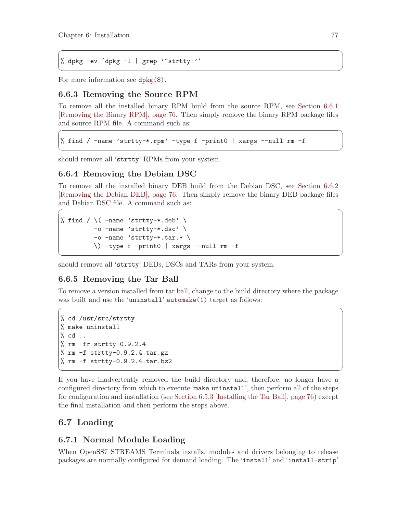```
% dpkg -ev 'dpkg -l | grep '^strtty-''
```
For more information see [dpkg\(8\)](http://www.openss7.org/man2html?dpkg(8)).

## 6.6.3 Removing the Source RPM

To remove all the installed binary RPM build from the source RPM, see [Section 6.6.1](#page-85-1) [\[Removing the Binary RPM\], page 76](#page-85-1). Then simply remove the binary RPM package files and source RPM file. A command such as:  $\sqrt{2\pi}$ 

✡ ✠

 $\sqrt{a}$   $\sqrt{a}$   $\sqrt{a}$   $\sqrt{a}$   $\sqrt{a}$   $\sqrt{a}$   $\sqrt{a}$   $\sqrt{a}$   $\sqrt{a}$   $\sqrt{a}$   $\sqrt{a}$   $\sqrt{a}$   $\sqrt{a}$   $\sqrt{a}$   $\sqrt{a}$   $\sqrt{a}$   $\sqrt{a}$   $\sqrt{a}$   $\sqrt{a}$   $\sqrt{a}$   $\sqrt{a}$   $\sqrt{a}$   $\sqrt{a}$   $\sqrt{a}$   $\sqrt{a}$   $\sqrt{a}$   $\sqrt{a}$   $\sqrt{a$ 

✡ ✠

```
% find / -name 'strtty-*.rpm' -type f -print0 | xargs --null rm -f
```
should remove all 'strtty' RPMs from your system.

## 6.6.4 Removing the Debian DSC

To remove all the installed binary DEB build from the Debian DSC, see [Section 6.6.2](#page-85-2) [\[Removing the Debian DEB\], page 76](#page-85-2). Then simply remove the binary DEB package files and Debian DSC file. A command such as:  $\sqrt{a}$ 

```
% find / \langle -name 'strtty-*.deb' \langle-o -name 'strtty-*.dsc' \
          \overline{\ }-o -name 'strtty-*.tar.* \
          \) -type f -print0 | xargs --null rm -f
```
should remove all 'strtty' DEBs, DSCs and TARs from your system.

## 6.6.5 Removing the Tar Ball

To remove a version installed from tar ball, change to the build directory where the package was built and use the 'uninstall' [automake\(1\)](http://www.openss7.org/man2html?automake(1)) target as follows:

 $\sqrt{2\pi}$ 

✡ ✠

```
% cd /usr/src/strtty
% make uninstall
% cd ..
% rm -fr strtty-0.9.2.4
% rm -f strtty-0.9.2.4.tar.gz
% rm -f strtty-0.9.2.4.tar.bz2
```
If you have inadvertently removed the build directory and, therefore, no longer have a configured directory from which to execute 'make uninstall', then perform all of the steps for configuration and installation (see [Section 6.5.3 \[Installing the Tar Ball\], page 76](#page-85-3)) except the final installation and then perform the steps above.

✡ ✠

# 6.7 Loading

## 6.7.1 Normal Module Loading

When OpenSS7 STREAMS Terminals installs, modules and drivers belonging to release packages are normally configured for demand loading. The 'install' and 'install-strip'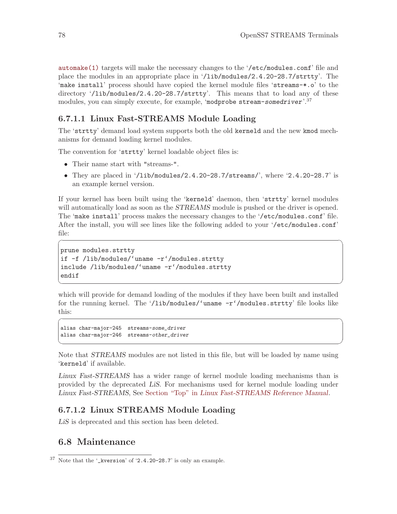[automake\(1\)](http://www.openss7.org/man2html?automake(1)) targets will make the necessary changes to the '/etc/modules.conf' file and place the modules in an appropriate place in '/lib/modules/2.4.20-28.7/strtty'. The 'make install' process should have copied the kernel module files 'streams-\*.o' to the directory '/lib/modules/2.4.20-28.7/strtty'. This means that to load any of these modules, you can simply execute, for example, 'modprobe stream-somedriver'.<sup>37</sup>

## 6.7.1.1 Linux Fast-STREAMS Module Loading

The 'strtty' demand load system supports both the old kerneld and the new kmod mechanisms for demand loading kernel modules.

The convention for 'strtty' kernel loadable object files is:

- Their name start with "streams-".
- They are placed in  $\langle$ 1ib/modules/2.4.20-28.7/streams/', where  $\langle$ 2.4.20-28.7' is an example kernel version.

If your kernel has been built using the 'kerneld' daemon, then 'strtty' kernel modules will automatically load as soon as the *STREAMS* module is pushed or the driver is opened. The 'make install' process makes the necessary changes to the '/etc/modules.conf' file. After the install, you will see lines like the following added to your '/etc/modules.conf' file:

 $\sqrt{2\pi}$ 

 $\overline{\phantom{a}}$   $\overline{\phantom{a}}$   $\overline{\phantom{a}}$   $\overline{\phantom{a}}$   $\overline{\phantom{a}}$   $\overline{\phantom{a}}$   $\overline{\phantom{a}}$   $\overline{\phantom{a}}$   $\overline{\phantom{a}}$   $\overline{\phantom{a}}$   $\overline{\phantom{a}}$   $\overline{\phantom{a}}$   $\overline{\phantom{a}}$   $\overline{\phantom{a}}$   $\overline{\phantom{a}}$   $\overline{\phantom{a}}$   $\overline{\phantom{a}}$   $\overline{\phantom{a}}$   $\overline{\$ 

 $\sqrt{a}$ 

✡ ✠

```
prune modules.strtty
if -f /lib/modules/'uname -r'/modules.strtty
include /lib/modules/'uname -r'/modules.strtty
endif
```
which will provide for demand loading of the modules if they have been built and installed for the running kernel. The '/lib/modules/'uname -r'/modules.strtty' file looks like this:

```
alias char-major-245 streams-some_driver
alias char-major-246 streams-other_driver
```
Note that STREAMS modules are not listed in this file, but will be loaded by name using 'kerneld' if available.

Linux Fast-STREAMS has a wider range of kernel module loading mechanisms than is provided by the deprecated LiS. For mechanisms used for kernel module loading under Linux Fast-STREAMS, See Section "Top" in Linux Fast-STREAMS Reference Manual.

## 6.7.1.2 Linux STREAMS Module Loading

LiS is deprecated and this section has been deleted.

## 6.8 Maintenance

<sup>37</sup> Note that the '\_kversion' of '2.4.20-28.7' is only an example.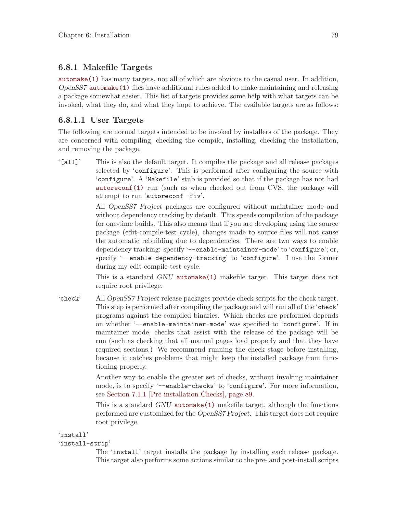## 6.8.1 Makefile Targets

[automake\(1\)](http://www.openss7.org/man2html?automake(1)) has many targets, not all of which are obvious to the casual user. In addition, OpenSS7 [automake\(1\)](http://www.openss7.org/man2html?automake(1)) files have additional rules added to make maintaining and releasing a package somewhat easier. This list of targets provides some help with what targets can be invoked, what they do, and what they hope to achieve. The available targets are as follows:

## 6.8.1.1 User Targets

The following are normal targets intended to be invoked by installers of the package. They are concerned with compiling, checking the compile, installing, checking the installation, and removing the package.

'[all]' This is also the default target. It compiles the package and all release packages selected by 'configure'. This is performed after configuring the source with 'configure'. A 'Makefile' stub is provided so that if the package has not had [autoreconf\(1\)](http://www.openss7.org/man2html?autoreconf(1)) run (such as when checked out from CVS, the package will attempt to run 'autoreconf -fiv'.

> All OpenSS7 Project packages are configured without maintainer mode and without dependency tracking by default. This speeds compilation of the package for one-time builds. This also means that if you are developing using the source package (edit-compile-test cycle), changes made to source files will not cause the automatic rebuilding due to dependencies. There are two ways to enable dependency tracking: specify '--enable-maintainer-mode' to 'configure'; or, specify '--enable-dependency-tracking' to 'configure'. I use the former during my edit-compile-test cycle.

> This is a standard GNU [automake\(1\)](http://www.openss7.org/man2html?automake(1)) makefile target. This target does not require root privilege.

'check' All OpenSS7 Project release packages provide check scripts for the check target. This step is performed after compiling the package and will run all of the 'check' programs against the compiled binaries. Which checks are performed depends on whether '--enable-maintainer-mode' was specified to 'configure'. If in maintainer mode, checks that assist with the release of the package will be run (such as checking that all manual pages load properly and that they have required sections.) We recommend running the check stage before installing, because it catches problems that might keep the installed package from functioning properly.

> Another way to enable the greater set of checks, without invoking maintainer mode, is to specify '--enable-checks' to 'configure'. For more information, see [Section 7.1.1 \[Pre-installation Checks\], page 89](#page-98-0).

> This is a standard GNU [automake\(1\)](http://www.openss7.org/man2html?automake(1)) makefile target, although the functions performed are customized for the OpenSS7 Project. This target does not require root privilege.

### 'install'

### 'install-strip'

The 'install' target installs the package by installing each release package. This target also performs some actions similar to the pre- and post-install scripts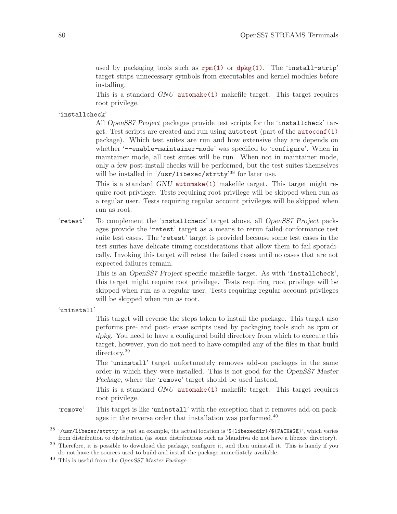used by packaging tools such as [rpm\(1\)](http://www.openss7.org/man2html?rpm(1)) or [dpkg\(1\)](http://www.openss7.org/man2html?dpkg(1)). The 'install-strip' target strips unnecessary symbols from executables and kernel modules before installing.

This is a standard GNU [automake\(1\)](http://www.openss7.org/man2html?automake(1)) makefile target. This target requires root privilege.

### 'installcheck'

All OpenSS7 Project packages provide test scripts for the 'installcheck' target. Test scripts are created and run using autotest (part of the [autoconf\(1\)](http://www.openss7.org/man2html?autoconf(1)) package). Which test suites are run and how extensive they are depends on whether '--enable-maintainer-mode' was specified to 'configure'. When in maintainer mode, all test suites will be run. When not in maintainer mode, only a few post-install checks will be performed, but the test suites themselves will be installed in '/usr/libexec/strtty'<sup>38</sup> for later use.

This is a standard GNU [automake\(1\)](http://www.openss7.org/man2html?automake(1)) makefile target. This target might require root privilege. Tests requiring root privilege will be skipped when run as a regular user. Tests requiring regular account privileges will be skipped when run as root.

'retest' To complement the 'installcheck' target above, all OpenSS7 Project packages provide the 'retest' target as a means to rerun failed conformance test suite test cases. The 'retest' target is provided because some test cases in the test suites have delicate timing considerations that allow them to fail sporadically. Invoking this target will retest the failed cases until no cases that are not expected failures remain.

> This is an OpenSS7 Project specific makefile target. As with 'installcheck', this target might require root privilege. Tests requiring root privilege will be skipped when run as a regular user. Tests requiring regular account privileges will be skipped when run as root.

'uninstall'

This target will reverse the steps taken to install the package. This target also performs pre- and post- erase scripts used by packaging tools such as rpm or dpkg. You need to have a configured build directory from which to execute this target, however, you do not need to have compiled any of the files in that build directory.<sup>39</sup>

The 'uninstall' target unfortunately removes add-on packages in the same order in which they were installed. This is not good for the OpenSS7 Master Package, where the 'remove' target should be used instead.

This is a standard GNU [automake\(1\)](http://www.openss7.org/man2html?automake(1)) makefile target. This target requires root privilege.

'remove' This target is like 'uninstall' with the exception that it removes add-on packages in the reverse order that installation was performed.<sup>40</sup>

<sup>38</sup> '/usr/libexec/strtty' is just an example, the actual location is '\${libexecdir}/\${PACKAGE}', which varies from distribution to distribution (as some distributions such as Mandriva do not have a libexec directory).

<sup>&</sup>lt;sup>39</sup> Therefore, it is possible to download the package, configure it, and then uninstall it. This is handy if you do not have the sources used to build and install the package immediately available.

<sup>40</sup> This is useful from the OpenSS7 Master Package.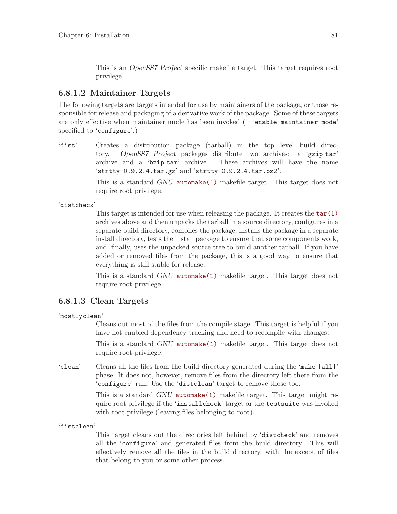This is an OpenSS7 Project specific makefile target. This target requires root privilege.

## 6.8.1.2 Maintainer Targets

The following targets are targets intended for use by maintainers of the package, or those responsible for release and packaging of a derivative work of the package. Some of these targets are only effective when maintainer mode has been invoked ('--enable-maintainer-mode' specified to 'configure'.)

'dist' Creates a distribution package (tarball) in the top level build directory. OpenSS7 Project packages distribute two archives: a 'gzip tar' archive and a 'bzip tar' archive. These archives will have the name 'strtty-0.9.2.4.tar.gz' and 'strtty-0.9.2.4.tar.bz2'.

> This is a standard GNU [automake\(1\)](http://www.openss7.org/man2html?automake(1)) makefile target. This target does not require root privilege.

'distcheck'

This target is intended for use when releasing the package. It creates the  $\tan(1)$ archives above and then unpacks the tarball in a source directory, configures in a separate build directory, compiles the package, installs the package in a separate install directory, tests the install package to ensure that some components work, and, finally, uses the unpacked source tree to build another tarball. If you have added or removed files from the package, this is a good way to ensure that everything is still stable for release.

This is a standard GNU [automake\(1\)](http://www.openss7.org/man2html?automake(1)) makefile target. This target does not require root privilege.

### 6.8.1.3 Clean Targets

'mostlyclean'

Cleans out most of the files from the compile stage. This target is helpful if you have not enabled dependency tracking and need to recompile with changes.

This is a standard GNU [automake\(1\)](http://www.openss7.org/man2html?automake(1)) makefile target. This target does not require root privilege.

'clean' Cleans all the files from the build directory generated during the 'make [all]' phase. It does not, however, remove files from the directory left there from the 'configure' run. Use the 'distclean' target to remove those too.

> This is a standard GNU [automake\(1\)](http://www.openss7.org/man2html?automake(1)) makefile target. This target might require root privilege if the 'installcheck' target or the testsuite was invoked with root privilege (leaving files belonging to root).

'distclean'

This target cleans out the directories left behind by 'distcheck' and removes all the 'configure' and generated files from the build directory. This will effectively remove all the files in the build directory, with the except of files that belong to you or some other process.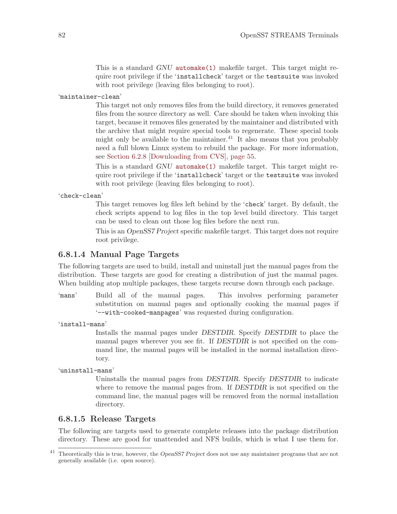This is a standard GNU [automake\(1\)](http://www.openss7.org/man2html?automake(1)) makefile target. This target might require root privilege if the 'installcheck' target or the testsuite was invoked with root privilege (leaving files belonging to root).

'maintainer-clean'

This target not only removes files from the build directory, it removes generated files from the source directory as well. Care should be taken when invoking this target, because it removes files generated by the maintainer and distributed with the archive that might require special tools to regenerate. These special tools might only be available to the maintainer.<sup>41</sup> It also means that you probably need a full blown Linux system to rebuild the package. For more information, see [Section 6.2.8 \[Downloading from CVS\], page 55](#page-64-0).

This is a standard GNU [automake\(1\)](http://www.openss7.org/man2html?automake(1)) makefile target. This target might require root privilege if the 'installcheck' target or the testsuite was invoked with root privilege (leaving files belonging to root).

'check-clean'

This target removes log files left behind by the 'check' target. By default, the check scripts append to log files in the top level build directory. This target can be used to clean out those log files before the next run.

This is an OpenSS7 Project specific makefile target. This target does not require root privilege.

## 6.8.1.4 Manual Page Targets

The following targets are used to build, install and uninstall just the manual pages from the distribution. These targets are good for creating a distribution of just the manual pages. When building atop multiple packages, these targets recurse down through each package.

- 'mans' Build all of the manual pages. This involves performing parameter substitution on manual pages and optionally cooking the manual pages if '--with-cooked-manpages' was requested during configuration.
- 'install-mans'

Installs the manual pages under DESTDIR. Specify DESTDIR to place the manual pages wherever you see fit. If DESTDIR is not specified on the command line, the manual pages will be installed in the normal installation directory.

'uninstall-mans'

Uninstalls the manual pages from DESTDIR. Specify DESTDIR to indicate where to remove the manual pages from. If DESTDIR is not specified on the command line, the manual pages will be removed from the normal installation directory.

### 6.8.1.5 Release Targets

The following are targets used to generate complete releases into the package distribution directory. These are good for unattended and NFS builds, which is what I use them for.

<sup>&</sup>lt;sup>41</sup> Theoretically this is true, however, the *OpenSS7 Project* does not use any maintainer programs that are not generally available (i.e. open source).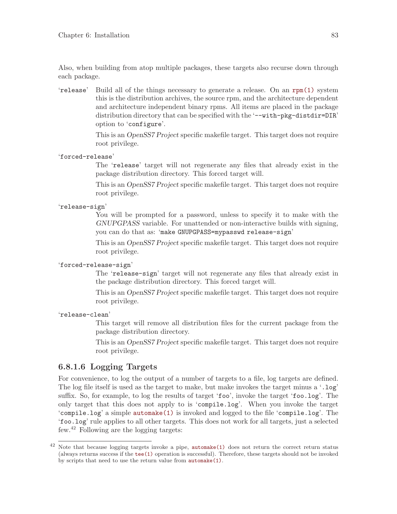Also, when building from atop multiple packages, these targets also recurse down through each package.

'release' Build all of the things necessary to generate a release. On an [rpm\(1\)](http://www.openss7.org/man2html?rpm(1)) system this is the distribution archives, the source rpm, and the architecture dependent and architecture independent binary rpms. All items are placed in the package distribution directory that can be specified with the '--with-pkg-distdir=DIR' option to 'configure'.

> This is an OpenSS7 Project specific makefile target. This target does not require root privilege.

'forced-release'

The 'release' target will not regenerate any files that already exist in the package distribution directory. This forced target will.

This is an OpenSS7 Project specific makefile target. This target does not require root privilege.

### 'release-sign'

You will be prompted for a password, unless to specify it to make with the GNUPGPASS variable. For unattended or non-interactive builds with signing, you can do that as: 'make GNUPGPASS=mypasswd release-sign'

This is an OpenSS7 Project specific makefile target. This target does not require root privilege.

## 'forced-release-sign'

The 'release-sign' target will not regenerate any files that already exist in the package distribution directory. This forced target will.

This is an OpenSS7 Project specific makefile target. This target does not require root privilege.

### 'release-clean'

This target will remove all distribution files for the current package from the package distribution directory.

This is an OpenSS7 Project specific makefile target. This target does not require root privilege.

## <span id="page-92-0"></span>6.8.1.6 Logging Targets

For convenience, to log the output of a number of targets to a file, log targets are defined. The log file itself is used as the target to make, but make invokes the target minus a '.log' suffix. So, for example, to log the results of target 'foo', invoke the target 'foo.log'. The only target that this does not apply to is 'compile.log'. When you invoke the target 'compile.log' a simple [automake\(1\)](http://www.openss7.org/man2html?automake(1)) is invoked and logged to the file 'compile.log'. The 'foo.log' rule applies to all other targets. This does not work for all targets, just a selected few.<sup>42</sup> Following are the logging targets:

<sup>42</sup> Note that because logging targets invoke a pipe, [automake\(1\)](http://www.openss7.org/man2html?automake(1)) does not return the correct return status (always returns success if the [tee\(1\)](http://www.openss7.org/man2html?tee(1)) operation is successful). Therefore, these targets should not be invoked by scripts that need to use the return value from [automake\(1\)](http://www.openss7.org/man2html?automake(1)).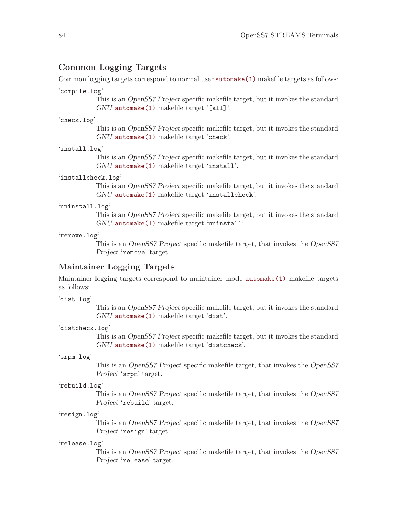### Common Logging Targets

Common logging targets correspond to normal user **[automake\(1\)](http://www.openss7.org/man2html?automake(1))** makefile targets as follows:

#### 'compile.log'

This is an OpenSS7 Project specific makefile target, but it invokes the standard GNU [automake\(1\)](http://www.openss7.org/man2html?automake(1)) makefile target '[all]'.

#### 'check.log'

This is an OpenSS7 Project specific makefile target, but it invokes the standard GNU [automake\(1\)](http://www.openss7.org/man2html?automake(1)) makefile target 'check'.

### 'install.log'

This is an OpenSS7 Project specific makefile target, but it invokes the standard GNU [automake\(1\)](http://www.openss7.org/man2html?automake(1)) makefile target 'install'.

#### 'installcheck.log'

This is an OpenSS7 Project specific makefile target, but it invokes the standard GNU [automake\(1\)](http://www.openss7.org/man2html?automake(1)) makefile target 'installcheck'.

#### 'uninstall.log'

This is an OpenSS7 Project specific makefile target, but it invokes the standard GNU [automake\(1\)](http://www.openss7.org/man2html?automake(1)) makefile target 'uninstall'.

### 'remove.log'

This is an OpenSS7 Project specific makefile target, that invokes the OpenSS7 Project 'remove' target.

### Maintainer Logging Targets

Maintainer logging targets correspond to maintainer mode [automake\(1\)](http://www.openss7.org/man2html?automake(1)) makefile targets as follows:

### 'dist.log'

This is an OpenSS7 Project specific makefile target, but it invokes the standard GNU [automake\(1\)](http://www.openss7.org/man2html?automake(1)) makefile target 'dist'.

### 'distcheck.log'

This is an OpenSS7 Project specific makefile target, but it invokes the standard GNU [automake\(1\)](http://www.openss7.org/man2html?automake(1)) makefile target 'distcheck'.

### 'srpm.log'

This is an OpenSS7 Project specific makefile target, that invokes the OpenSS7 Project 'srpm' target.

### 'rebuild.log'

This is an OpenSS7 Project specific makefile target, that invokes the OpenSS7 Project 'rebuild' target.

### 'resign.log'

This is an OpenSS7 Project specific makefile target, that invokes the OpenSS7 Project 'resign' target.

### 'release.log'

This is an OpenSS7 Project specific makefile target, that invokes the OpenSS7 Project 'release' target.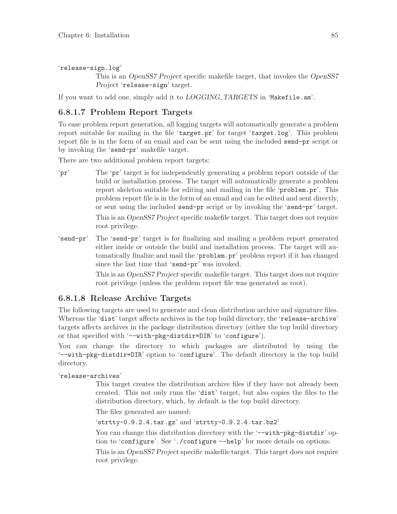'release-sign.log'

This is an OpenSS7 Project specific makefile target, that invokes the OpenSS7 Project 'release-sign' target.

If you want to add one, simply add it to  $LOGGING\_TARGETS$  in 'Makefile.am'.

## <span id="page-94-0"></span>6.8.1.7 Problem Report Targets

To ease problem report generation, all logging targets will automatically generate a problem report suitable for mailing in the file 'target.pr' for target 'target.log'. This problem report file is in the form of an email and can be sent using the included send-pr script or by invoking the 'send-pr' makefile target.

There are two additional problem report targets:

- 'pr' The 'pr' target is for independently generating a problem report outside of the build or installation process. The target will automatically generate a problem report skeleton suitable for editing and mailing in the file 'problem.pr'. This problem report file is in the form of an email and can be edited and sent directly, or sent using the included send-pr script or by invoking the 'send-pr' target. This is an OpenSS7 Project specific makefile target. This target does not require root privilege.
- 'send-pr' The 'send-pr' target is for finalizing and mailing a problem report generated either inside or outside the build and installation process. The target will automatically finalize and mail the 'problem.pr' problem report if it has changed since the last time that 'send-pr' was invoked.

This is an OpenSS7 Project specific makefile target. This target does not require root privilege (unless the problem report file was generated as root).

## 6.8.1.8 Release Archive Targets

The following targets are used to generate and clean distribution archive and signature files. Whereas the 'dist' target affects archives in the top build directory, the 'release-archive' targets affects archives in the package distribution directory (either the top build directory or that specified with '--with-pkg-distdir=DIR' to 'configure').

You can change the directory to which packages are distributed by using the '--with-pkg-distdir=DIR' option to 'configure'. The default directory is the top build directory.

### 'release-archives'

This target creates the distribution archive files if they have not already been created. This not only runs the 'dist' target, but also copies the files to the distribution directory, which, by default is the top build directory.

The files generated are named:

'strtty-0.9.2.4.tar.gz' and 'strtty-0.9.2.4.tar.bz2'

You can change this distribution directory with the '--with-pkg-distdir' option to 'configure'. See './configure --help' for more details on options.

This is an OpenSS7 Project specific makefile target. This target does not require root privilege.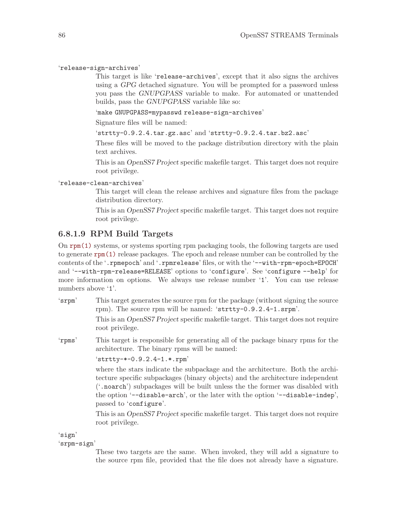'release-sign-archives'

This target is like 'release-archives', except that it also signs the archives using a GPG detached signature. You will be prompted for a password unless you pass the GNUPGPASS variable to make. For automated or unattended builds, pass the GNUPGPASS variable like so:

'make GNUPGPASS=mypasswd release-sign-archives'

Signature files will be named:

'strtty-0.9.2.4.tar.gz.asc' and 'strtty-0.9.2.4.tar.bz2.asc'

These files will be moved to the package distribution directory with the plain text archives.

This is an OpenSS7 Project specific makefile target. This target does not require root privilege.

### 'release-clean-archives'

This target will clean the release archives and signature files from the package distribution directory.

This is an OpenSS7 Project specific makefile target. This target does not require root privilege.

### 6.8.1.9 RPM Build Targets

On [rpm\(1\)](http://www.openss7.org/man2html?rpm(1)) systems, or systems sporting rpm packaging tools, the following targets are used to generate [rpm\(1\)](http://www.openss7.org/man2html?rpm(1)) release packages. The epoch and release number can be controlled by the contents of the '.rpmepoch' and '.rpmrelease' files, or with the '--with-rpm-epoch=EPOCH' and '--with-rpm-release=RELEASE' options to 'configure'. See 'configure --help' for more information on options. We always use release number '1'. You can use release numbers above '1'.

'srpm' This target generates the source rpm for the package (without signing the source rpm). The source rpm will be named: 'strtty-0.9.2.4-1.srpm'.

> This is an OpenSS7 Project specific makefile target. This target does not require root privilege.

'rpms' This target is responsible for generating all of the package binary rpms for the architecture. The binary rpms will be named:

'strtty-\*-0.9.2.4-1.\*.rpm'

where the stars indicate the subpackage and the architecture. Both the architecture specific subpackages (binary objects) and the architecture independent ('.noarch') subpackages will be built unless the the former was disabled with the option '--disable-arch', or the later with the option '--disable-indep', passed to 'configure'.

This is an OpenSS7 Project specific makefile target. This target does not require root privilege.

'sign'

'srpm-sign'

These two targets are the same. When invoked, they will add a signature to the source rpm file, provided that the file does not already have a signature.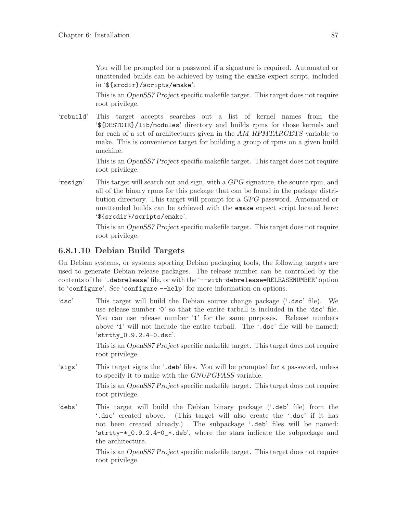You will be prompted for a password if a signature is required. Automated or unattended builds can be achieved by using the emake expect script, included in '\${srcdir}/scripts/emake'.

This is an OpenSS7 Project specific makefile target. This target does not require root privilege.

'rebuild' This target accepts searches out a list of kernel names from the '\${DESTDIR}/lib/modules' directory and builds rpms for those kernels and for each of a set of architectures given in the AM RPMTARGETS variable to make. This is convenience target for building a group of rpms on a given build machine.

> This is an OpenSS7 Project specific makefile target. This target does not require root privilege.

'resign' This target will search out and sign, with a GPG signature, the source rpm, and all of the binary rpms for this package that can be found in the package distribution directory. This target will prompt for a GPG password. Automated or unattended builds can be achieved with the emake expect script located here: '\${srcdir}/scripts/emake'.

> This is an OpenSS7 Project specific makefile target. This target does not require root privilege.

# 6.8.1.10 Debian Build Targets

On Debian systems, or systems sporting Debian packaging tools, the following targets are used to generate Debian release packages. The release number can be controlled by the contents of the '.debrelease' file, or with the '--with-debrelease=RELEASENUMBER' option to 'configure'. See 'configure --help' for more information on options.

'dsc' This target will build the Debian source change package ('.dsc' file). We use release number '0' so that the entire tarball is included in the 'dsc' file. You can use release number '1' for the same purposes. Release numbers above '1' will not include the entire tarball. The '.dsc' file will be named: 'strtty\_0.9.2.4-0.dsc'.

> This is an OpenSS7 Project specific makefile target. This target does not require root privilege.

'sigs' This target signs the '.deb' files. You will be prompted for a password, unless to specify it to make with the GNUPGPASS variable.

> This is an OpenSS7 Project specific makefile target. This target does not require root privilege.

'debs' This target will build the Debian binary package ('.deb' file) from the '.dsc' created above. (This target will also create the '.dsc' if it has not been created already.) The subpackage '.deb' files will be named: 'strtty-\*\_0.9.2.4-0\_\*.deb', where the stars indicate the subpackage and the architecture.

> This is an OpenSS7 Project specific makefile target. This target does not require root privilege.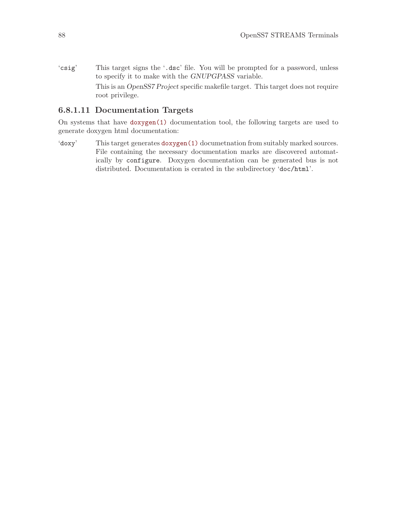'csig' This target signs the '.dsc' file. You will be prompted for a password, unless to specify it to make with the GNUPGPASS variable. This is an OpenSS7 Project specific makefile target. This target does not require root privilege.

## 6.8.1.11 Documentation Targets

On systems that have [doxygen\(1\)](http://www.openss7.org/man2html?doxygen(1)) documentation tool, the following targets are used to generate doxygen html documentation:

'doxy' This target generates [doxygen\(1\)](http://www.openss7.org/man2html?doxygen(1)) documetnation from suitably marked sources. File containing the necessary documentation marks are discovered automatically by configure. Doxygen documentation can be generated bus is not distributed. Documentation is cerated in the subdirectory 'doc/html'.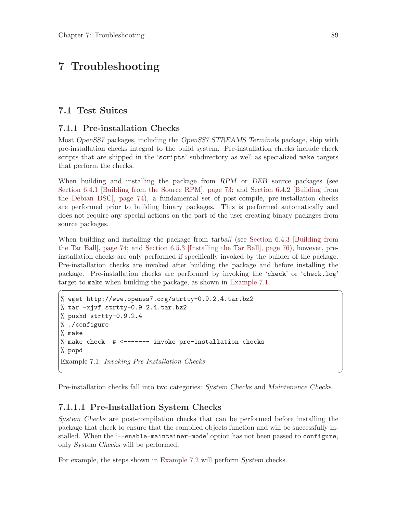# 7 Troubleshooting

## <span id="page-98-2"></span>7.1 Test Suites

## <span id="page-98-0"></span>7.1.1 Pre-installation Checks

Most OpenSS7 packages, including the OpenSS7 STREAMS Terminals package, ship with pre-installation checks integral to the build system. Pre-installation checks include check scripts that are shipped in the 'scripts' subdirectory as well as specialized make targets that perform the checks.

When building and installing the package from RPM or DEB source packages (see [Section 6.4.1 \[Building from the Source RPM\], page 73](#page-82-0); and [Section 6.4.2 \[Building from](#page-83-0) [the Debian DSC\], page 74](#page-83-0)), a fundamental set of post-compile, pre-installation checks are performed prior to building binary packages. This is performed automatically and does not require any special actions on the part of the user creating binary packages from source packages.

When building and installing the package from tarball (see [Section 6.4.3 \[Building from](#page-83-1) [the Tar Ball\], page 74;](#page-83-1) and [Section 6.5.3 \[Installing the Tar Ball\], page 76\)](#page-85-3), however, preinstallation checks are only performed if specifically invoked by the builder of the package. Pre-installation checks are invoked after building the package and before installing the package. Pre-installation checks are performed by invoking the 'check' or 'check.log' target to make when building the package, as shown in [Example 7.1.](#page-98-1)

 $\sqrt{2\pi}$ 

```
% wget http://www.openss7.org/strtty-0.9.2.4.tar.bz2
% tar -xjvf strtty-0.9.2.4.tar.bz2
% pushd strtty-0.9.2.4
% ./configure
% make
% make check # <------- invoke pre-installation checks
% popd
Example 7.1: Invoking Pre-Installation Checks
```
Pre-installation checks fall into two categories: System Checks and Maintenance Checks.

✡ ✠

## 7.1.1.1 Pre-Installation System Checks

System Checks are post-compilation checks that can be performed before installing the package that check to ensure that the compiled objects function and will be successfully installed. When the '--enable-maintainer-mode' option has not been passed to configure, only System Checks will be performed.

For example, the steps shown in [Example 7.2](#page-99-0) will perform System checks.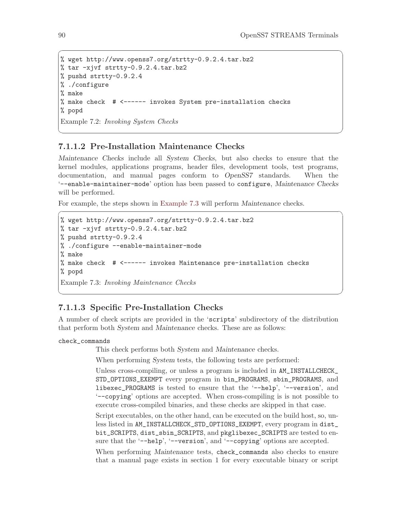```
% wget http://www.openss7.org/strtty-0.9.2.4.tar.bz2
% tar -xjvf strtty-0.9.2.4.tar.bz2
% pushd strtty-0.9.2.4
% ./configure
% make
% make check # <------ invokes System pre-installation checks
% popd
Example 7.2: Invoking System Checks
```
## 7.1.1.2 Pre-Installation Maintenance Checks

Maintenance Checks include all System Checks, but also checks to ensure that the kernel modules, applications programs, header files, development tools, test programs, documentation, and manual pages conform to OpenSS7 standards. When the '--enable-maintainer-mode' option has been passed to configure, Maintenance Checks will be performed.

 $\sqrt{2\pi}$ 

✡ ✠

 $\sqrt{a}$   $\sqrt{a}$   $\sqrt{a}$   $\sqrt{a}$   $\sqrt{a}$   $\sqrt{a}$   $\sqrt{a}$   $\sqrt{a}$   $\sqrt{a}$   $\sqrt{a}$   $\sqrt{a}$   $\sqrt{a}$   $\sqrt{a}$   $\sqrt{a}$   $\sqrt{a}$   $\sqrt{a}$   $\sqrt{a}$   $\sqrt{a}$   $\sqrt{a}$   $\sqrt{a}$   $\sqrt{a}$   $\sqrt{a}$   $\sqrt{a}$   $\sqrt{a}$   $\sqrt{a}$   $\sqrt{a}$   $\sqrt{a}$   $\sqrt{a$ 

For example, the steps shown in [Example 7.3](#page-99-1) will perform Maintenance checks.

```
% wget http://www.openss7.org/strtty-0.9.2.4.tar.bz2
% tar -xjvf strtty-0.9.2.4.tar.bz2
% pushd strtty-0.9.2.4
% ./configure --enable-maintainer-mode
% make
% make check # <------ invokes Maintenance pre-installation checks
% popd
Example 7.3: Invoking Maintenance Checks
```
## 7.1.1.3 Specific Pre-Installation Checks

A number of check scripts are provided in the 'scripts' subdirectory of the distribution that perform both System and Maintenance checks. These are as follows:

✡ ✠

### check\_commands

This check performs both System and Maintenance checks.

When performing System tests, the following tests are performed:

Unless cross-compiling, or unless a program is included in AM\_INSTALLCHECK\_ STD\_OPTIONS\_EXEMPT every program in bin\_PROGRAMS, sbin\_PROGRAMS, and libexec\_PROGRAMS is tested to ensure that the '--help', '--version', and '--copying' options are accepted. When cross-compiling is is not possible to execute cross-compiled binaries, and these checks are skipped in that case.

Script executables, on the other hand, can be executed on the build host, so, unless listed in AM\_INSTALLCHECK\_STD\_OPTIONS\_EXEMPT, every program in dist\_ bit\_SCRIPTS, dist\_sbin\_SCRIPTS, and pkglibexec\_SCRIPTS are tested to ensure that the '--help', '--version', and '--copying' options are accepted.

When performing Maintenance tests, check\_commands also checks to ensure that a manual page exists in section 1 for every executable binary or script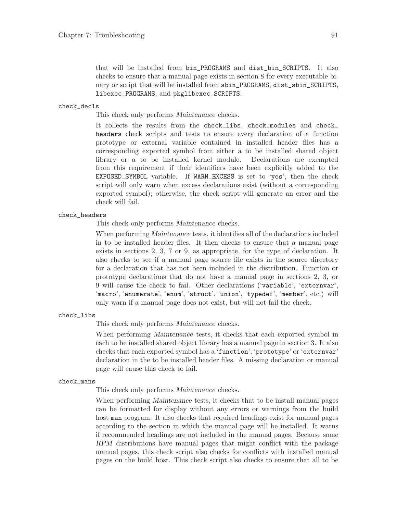that will be installed from bin\_PROGRAMS and dist\_bin\_SCRIPTS. It also checks to ensure that a manual page exists in section 8 for every executable binary or script that will be installed from sbin\_PROGRAMS, dist\_sbin\_SCRIPTS, libexec\_PROGRAMS, and pkglibexec\_SCRIPTS.

#### check\_decls

This check only performs Maintenance checks.

It collects the results from the check\_libs, check\_modules and check\_ headers check scripts and tests to ensure every declaration of a function prototype or external variable contained in installed header files has a corresponding exported symbol from either a to be installed shared object library or a to be installed kernel module. Declarations are exempted from this requirement if their identifiers have been explicitly added to the EXPOSED\_SYMBOL variable. If WARN\_EXCESS is set to 'yes', then the check script will only warn when excess declarations exist (without a corresponding exported symbol); otherwise, the check script will generate an error and the check will fail.

### check\_headers

This check only performs Maintenance checks.

When performing Maintenance tests, it identifies all of the declarations included in to be installed header files. It then checks to ensure that a manual page exists in sections 2, 3, 7 or 9, as appropriate, for the type of declaration. It also checks to see if a manual page source file exists in the source directory for a declaration that has not been included in the distribution. Function or prototype declarations that do not have a manual page in sections 2, 3, or 9 will cause the check to fail. Other declarations ('variable', 'externvar', 'macro', 'enumerate', 'enum', 'struct', 'union', 'typedef', 'member', etc.) will only warn if a manual page does not exist, but will not fail the check.

#### check\_libs

This check only performs Maintenance checks.

When performing Maintenance tests, it checks that each exported symbol in each to be installed shared object library has a manual page in section 3. It also checks that each exported symbol has a 'function', 'prototype' or 'externvar' declaration in the to be installed header files. A missing declaration or manual page will cause this check to fail.

#### check\_mans

This check only performs Maintenance checks.

When performing *Maintenance* tests, it checks that to be install manual pages can be formatted for display without any errors or warnings from the build host man program. It also checks that required headings exist for manual pages according to the section in which the manual page will be installed. It warns if recommended headings are not included in the manual pages. Because some RPM distributions have manual pages that might conflict with the package manual pages, this check script also checks for conflicts with installed manual pages on the build host. This check script also checks to ensure that all to be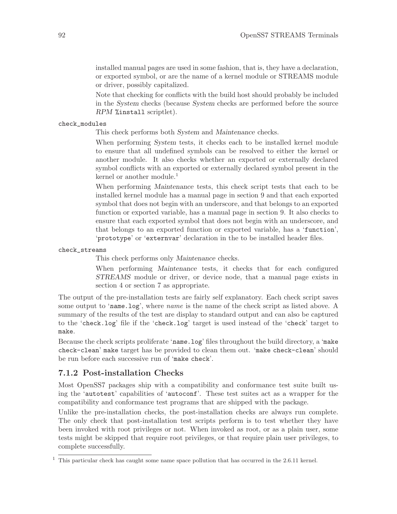installed manual pages are used in some fashion, that is, they have a declaration, or exported symbol, or are the name of a kernel module or STREAMS module or driver, possibly capitalized.

Note that checking for conflicts with the build host should probably be included in the System checks (because System checks are performed before the source RPM %install scriptlet).

### check\_modules

This check performs both System and Maintenance checks.

When performing System tests, it checks each to be installed kernel module to ensure that all undefined symbols can be resolved to either the kernel or another module. It also checks whether an exported or externally declared symbol conflicts with an exported or externally declared symbol present in the kernel or another module.<sup>1</sup>

When performing Maintenance tests, this check script tests that each to be installed kernel module has a manual page in section 9 and that each exported symbol that does not begin with an underscore, and that belongs to an exported function or exported variable, has a manual page in section 9. It also checks to ensure that each exported symbol that does not begin with an underscore, and that belongs to an exported function or exported variable, has a 'function', 'prototype' or 'externvar' declaration in the to be installed header files.

check\_streams

This check performs only Maintenance checks.

When performing Maintenance tests, it checks that for each configured STREAMS module or driver, or device node, that a manual page exists in section 4 or section 7 as appropriate.

The output of the pre-installation tests are fairly self explanatory. Each check script saves some output to 'name.log', where *name* is the name of the check script as listed above. A summary of the results of the test are display to standard output and can also be captured to the 'check.log' file if the 'check.log' target is used instead of the 'check' target to make.

Because the check scripts proliferate 'name.log' files throughout the build directory, a 'make check-clean' make target has be provided to clean them out. 'make check-clean' should be run before each successive run of 'make check'.

## 7.1.2 Post-installation Checks

Most OpenSS7 packages ship with a compatibility and conformance test suite built using the 'autotest' capabilities of 'autoconf'. These test suites act as a wrapper for the compatibility and conformance test programs that are shipped with the package.

Unlike the pre-installation checks, the post-installation checks are always run complete. The only check that post-installation test scripts perform is to test whether they have been invoked with root privileges or not. When invoked as root, or as a plain user, some tests might be skipped that require root privileges, or that require plain user privileges, to complete successfully.

<sup>&</sup>lt;sup>1</sup> This particular check has caught some name space pollution that has occurred in the 2.6.11 kernel.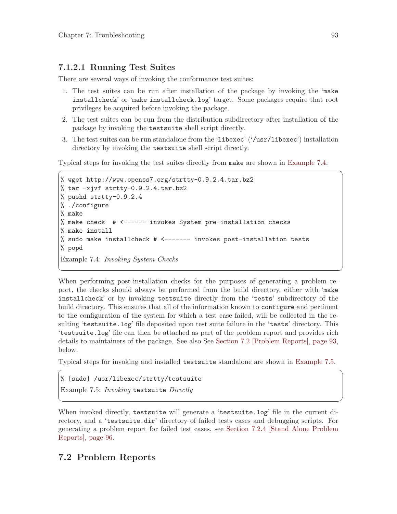### 7.1.2.1 Running Test Suites

There are several ways of invoking the conformance test suites:

- 1. The test suites can be run after installation of the package by invoking the 'make installcheck' or 'make installcheck.log' target. Some packages require that root privileges be acquired before invoking the package.
- 2. The test suites can be run from the distribution subdirectory after installation of the package by invoking the testsuite shell script directly.
- 3. The test suites can be run standalone from the 'libexec' ('/usr/libexec') installation directory by invoking the testsuite shell script directly.

 $\sqrt{2\pi}$ 

Typical steps for invoking the test suites directly from make are shown in [Example 7.4.](#page-102-0)

```
% wget http://www.openss7.org/strtty-0.9.2.4.tar.bz2
% tar -xjvf strtty-0.9.2.4.tar.bz2
% pushd strtty-0.9.2.4
% ./configure
% make
% make check # <------ invokes System pre-installation checks
% make install
% sudo make installcheck # <------- invokes post-installation tests
% popd
Example 7.4: Invoking System Checks
```
When performing post-installation checks for the purposes of generating a problem report, the checks should always be performed from the build directory, either with 'make installcheck' or by invoking testsuite directly from the 'tests' subdirectory of the build directory. This ensures that all of the information known to configure and pertinent to the configuration of the system for which a test case failed, will be collected in the resulting 'testsuite.log' file deposited upon test suite failure in the 'tests' directory. This 'testsuite.log' file can then be attached as part of the problem report and provides rich details to maintainers of the package. See also See [Section 7.2 \[Problem Reports\], page 93,](#page-102-1) below.

✡ ✠

Typical steps for invoking and installed testsuite standalone are shown in [Example 7.5](#page-102-2).

 $\sqrt{2\pi}$ 

 $\overline{\phantom{a}}$   $\overline{\phantom{a}}$   $\overline{\phantom{a}}$   $\overline{\phantom{a}}$   $\overline{\phantom{a}}$   $\overline{\phantom{a}}$   $\overline{\phantom{a}}$   $\overline{\phantom{a}}$   $\overline{\phantom{a}}$   $\overline{\phantom{a}}$   $\overline{\phantom{a}}$   $\overline{\phantom{a}}$   $\overline{\phantom{a}}$   $\overline{\phantom{a}}$   $\overline{\phantom{a}}$   $\overline{\phantom{a}}$   $\overline{\phantom{a}}$   $\overline{\phantom{a}}$   $\overline{\$ 

<span id="page-102-2"></span>% [sudo] /usr/libexec/strtty/testsuite

Example 7.5: Invoking testsuite Directly

When invoked directly, testsuite will generate a 'testsuite.log' file in the current directory, and a 'testsuite.dir' directory of failed tests cases and debugging scripts. For generating a problem report for failed test cases, see [Section 7.2.4 \[Stand Alone Problem](#page-105-0) [Reports\], page 96.](#page-105-0)

## <span id="page-102-1"></span>7.2 Problem Reports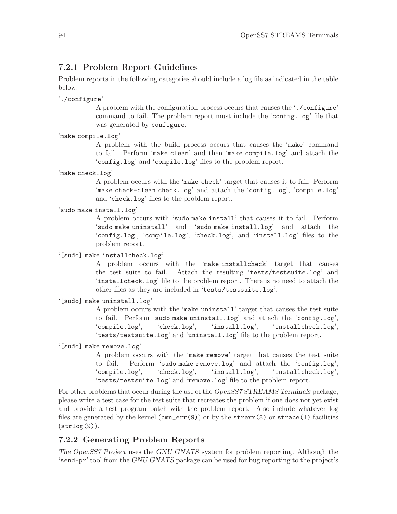## <span id="page-103-0"></span>7.2.1 Problem Report Guidelines

Problem reports in the following categories should include a log file as indicated in the table below:

'./configure'

A problem with the configuration process occurs that causes the './configure' command to fail. The problem report must include the 'config.log' file that was generated by configure.

'make compile.log'

A problem with the build process occurs that causes the 'make' command to fail. Perform 'make clean' and then 'make compile.log' and attach the 'config.log' and 'compile.log' files to the problem report.

'make check.log'

A problem occurs with the 'make check' target that causes it to fail. Perform 'make check-clean check.log' and attach the 'config.log', 'compile.log' and 'check.log' files to the problem report.

'sudo make install.log'

A problem occurs with 'sudo make install' that causes it to fail. Perform 'sudo make uninstall' and 'sudo make install.log' and attach the 'config.log', 'compile.log', 'check.log', and 'install.log' files to the problem report.

'[sudo] make installcheck.log'

A problem occurs with the 'make installcheck' target that causes the test suite to fail. Attach the resulting 'tests/testsuite.log' and 'installcheck.log' file to the problem report. There is no need to attach the other files as they are included in 'tests/testsuite.log'.

```
'[sudo] make uninstall.log'
```
A problem occurs with the 'make uninstall' target that causes the test suite to fail. Perform 'sudo make uninstall.log' and attach the 'config.log', 'compile.log', 'check.log', 'install.log', 'installcheck.log', 'tests/testsuite.log' and 'uninstall.log' file to the problem report.

'[sudo] make remove.log'

A problem occurs with the 'make remove' target that causes the test suite to fail. Perform 'sudo make remove.log' and attach the 'config.log', 'compile.log', 'check.log', 'install.log', 'installcheck.log', 'tests/testsuite.log' and 'remove.log' file to the problem report.

For other problems that occur during the use of the *OpenSS7 STREAMS* Terminals package, please write a test case for the test suite that recreates the problem if one does not yet exist and provide a test program patch with the problem report. Also include whatever log files are generated by the kernel  $(\text{cm}_{\text{m}}err(9))$  or by the strerr(8) or strace(1) facilities  $(\text{strlog}(9))$ .

## 7.2.2 Generating Problem Reports

The OpenSS7 Project uses the GNU GNATS system for problem reporting. Although the 'send-pr' tool from the GNU GNATS package can be used for bug reporting to the project's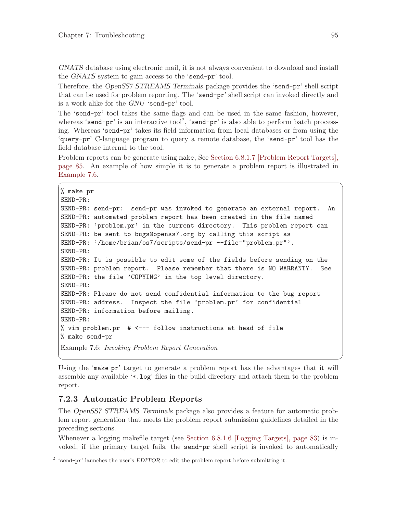GNATS database using electronic mail, it is not always convenient to download and install the GNATS system to gain access to the 'send-pr' tool.

Therefore, the OpenSS7 STREAMS Terminals package provides the 'send-pr' shell script that can be used for problem reporting. The 'send-pr' shell script can invoked directly and is a work-alike for the GNU 'send-pr' tool.

The 'send-pr' tool takes the same flags and can be used in the same fashion, however, whereas 'send-pr' is an interactive tool<sup>2</sup>, 'send-pr' is also able to perform batch processing. Whereas 'send-pr' takes its field information from local databases or from using the 'query-pr' C-language program to query a remote database, the 'send-pr' tool has the field database internal to the tool.

Problem reports can be generate using make, See [Section 6.8.1.7 \[Problem Report Targets\],](#page-94-0) [page 85.](#page-94-0) An example of how simple it is to generate a problem report is illustrated in [Example 7.6](#page-104-0).

 $\sqrt{2\pi}$ 

```
% make pr
SEND-PR:
SEND-PR: send-pr: send-pr was invoked to generate an external report. An
SEND-PR: automated problem report has been created in the file named
SEND-PR: 'problem.pr' in the current directory. This problem report can
SEND-PR: be sent to bugs@openss7.org by calling this script as
SEND-PR: '/home/brian/os7/scripts/send-pr --file="problem.pr"'.
SEND-PR:
SEND-PR: It is possible to edit some of the fields before sending on the
SEND-PR: problem report. Please remember that there is NO WARRANTY. See
SEND-PR: the file 'COPYING' in the top level directory.
SEND-PR:
SEND-PR: Please do not send confidential information to the bug report
SEND-PR: address. Inspect the file 'problem.pr' for confidential
SEND-PR: information before mailing.
SEND-PR:
% vim problem.pr # <--- follow instructions at head of file
% make send-pr
Example 7.6: Invoking Problem Report Generation
```
Using the 'make pr' target to generate a problem report has the advantages that it will assemble any available '\*.log' files in the build directory and attach them to the problem report.

✡ ✠

## 7.2.3 Automatic Problem Reports

The OpenSS7 STREAMS Terminals package also provides a feature for automatic problem report generation that meets the problem report submission guidelines detailed in the preceding sections.

Whenever a logging makefile target (see [Section 6.8.1.6 \[Logging Targets\], page 83](#page-92-0)) is invoked, if the primary target fails, the send-pr shell script is invoked to automatically

<sup>&</sup>lt;sup>2</sup> 'send-pr' launches the user's EDITOR to edit the problem report before submitting it.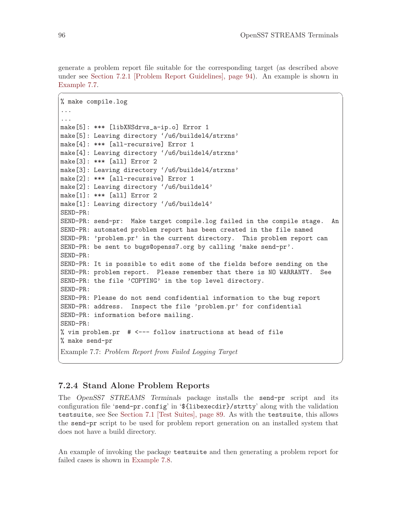generate a problem report file suitable for the corresponding target (as described above under see [Section 7.2.1 \[Problem Report Guidelines\], page 94\)](#page-103-0). An example is shown in [Example 7.7](#page-105-1).

 $\sqrt{2\pi}$ 

```
% make compile.log
...
...
make[5]: *** [libXNSdrvs_a-ip.o] Error 1
make[5]: Leaving directory '/u6/buildel4/strxns'
make[4]: *** [all-recursive] Error 1
make[4]: Leaving directory '/u6/buildel4/strxns'
make[3]: *** [all] Error 2
make[3]: Leaving directory '/u6/buildel4/strxns'
make[2]: *** [all-recursive] Error 1
make[2]: Leaving directory '/u6/buildel4'
make[1]: *** [all] Error 2
make[1]: Leaving directory '/u6/buildel4'
SEND-PR:
SEND-PR: send-pr: Make target compile.log failed in the compile stage. An
SEND-PR: automated problem report has been created in the file named
SEND-PR: 'problem.pr' in the current directory. This problem report can
SEND-PR: be sent to bugs@openss7.org by calling 'make send-pr'.
SEND-PR:
SEND-PR: It is possible to edit some of the fields before sending on the
SEND-PR: problem report. Please remember that there is NO WARRANTY. See
SEND-PR: the file 'COPYING' in the top level directory.
SEND-PR:
SEND-PR: Please do not send confidential information to the bug report
SEND-PR: address. Inspect the file 'problem.pr' for confidential
SEND-PR: information before mailing.
SEND-PR:
% vim problem.pr # <--- follow instructions at head of file
% make send-pr
Example 7.7: Problem Report from Failed Logging Target
```
### <span id="page-105-0"></span>7.2.4 Stand Alone Problem Reports

The OpenSS7 STREAMS Terminals package installs the send-pr script and its configuration file 'send-pr.config' in '\${libexecdir}/strtty' along with the validation testsuite, see See [Section 7.1 \[Test Suites\], page 89](#page-98-2). As with the testsuite, this allows the send-pr script to be used for problem report generation on an installed system that does not have a build directory.

✡ ✠

An example of invoking the package testsuite and then generating a problem report for failed cases is shown in [Example 7.8.](#page-106-0)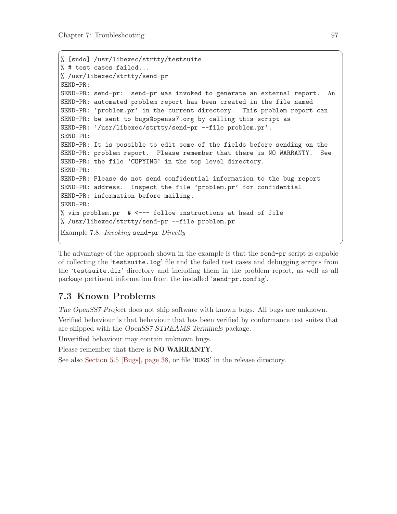```
% [sudo] /usr/libexec/strtty/testsuite
% # test cases failed...
% /usr/libexec/strtty/send-pr
SEND-PR:
SEND-PR: send-pr: send-pr was invoked to generate an external report. An
SEND-PR: automated problem report has been created in the file named
SEND-PR: 'problem.pr' in the current directory. This problem report can
SEND-PR: be sent to bugs@openss7.org by calling this script as
SEND-PR: '/usr/libexec/strtty/send-pr --file problem.pr'.
SEND-PR:
SEND-PR: It is possible to edit some of the fields before sending on the
SEND-PR: problem report. Please remember that there is NO WARRANTY. See
SEND-PR: the file 'COPYING' in the top level directory.
SEND-PR:
SEND-PR: Please do not send confidential information to the bug report
SEND-PR: address. Inspect the file 'problem.pr' for confidential
SEND-PR: information before mailing.
SEND-PR:
% vim problem.pr # <--- follow instructions at head of file
% /usr/libexec/strtty/send-pr --file problem.pr
Example 7.8: Invoking send-pr Directly
```
 $\sqrt{a}$   $\sqrt{a}$   $\sqrt{a}$   $\sqrt{a}$   $\sqrt{a}$   $\sqrt{a}$   $\sqrt{a}$   $\sqrt{a}$   $\sqrt{a}$   $\sqrt{a}$   $\sqrt{a}$   $\sqrt{a}$   $\sqrt{a}$   $\sqrt{a}$   $\sqrt{a}$   $\sqrt{a}$   $\sqrt{a}$   $\sqrt{a}$   $\sqrt{a}$   $\sqrt{a}$   $\sqrt{a}$   $\sqrt{a}$   $\sqrt{a}$   $\sqrt{a}$   $\sqrt{a}$   $\sqrt{a}$   $\sqrt{a}$   $\sqrt{a$ 

The advantage of the approach shown in the example is that the send-pr script is capable of collecting the 'testsuite.log' file and the failed test cases and debugging scripts from the 'testsuite.dir' directory and including them in the problem report, as well as all package pertinent information from the installed 'send-pr.config'.

✡ ✠

# 7.3 Known Problems

The OpenSS7 Project does not ship software with known bugs. All bugs are unknown.

Verified behaviour is that behaviour that has been verified by conformance test suites that are shipped with the OpenSS7 STREAMS Terminals package.

Unverified behaviour may contain unknown bugs.

Please remember that there is **NO WARRANTY**.

See also [Section 5.5 \[Bugs\], page 38,](#page-47-0) or file 'BUGS' in the release directory.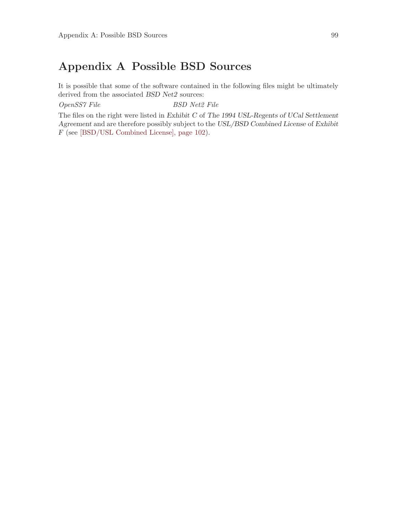# Appendix A Possible BSD Sources

It is possible that some of the software contained in the following files might be ultimately derived from the associated BSD Net2 sources:

OpenSS7 File BSD Net2 File

The files on the right were listed in Exhibit C of The 1994 USL-Regents of UCal Settlement Agreement and are therefore possibly subject to the USL/BSD Combined License of Exhibit F (see [\[BSD/USL Combined License\], page 102\)](#page-111-0).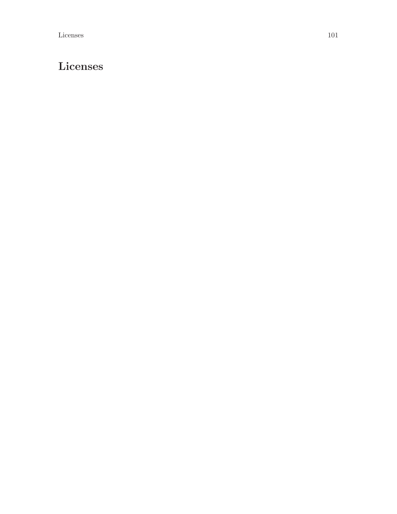# Licenses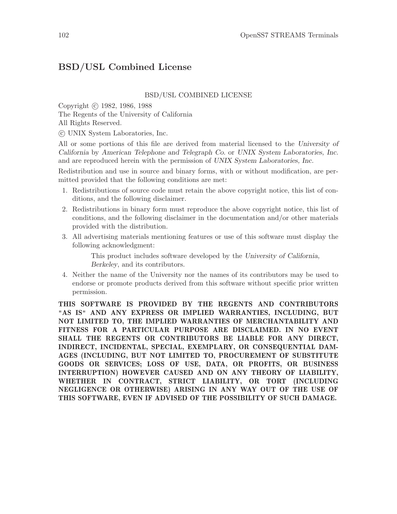# <span id="page-111-0"></span>BSD/USL Combined License

#### BSD/USL COMBINED LICENSE

Copyright (c) 1982, 1986, 1988 The Regents of the University of California All Rights Reserved.

c UNIX System Laboratories, Inc.

All or some portions of this file are derived from material licensed to the University of California by American Telephone and Telegraph Co. or UNIX System Laboratories, Inc. and are reproduced herein with the permission of UNIX System Laboratories, Inc.

Redistribution and use in source and binary forms, with or without modification, are permitted provided that the following conditions are met:

- 1. Redistributions of source code must retain the above copyright notice, this list of conditions, and the following disclaimer.
- 2. Redistributions in binary form must reproduce the above copyright notice, this list of conditions, and the following disclaimer in the documentation and/or other materials provided with the distribution.
- 3. All advertising materials mentioning features or use of this software must display the following acknowledgment:

This product includes software developed by the University of California, Berkeley, and its contributors.

4. Neither the name of the University nor the names of its contributors may be used to endorse or promote products derived from this software without specific prior written permission.

THIS SOFTWARE IS PROVIDED BY THE REGENTS AND CONTRIBUTORS "AS IS" AND ANY EXPRESS OR IMPLIED WARRANTIES, INCLUDING, BUT NOT LIMITED TO, THE IMPLIED WARRANTIES OF MERCHANTABILITY AND FITNESS FOR A PARTICULAR PURPOSE ARE DISCLAIMED. IN NO EVENT SHALL THE REGENTS OR CONTRIBUTORS BE LIABLE FOR ANY DIRECT, INDIRECT, INCIDENTAL, SPECIAL, EXEMPLARY, OR CONSEQUENTIAL DAM-AGES (INCLUDING, BUT NOT LIMITED TO, PROCUREMENT OF SUBSTITUTE GOODS OR SERVICES; LOSS OF USE, DATA, OR PROFITS, OR BUSINESS INTERRUPTION) HOWEVER CAUSED AND ON ANY THEORY OF LIABILITY, WHETHER IN CONTRACT, STRICT LIABILITY, OR TORT (INCLUDING NEGLIGENCE OR OTHERWISE) ARISING IN ANY WAY OUT OF THE USE OF THIS SOFTWARE, EVEN IF ADVISED OF THE POSSIBILITY OF SUCH DAMAGE.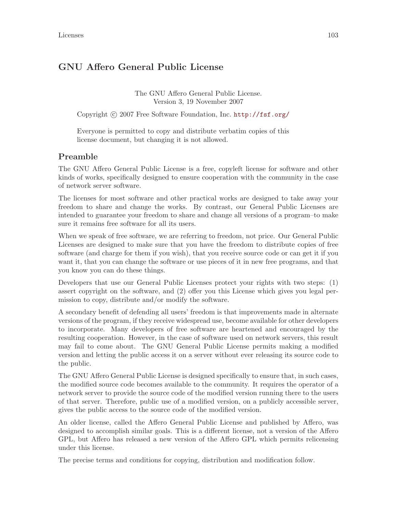# GNU Affero General Public License

The GNU Affero General Public License. Version 3, 19 November 2007

Copyright (c) 2007 Free Software Foundation, Inc. <http://fsf.org/>

Everyone is permitted to copy and distribute verbatim copies of this license document, but changing it is not allowed.

### Preamble

The GNU Affero General Public License is a free, copyleft license for software and other kinds of works, specifically designed to ensure cooperation with the community in the case of network server software.

The licenses for most software and other practical works are designed to take away your freedom to share and change the works. By contrast, our General Public Licenses are intended to guarantee your freedom to share and change all versions of a program–to make sure it remains free software for all its users.

When we speak of free software, we are referring to freedom, not price. Our General Public Licenses are designed to make sure that you have the freedom to distribute copies of free software (and charge for them if you wish), that you receive source code or can get it if you want it, that you can change the software or use pieces of it in new free programs, and that you know you can do these things.

Developers that use our General Public Licenses protect your rights with two steps: (1) assert copyright on the software, and (2) offer you this License which gives you legal permission to copy, distribute and/or modify the software.

A secondary benefit of defending all users' freedom is that improvements made in alternate versions of the program, if they receive widespread use, become available for other developers to incorporate. Many developers of free software are heartened and encouraged by the resulting cooperation. However, in the case of software used on network servers, this result may fail to come about. The GNU General Public License permits making a modified version and letting the public access it on a server without ever releasing its source code to the public.

The GNU Affero General Public License is designed specifically to ensure that, in such cases, the modified source code becomes available to the community. It requires the operator of a network server to provide the source code of the modified version running there to the users of that server. Therefore, public use of a modified version, on a publicly accessible server, gives the public access to the source code of the modified version.

An older license, called the Affero General Public License and published by Affero, was designed to accomplish similar goals. This is a different license, not a version of the Affero GPL, but Affero has released a new version of the Affero GPL which permits relicensing under this license.

The precise terms and conditions for copying, distribution and modification follow.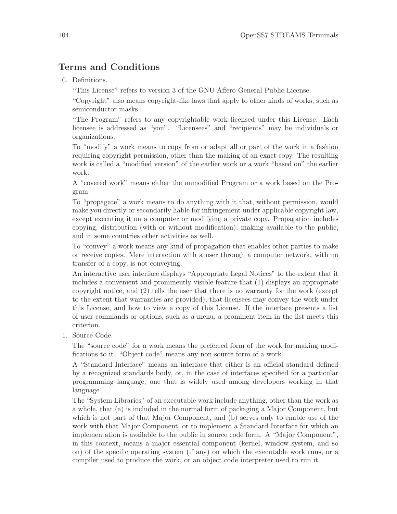# Terms and Conditions

0. Definitions.

"This License" refers to version 3 of the GNU Affero General Public License.

"Copyright" also means copyright-like laws that apply to other kinds of works, such as semiconductor masks.

"The Program" refers to any copyrightable work licensed under this License. Each licensee is addressed as "you". "Licensees" and "recipients" may be individuals or organizations.

To "modify" a work means to copy from or adapt all or part of the work in a fashion requiring copyright permission, other than the making of an exact copy. The resulting work is called a "modified version" of the earlier work or a work "based on" the earlier work.

A "covered work" means either the unmodified Program or a work based on the Program.

To "propagate" a work means to do anything with it that, without permission, would make you directly or secondarily liable for infringement under applicable copyright law, except executing it on a computer or modifying a private copy. Propagation includes copying, distribution (with or without modification), making available to the public, and in some countries other activities as well.

To "convey" a work means any kind of propagation that enables other parties to make or receive copies. Mere interaction with a user through a computer network, with no transfer of a copy, is not conveying.

An interactive user interface displays "Appropriate Legal Notices" to the extent that it includes a convenient and prominently visible feature that (1) displays an appropriate copyright notice, and (2) tells the user that there is no warranty for the work (except to the extent that warranties are provided), that licensees may convey the work under this License, and how to view a copy of this License. If the interface presents a list of user commands or options, such as a menu, a prominent item in the list meets this criterion.

1. Source Code.

The "source code" for a work means the preferred form of the work for making modifications to it. "Object code" means any non-source form of a work.

A "Standard Interface" means an interface that either is an official standard defined by a recognized standards body, or, in the case of interfaces specified for a particular programming language, one that is widely used among developers working in that language.

The "System Libraries" of an executable work include anything, other than the work as a whole, that (a) is included in the normal form of packaging a Major Component, but which is not part of that Major Component, and (b) serves only to enable use of the work with that Major Component, or to implement a Standard Interface for which an implementation is available to the public in source code form. A "Major Component", in this context, means a major essential component (kernel, window system, and so on) of the specific operating system (if any) on which the executable work runs, or a compiler used to produce the work, or an object code interpreter used to run it.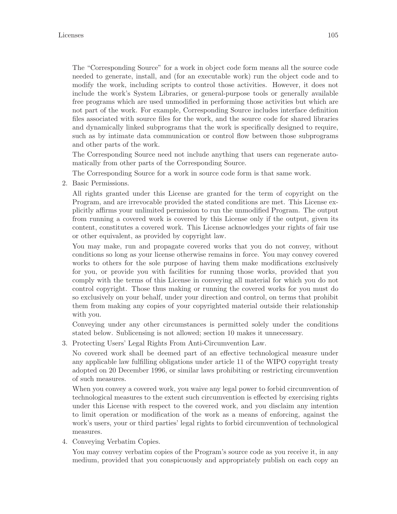The "Corresponding Source" for a work in object code form means all the source code needed to generate, install, and (for an executable work) run the object code and to modify the work, including scripts to control those activities. However, it does not include the work's System Libraries, or general-purpose tools or generally available free programs which are used unmodified in performing those activities but which are not part of the work. For example, Corresponding Source includes interface definition files associated with source files for the work, and the source code for shared libraries and dynamically linked subprograms that the work is specifically designed to require, such as by intimate data communication or control flow between those subprograms and other parts of the work.

The Corresponding Source need not include anything that users can regenerate automatically from other parts of the Corresponding Source.

The Corresponding Source for a work in source code form is that same work.

2. Basic Permissions.

All rights granted under this License are granted for the term of copyright on the Program, and are irrevocable provided the stated conditions are met. This License explicitly affirms your unlimited permission to run the unmodified Program. The output from running a covered work is covered by this License only if the output, given its content, constitutes a covered work. This License acknowledges your rights of fair use or other equivalent, as provided by copyright law.

You may make, run and propagate covered works that you do not convey, without conditions so long as your license otherwise remains in force. You may convey covered works to others for the sole purpose of having them make modifications exclusively for you, or provide you with facilities for running those works, provided that you comply with the terms of this License in conveying all material for which you do not control copyright. Those thus making or running the covered works for you must do so exclusively on your behalf, under your direction and control, on terms that prohibit them from making any copies of your copyrighted material outside their relationship with you.

Conveying under any other circumstances is permitted solely under the conditions stated below. Sublicensing is not allowed; section 10 makes it unnecessary.

3. Protecting Users' Legal Rights From Anti-Circumvention Law.

No covered work shall be deemed part of an effective technological measure under any applicable law fulfilling obligations under article 11 of the WIPO copyright treaty adopted on 20 December 1996, or similar laws prohibiting or restricting circumvention of such measures.

When you convey a covered work, you waive any legal power to forbid circumvention of technological measures to the extent such circumvention is effected by exercising rights under this License with respect to the covered work, and you disclaim any intention to limit operation or modification of the work as a means of enforcing, against the work's users, your or third parties' legal rights to forbid circumvention of technological measures.

4. Conveying Verbatim Copies.

You may convey verbatim copies of the Program's source code as you receive it, in any medium, provided that you conspicuously and appropriately publish on each copy an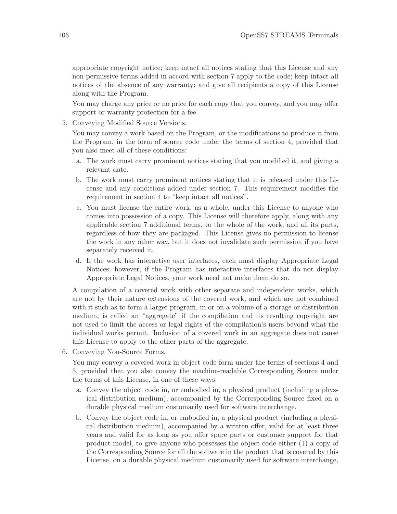appropriate copyright notice; keep intact all notices stating that this License and any non-permissive terms added in accord with section 7 apply to the code; keep intact all notices of the absence of any warranty; and give all recipients a copy of this License along with the Program.

You may charge any price or no price for each copy that you convey, and you may offer support or warranty protection for a fee.

5. Conveying Modified Source Versions.

You may convey a work based on the Program, or the modifications to produce it from the Program, in the form of source code under the terms of section 4, provided that you also meet all of these conditions:

- a. The work must carry prominent notices stating that you modified it, and giving a relevant date.
- b. The work must carry prominent notices stating that it is released under this License and any conditions added under section 7. This requirement modifies the requirement in section 4 to "keep intact all notices".
- c. You must license the entire work, as a whole, under this License to anyone who comes into possession of a copy. This License will therefore apply, along with any applicable section 7 additional terms, to the whole of the work, and all its parts, regardless of how they are packaged. This License gives no permission to license the work in any other way, but it does not invalidate such permission if you have separately received it.
- d. If the work has interactive user interfaces, each must display Appropriate Legal Notices; however, if the Program has interactive interfaces that do not display Appropriate Legal Notices, your work need not make them do so.

A compilation of a covered work with other separate and independent works, which are not by their nature extensions of the covered work, and which are not combined with it such as to form a larger program, in or on a volume of a storage or distribution medium, is called an "aggregate" if the compilation and its resulting copyright are not used to limit the access or legal rights of the compilation's users beyond what the individual works permit. Inclusion of a covered work in an aggregate does not cause this License to apply to the other parts of the aggregate.

6. Conveying Non-Source Forms.

You may convey a covered work in object code form under the terms of sections 4 and 5, provided that you also convey the machine-readable Corresponding Source under the terms of this License, in one of these ways:

- a. Convey the object code in, or embodied in, a physical product (including a physical distribution medium), accompanied by the Corresponding Source fixed on a durable physical medium customarily used for software interchange.
- b. Convey the object code in, or embodied in, a physical product (including a physical distribution medium), accompanied by a written offer, valid for at least three years and valid for as long as you offer spare parts or customer support for that product model, to give anyone who possesses the object code either (1) a copy of the Corresponding Source for all the software in the product that is covered by this License, on a durable physical medium customarily used for software interchange,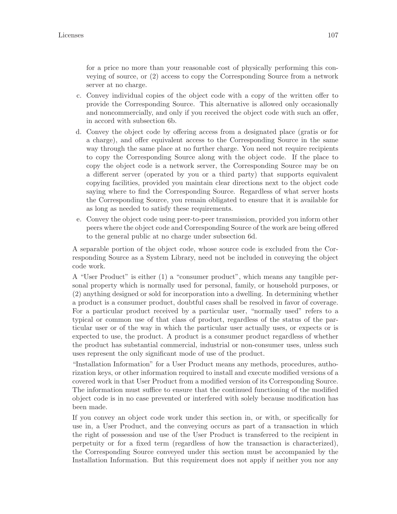for a price no more than your reasonable cost of physically performing this conveying of source, or (2) access to copy the Corresponding Source from a network server at no charge.

- c. Convey individual copies of the object code with a copy of the written offer to provide the Corresponding Source. This alternative is allowed only occasionally and noncommercially, and only if you received the object code with such an offer, in accord with subsection 6b.
- d. Convey the object code by offering access from a designated place (gratis or for a charge), and offer equivalent access to the Corresponding Source in the same way through the same place at no further charge. You need not require recipients to copy the Corresponding Source along with the object code. If the place to copy the object code is a network server, the Corresponding Source may be on a different server (operated by you or a third party) that supports equivalent copying facilities, provided you maintain clear directions next to the object code saying where to find the Corresponding Source. Regardless of what server hosts the Corresponding Source, you remain obligated to ensure that it is available for as long as needed to satisfy these requirements.
- e. Convey the object code using peer-to-peer transmission, provided you inform other peers where the object code and Corresponding Source of the work are being offered to the general public at no charge under subsection 6d.

A separable portion of the object code, whose source code is excluded from the Corresponding Source as a System Library, need not be included in conveying the object code work.

A "User Product" is either (1) a "consumer product", which means any tangible personal property which is normally used for personal, family, or household purposes, or (2) anything designed or sold for incorporation into a dwelling. In determining whether a product is a consumer product, doubtful cases shall be resolved in favor of coverage. For a particular product received by a particular user, "normally used" refers to a typical or common use of that class of product, regardless of the status of the particular user or of the way in which the particular user actually uses, or expects or is expected to use, the product. A product is a consumer product regardless of whether the product has substantial commercial, industrial or non-consumer uses, unless such uses represent the only significant mode of use of the product.

"Installation Information" for a User Product means any methods, procedures, authorization keys, or other information required to install and execute modified versions of a covered work in that User Product from a modified version of its Corresponding Source. The information must suffice to ensure that the continued functioning of the modified object code is in no case prevented or interfered with solely because modification has been made.

If you convey an object code work under this section in, or with, or specifically for use in, a User Product, and the conveying occurs as part of a transaction in which the right of possession and use of the User Product is transferred to the recipient in perpetuity or for a fixed term (regardless of how the transaction is characterized), the Corresponding Source conveyed under this section must be accompanied by the Installation Information. But this requirement does not apply if neither you nor any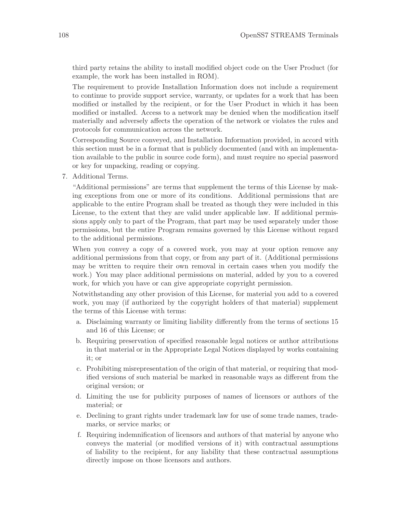third party retains the ability to install modified object code on the User Product (for example, the work has been installed in ROM).

The requirement to provide Installation Information does not include a requirement to continue to provide support service, warranty, or updates for a work that has been modified or installed by the recipient, or for the User Product in which it has been modified or installed. Access to a network may be denied when the modification itself materially and adversely affects the operation of the network or violates the rules and protocols for communication across the network.

Corresponding Source conveyed, and Installation Information provided, in accord with this section must be in a format that is publicly documented (and with an implementation available to the public in source code form), and must require no special password or key for unpacking, reading or copying.

7. Additional Terms.

"Additional permissions" are terms that supplement the terms of this License by making exceptions from one or more of its conditions. Additional permissions that are applicable to the entire Program shall be treated as though they were included in this License, to the extent that they are valid under applicable law. If additional permissions apply only to part of the Program, that part may be used separately under those permissions, but the entire Program remains governed by this License without regard to the additional permissions.

When you convey a copy of a covered work, you may at your option remove any additional permissions from that copy, or from any part of it. (Additional permissions may be written to require their own removal in certain cases when you modify the work.) You may place additional permissions on material, added by you to a covered work, for which you have or can give appropriate copyright permission.

Notwithstanding any other provision of this License, for material you add to a covered work, you may (if authorized by the copyright holders of that material) supplement the terms of this License with terms:

- a. Disclaiming warranty or limiting liability differently from the terms of sections 15 and 16 of this License; or
- b. Requiring preservation of specified reasonable legal notices or author attributions in that material or in the Appropriate Legal Notices displayed by works containing it; or
- c. Prohibiting misrepresentation of the origin of that material, or requiring that modified versions of such material be marked in reasonable ways as different from the original version; or
- d. Limiting the use for publicity purposes of names of licensors or authors of the material; or
- e. Declining to grant rights under trademark law for use of some trade names, trademarks, or service marks; or
- f. Requiring indemnification of licensors and authors of that material by anyone who conveys the material (or modified versions of it) with contractual assumptions of liability to the recipient, for any liability that these contractual assumptions directly impose on those licensors and authors.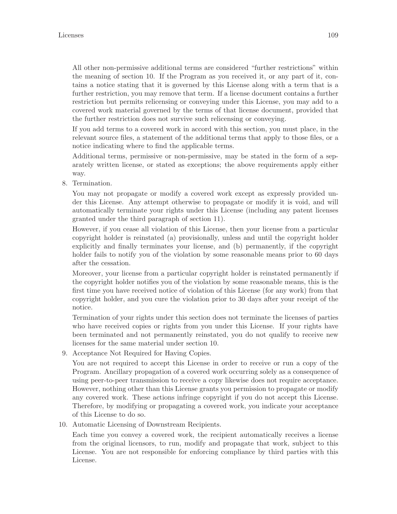All other non-permissive additional terms are considered "further restrictions" within the meaning of section 10. If the Program as you received it, or any part of it, contains a notice stating that it is governed by this License along with a term that is a further restriction, you may remove that term. If a license document contains a further restriction but permits relicensing or conveying under this License, you may add to a covered work material governed by the terms of that license document, provided that the further restriction does not survive such relicensing or conveying.

If you add terms to a covered work in accord with this section, you must place, in the relevant source files, a statement of the additional terms that apply to those files, or a notice indicating where to find the applicable terms.

Additional terms, permissive or non-permissive, may be stated in the form of a separately written license, or stated as exceptions; the above requirements apply either way.

8. Termination.

You may not propagate or modify a covered work except as expressly provided under this License. Any attempt otherwise to propagate or modify it is void, and will automatically terminate your rights under this License (including any patent licenses granted under the third paragraph of section 11).

However, if you cease all violation of this License, then your license from a particular copyright holder is reinstated (a) provisionally, unless and until the copyright holder explicitly and finally terminates your license, and (b) permanently, if the copyright holder fails to notify you of the violation by some reasonable means prior to 60 days after the cessation.

Moreover, your license from a particular copyright holder is reinstated permanently if the copyright holder notifies you of the violation by some reasonable means, this is the first time you have received notice of violation of this License (for any work) from that copyright holder, and you cure the violation prior to 30 days after your receipt of the notice.

Termination of your rights under this section does not terminate the licenses of parties who have received copies or rights from you under this License. If your rights have been terminated and not permanently reinstated, you do not qualify to receive new licenses for the same material under section 10.

9. Acceptance Not Required for Having Copies.

You are not required to accept this License in order to receive or run a copy of the Program. Ancillary propagation of a covered work occurring solely as a consequence of using peer-to-peer transmission to receive a copy likewise does not require acceptance. However, nothing other than this License grants you permission to propagate or modify any covered work. These actions infringe copyright if you do not accept this License. Therefore, by modifying or propagating a covered work, you indicate your acceptance of this License to do so.

10. Automatic Licensing of Downstream Recipients.

Each time you convey a covered work, the recipient automatically receives a license from the original licensors, to run, modify and propagate that work, subject to this License. You are not responsible for enforcing compliance by third parties with this License.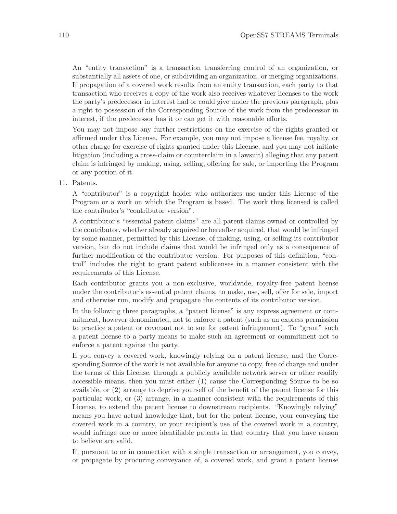An "entity transaction" is a transaction transferring control of an organization, or substantially all assets of one, or subdividing an organization, or merging organizations. If propagation of a covered work results from an entity transaction, each party to that transaction who receives a copy of the work also receives whatever licenses to the work the party's predecessor in interest had or could give under the previous paragraph, plus a right to possession of the Corresponding Source of the work from the predecessor in interest, if the predecessor has it or can get it with reasonable efforts.

You may not impose any further restrictions on the exercise of the rights granted or affirmed under this License. For example, you may not impose a license fee, royalty, or other charge for exercise of rights granted under this License, and you may not initiate litigation (including a cross-claim or counterclaim in a lawsuit) alleging that any patent claim is infringed by making, using, selling, offering for sale, or importing the Program or any portion of it.

11. Patents.

A "contributor" is a copyright holder who authorizes use under this License of the Program or a work on which the Program is based. The work thus licensed is called the contributor's "contributor version".

A contributor's "essential patent claims" are all patent claims owned or controlled by the contributor, whether already acquired or hereafter acquired, that would be infringed by some manner, permitted by this License, of making, using, or selling its contributor version, but do not include claims that would be infringed only as a consequence of further modification of the contributor version. For purposes of this definition, "control" includes the right to grant patent sublicenses in a manner consistent with the requirements of this License.

Each contributor grants you a non-exclusive, worldwide, royalty-free patent license under the contributor's essential patent claims, to make, use, sell, offer for sale, import and otherwise run, modify and propagate the contents of its contributor version.

In the following three paragraphs, a "patent license" is any express agreement or commitment, however denominated, not to enforce a patent (such as an express permission to practice a patent or covenant not to sue for patent infringement). To "grant" such a patent license to a party means to make such an agreement or commitment not to enforce a patent against the party.

If you convey a covered work, knowingly relying on a patent license, and the Corresponding Source of the work is not available for anyone to copy, free of charge and under the terms of this License, through a publicly available network server or other readily accessible means, then you must either (1) cause the Corresponding Source to be so available, or (2) arrange to deprive yourself of the benefit of the patent license for this particular work, or (3) arrange, in a manner consistent with the requirements of this License, to extend the patent license to downstream recipients. "Knowingly relying" means you have actual knowledge that, but for the patent license, your conveying the covered work in a country, or your recipient's use of the covered work in a country, would infringe one or more identifiable patents in that country that you have reason to believe are valid.

If, pursuant to or in connection with a single transaction or arrangement, you convey, or propagate by procuring conveyance of, a covered work, and grant a patent license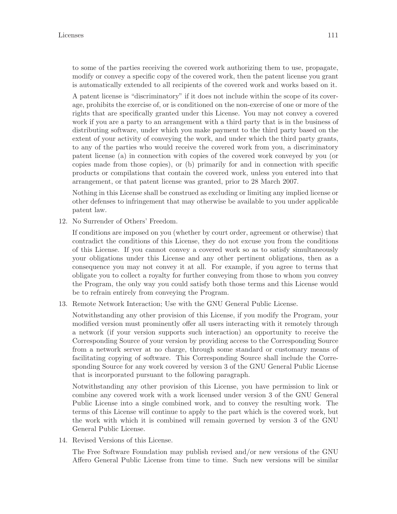to some of the parties receiving the covered work authorizing them to use, propagate, modify or convey a specific copy of the covered work, then the patent license you grant is automatically extended to all recipients of the covered work and works based on it.

A patent license is "discriminatory" if it does not include within the scope of its coverage, prohibits the exercise of, or is conditioned on the non-exercise of one or more of the rights that are specifically granted under this License. You may not convey a covered work if you are a party to an arrangement with a third party that is in the business of distributing software, under which you make payment to the third party based on the extent of your activity of conveying the work, and under which the third party grants, to any of the parties who would receive the covered work from you, a discriminatory patent license (a) in connection with copies of the covered work conveyed by you (or copies made from those copies), or (b) primarily for and in connection with specific products or compilations that contain the covered work, unless you entered into that arrangement, or that patent license was granted, prior to 28 March 2007.

Nothing in this License shall be construed as excluding or limiting any implied license or other defenses to infringement that may otherwise be available to you under applicable patent law.

12. No Surrender of Others' Freedom.

If conditions are imposed on you (whether by court order, agreement or otherwise) that contradict the conditions of this License, they do not excuse you from the conditions of this License. If you cannot convey a covered work so as to satisfy simultaneously your obligations under this License and any other pertinent obligations, then as a consequence you may not convey it at all. For example, if you agree to terms that obligate you to collect a royalty for further conveying from those to whom you convey the Program, the only way you could satisfy both those terms and this License would be to refrain entirely from conveying the Program.

13. Remote Network Interaction; Use with the GNU General Public License.

Notwithstanding any other provision of this License, if you modify the Program, your modified version must prominently offer all users interacting with it remotely through a network (if your version supports such interaction) an opportunity to receive the Corresponding Source of your version by providing access to the Corresponding Source from a network server at no charge, through some standard or customary means of facilitating copying of software. This Corresponding Source shall include the Corresponding Source for any work covered by version 3 of the GNU General Public License that is incorporated pursuant to the following paragraph.

Notwithstanding any other provision of this License, you have permission to link or combine any covered work with a work licensed under version 3 of the GNU General Public License into a single combined work, and to convey the resulting work. The terms of this License will continue to apply to the part which is the covered work, but the work with which it is combined will remain governed by version 3 of the GNU General Public License.

14. Revised Versions of this License.

The Free Software Foundation may publish revised and/or new versions of the GNU Affero General Public License from time to time. Such new versions will be similar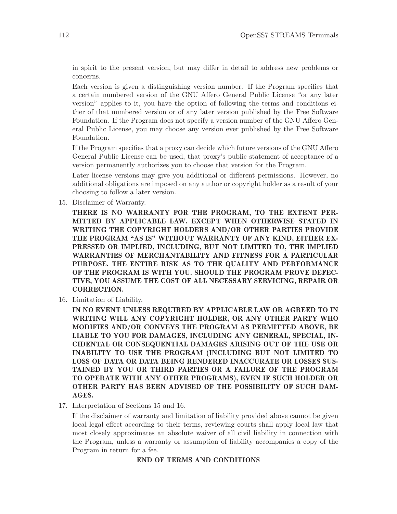in spirit to the present version, but may differ in detail to address new problems or concerns.

Each version is given a distinguishing version number. If the Program specifies that a certain numbered version of the GNU Affero General Public License "or any later version" applies to it, you have the option of following the terms and conditions either of that numbered version or of any later version published by the Free Software Foundation. If the Program does not specify a version number of the GNU Affero General Public License, you may choose any version ever published by the Free Software Foundation.

If the Program specifies that a proxy can decide which future versions of the GNU Affero General Public License can be used, that proxy's public statement of acceptance of a version permanently authorizes you to choose that version for the Program.

Later license versions may give you additional or different permissions. However, no additional obligations are imposed on any author or copyright holder as a result of your choosing to follow a later version.

15. Disclaimer of Warranty.

THERE IS NO WARRANTY FOR THE PROGRAM, TO THE EXTENT PER-MITTED BY APPLICABLE LAW. EXCEPT WHEN OTHERWISE STATED IN WRITING THE COPYRIGHT HOLDERS AND/OR OTHER PARTIES PROVIDE THE PROGRAM "AS IS" WITHOUT WARRANTY OF ANY KIND, EITHER EX-PRESSED OR IMPLIED, INCLUDING, BUT NOT LIMITED TO, THE IMPLIED WARRANTIES OF MERCHANTABILITY AND FITNESS FOR A PARTICULAR PURPOSE. THE ENTIRE RISK AS TO THE QUALITY AND PERFORMANCE OF THE PROGRAM IS WITH YOU. SHOULD THE PROGRAM PROVE DEFEC-TIVE, YOU ASSUME THE COST OF ALL NECESSARY SERVICING, REPAIR OR CORRECTION.

16. Limitation of Liability.

IN NO EVENT UNLESS REQUIRED BY APPLICABLE LAW OR AGREED TO IN WRITING WILL ANY COPYRIGHT HOLDER, OR ANY OTHER PARTY WHO MODIFIES AND/OR CONVEYS THE PROGRAM AS PERMITTED ABOVE, BE LIABLE TO YOU FOR DAMAGES, INCLUDING ANY GENERAL, SPECIAL, IN-CIDENTAL OR CONSEQUENTIAL DAMAGES ARISING OUT OF THE USE OR INABILITY TO USE THE PROGRAM (INCLUDING BUT NOT LIMITED TO LOSS OF DATA OR DATA BEING RENDERED INACCURATE OR LOSSES SUS-TAINED BY YOU OR THIRD PARTIES OR A FAILURE OF THE PROGRAM TO OPERATE WITH ANY OTHER PROGRAMS), EVEN IF SUCH HOLDER OR OTHER PARTY HAS BEEN ADVISED OF THE POSSIBILITY OF SUCH DAM-AGES.

17. Interpretation of Sections 15 and 16.

If the disclaimer of warranty and limitation of liability provided above cannot be given local legal effect according to their terms, reviewing courts shall apply local law that most closely approximates an absolute waiver of all civil liability in connection with the Program, unless a warranty or assumption of liability accompanies a copy of the Program in return for a fee.

### END OF TERMS AND CONDITIONS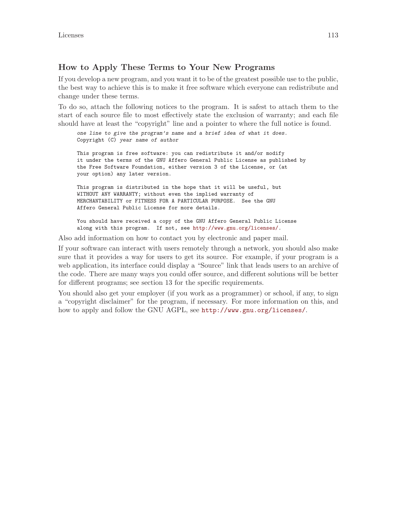### How to Apply These Terms to Your New Programs

If you develop a new program, and you want it to be of the greatest possible use to the public, the best way to achieve this is to make it free software which everyone can redistribute and change under these terms.

To do so, attach the following notices to the program. It is safest to attach them to the start of each source file to most effectively state the exclusion of warranty; and each file should have at least the "copyright" line and a pointer to where the full notice is found.

one line to give the program's name and a brief idea of what it does. Copyright (C) year name of author This program is free software: you can redistribute it and/or modify it under the terms of the GNU Affero General Public License as published by the Free Software Foundation, either version 3 of the License, or (at your option) any later version. This program is distributed in the hope that it will be useful, but

WITHOUT ANY WARRANTY; without even the implied warranty of MERCHANTABILITY or FITNESS FOR A PARTICULAR PURPOSE. See the GNU Affero General Public License for more details.

You should have received a copy of the GNU Affero General Public License along with this program. If not, see <http://www.gnu.org/licenses/>.

Also add information on how to contact you by electronic and paper mail.

If your software can interact with users remotely through a network, you should also make sure that it provides a way for users to get its source. For example, if your program is a web application, its interface could display a "Source" link that leads users to an archive of the code. There are many ways you could offer source, and different solutions will be better for different programs; see section 13 for the specific requirements.

You should also get your employer (if you work as a programmer) or school, if any, to sign a "copyright disclaimer" for the program, if necessary. For more information on this, and how to apply and follow the GNU AGPL, see <http://www.gnu.org/licenses/>.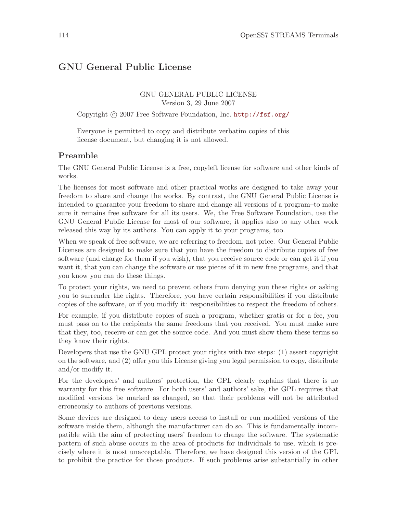# GNU General Public License

#### GNU GENERAL PUBLIC LICENSE Version 3, 29 June 2007

Copyright (c) 2007 Free Software Foundation, Inc. <http://fsf.org/>

Everyone is permitted to copy and distribute verbatim copies of this license document, but changing it is not allowed.

### Preamble

The GNU General Public License is a free, copyleft license for software and other kinds of works.

The licenses for most software and other practical works are designed to take away your freedom to share and change the works. By contrast, the GNU General Public License is intended to guarantee your freedom to share and change all versions of a program–to make sure it remains free software for all its users. We, the Free Software Foundation, use the GNU General Public License for most of our software; it applies also to any other work released this way by its authors. You can apply it to your programs, too.

When we speak of free software, we are referring to freedom, not price. Our General Public Licenses are designed to make sure that you have the freedom to distribute copies of free software (and charge for them if you wish), that you receive source code or can get it if you want it, that you can change the software or use pieces of it in new free programs, and that you know you can do these things.

To protect your rights, we need to prevent others from denying you these rights or asking you to surrender the rights. Therefore, you have certain responsibilities if you distribute copies of the software, or if you modify it: responsibilities to respect the freedom of others.

For example, if you distribute copies of such a program, whether gratis or for a fee, you must pass on to the recipients the same freedoms that you received. You must make sure that they, too, receive or can get the source code. And you must show them these terms so they know their rights.

Developers that use the GNU GPL protect your rights with two steps: (1) assert copyright on the software, and (2) offer you this License giving you legal permission to copy, distribute and/or modify it.

For the developers' and authors' protection, the GPL clearly explains that there is no warranty for this free software. For both users' and authors' sake, the GPL requires that modified versions be marked as changed, so that their problems will not be attributed erroneously to authors of previous versions.

Some devices are designed to deny users access to install or run modified versions of the software inside them, although the manufacturer can do so. This is fundamentally incompatible with the aim of protecting users' freedom to change the software. The systematic pattern of such abuse occurs in the area of products for individuals to use, which is precisely where it is most unacceptable. Therefore, we have designed this version of the GPL to prohibit the practice for those products. If such problems arise substantially in other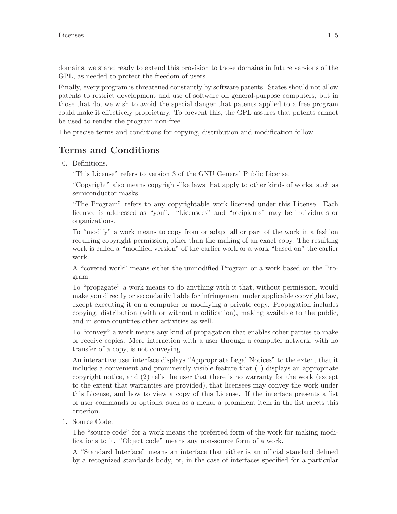domains, we stand ready to extend this provision to those domains in future versions of the GPL, as needed to protect the freedom of users.

Finally, every program is threatened constantly by software patents. States should not allow patents to restrict development and use of software on general-purpose computers, but in those that do, we wish to avoid the special danger that patents applied to a free program could make it effectively proprietary. To prevent this, the GPL assures that patents cannot be used to render the program non-free.

The precise terms and conditions for copying, distribution and modification follow.

# Terms and Conditions

0. Definitions.

"This License" refers to version 3 of the GNU General Public License.

"Copyright" also means copyright-like laws that apply to other kinds of works, such as semiconductor masks.

"The Program" refers to any copyrightable work licensed under this License. Each licensee is addressed as "you". "Licensees" and "recipients" may be individuals or organizations.

To "modify" a work means to copy from or adapt all or part of the work in a fashion requiring copyright permission, other than the making of an exact copy. The resulting work is called a "modified version" of the earlier work or a work "based on" the earlier work.

A "covered work" means either the unmodified Program or a work based on the Program.

To "propagate" a work means to do anything with it that, without permission, would make you directly or secondarily liable for infringement under applicable copyright law, except executing it on a computer or modifying a private copy. Propagation includes copying, distribution (with or without modification), making available to the public, and in some countries other activities as well.

To "convey" a work means any kind of propagation that enables other parties to make or receive copies. Mere interaction with a user through a computer network, with no transfer of a copy, is not conveying.

An interactive user interface displays "Appropriate Legal Notices" to the extent that it includes a convenient and prominently visible feature that (1) displays an appropriate copyright notice, and (2) tells the user that there is no warranty for the work (except to the extent that warranties are provided), that licensees may convey the work under this License, and how to view a copy of this License. If the interface presents a list of user commands or options, such as a menu, a prominent item in the list meets this criterion.

1. Source Code.

The "source code" for a work means the preferred form of the work for making modifications to it. "Object code" means any non-source form of a work.

A "Standard Interface" means an interface that either is an official standard defined by a recognized standards body, or, in the case of interfaces specified for a particular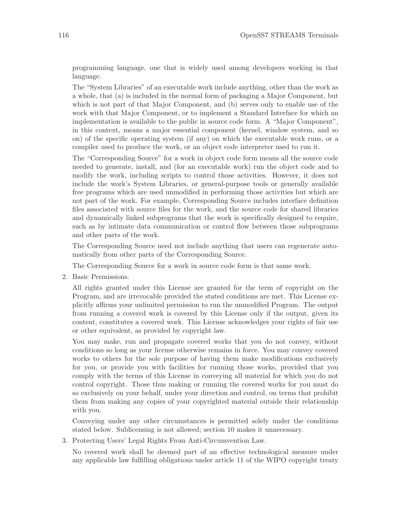programming language, one that is widely used among developers working in that language.

The "System Libraries" of an executable work include anything, other than the work as a whole, that (a) is included in the normal form of packaging a Major Component, but which is not part of that Major Component, and (b) serves only to enable use of the work with that Major Component, or to implement a Standard Interface for which an implementation is available to the public in source code form. A "Major Component", in this context, means a major essential component (kernel, window system, and so on) of the specific operating system (if any) on which the executable work runs, or a compiler used to produce the work, or an object code interpreter used to run it.

The "Corresponding Source" for a work in object code form means all the source code needed to generate, install, and (for an executable work) run the object code and to modify the work, including scripts to control those activities. However, it does not include the work's System Libraries, or general-purpose tools or generally available free programs which are used unmodified in performing those activities but which are not part of the work. For example, Corresponding Source includes interface definition files associated with source files for the work, and the source code for shared libraries and dynamically linked subprograms that the work is specifically designed to require, such as by intimate data communication or control flow between those subprograms and other parts of the work.

The Corresponding Source need not include anything that users can regenerate automatically from other parts of the Corresponding Source.

The Corresponding Source for a work in source code form is that same work.

2. Basic Permissions.

All rights granted under this License are granted for the term of copyright on the Program, and are irrevocable provided the stated conditions are met. This License explicitly affirms your unlimited permission to run the unmodified Program. The output from running a covered work is covered by this License only if the output, given its content, constitutes a covered work. This License acknowledges your rights of fair use or other equivalent, as provided by copyright law.

You may make, run and propagate covered works that you do not convey, without conditions so long as your license otherwise remains in force. You may convey covered works to others for the sole purpose of having them make modifications exclusively for you, or provide you with facilities for running those works, provided that you comply with the terms of this License in conveying all material for which you do not control copyright. Those thus making or running the covered works for you must do so exclusively on your behalf, under your direction and control, on terms that prohibit them from making any copies of your copyrighted material outside their relationship with you.

Conveying under any other circumstances is permitted solely under the conditions stated below. Sublicensing is not allowed; section 10 makes it unnecessary.

3. Protecting Users' Legal Rights From Anti-Circumvention Law.

No covered work shall be deemed part of an effective technological measure under any applicable law fulfilling obligations under article 11 of the WIPO copyright treaty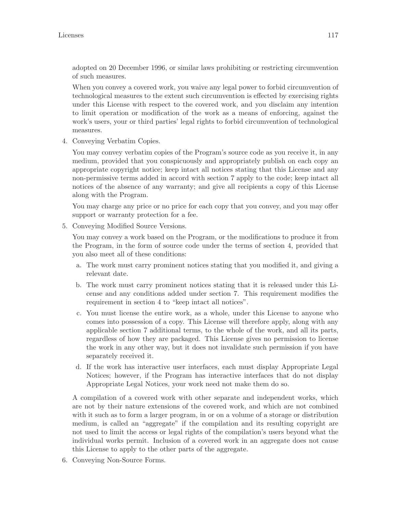adopted on 20 December 1996, or similar laws prohibiting or restricting circumvention of such measures.

When you convey a covered work, you waive any legal power to forbid circumvention of technological measures to the extent such circumvention is effected by exercising rights under this License with respect to the covered work, and you disclaim any intention to limit operation or modification of the work as a means of enforcing, against the work's users, your or third parties' legal rights to forbid circumvention of technological measures.

4. Conveying Verbatim Copies.

You may convey verbatim copies of the Program's source code as you receive it, in any medium, provided that you conspicuously and appropriately publish on each copy an appropriate copyright notice; keep intact all notices stating that this License and any non-permissive terms added in accord with section 7 apply to the code; keep intact all notices of the absence of any warranty; and give all recipients a copy of this License along with the Program.

You may charge any price or no price for each copy that you convey, and you may offer support or warranty protection for a fee.

5. Conveying Modified Source Versions.

You may convey a work based on the Program, or the modifications to produce it from the Program, in the form of source code under the terms of section 4, provided that you also meet all of these conditions:

- a. The work must carry prominent notices stating that you modified it, and giving a relevant date.
- b. The work must carry prominent notices stating that it is released under this License and any conditions added under section 7. This requirement modifies the requirement in section 4 to "keep intact all notices".
- c. You must license the entire work, as a whole, under this License to anyone who comes into possession of a copy. This License will therefore apply, along with any applicable section 7 additional terms, to the whole of the work, and all its parts, regardless of how they are packaged. This License gives no permission to license the work in any other way, but it does not invalidate such permission if you have separately received it.
- d. If the work has interactive user interfaces, each must display Appropriate Legal Notices; however, if the Program has interactive interfaces that do not display Appropriate Legal Notices, your work need not make them do so.

A compilation of a covered work with other separate and independent works, which are not by their nature extensions of the covered work, and which are not combined with it such as to form a larger program, in or on a volume of a storage or distribution medium, is called an "aggregate" if the compilation and its resulting copyright are not used to limit the access or legal rights of the compilation's users beyond what the individual works permit. Inclusion of a covered work in an aggregate does not cause this License to apply to the other parts of the aggregate.

6. Conveying Non-Source Forms.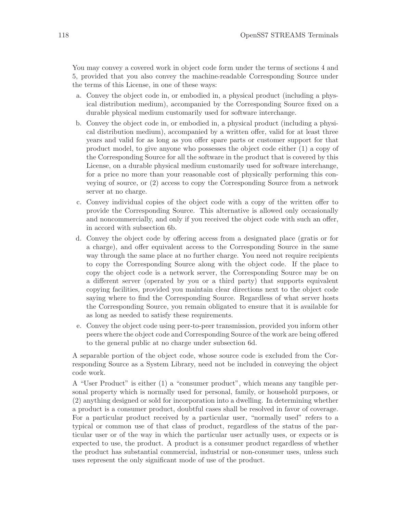You may convey a covered work in object code form under the terms of sections 4 and 5, provided that you also convey the machine-readable Corresponding Source under the terms of this License, in one of these ways:

- a. Convey the object code in, or embodied in, a physical product (including a physical distribution medium), accompanied by the Corresponding Source fixed on a durable physical medium customarily used for software interchange.
- b. Convey the object code in, or embodied in, a physical product (including a physical distribution medium), accompanied by a written offer, valid for at least three years and valid for as long as you offer spare parts or customer support for that product model, to give anyone who possesses the object code either (1) a copy of the Corresponding Source for all the software in the product that is covered by this License, on a durable physical medium customarily used for software interchange, for a price no more than your reasonable cost of physically performing this conveying of source, or (2) access to copy the Corresponding Source from a network server at no charge.
- c. Convey individual copies of the object code with a copy of the written offer to provide the Corresponding Source. This alternative is allowed only occasionally and noncommercially, and only if you received the object code with such an offer, in accord with subsection 6b.
- d. Convey the object code by offering access from a designated place (gratis or for a charge), and offer equivalent access to the Corresponding Source in the same way through the same place at no further charge. You need not require recipients to copy the Corresponding Source along with the object code. If the place to copy the object code is a network server, the Corresponding Source may be on a different server (operated by you or a third party) that supports equivalent copying facilities, provided you maintain clear directions next to the object code saying where to find the Corresponding Source. Regardless of what server hosts the Corresponding Source, you remain obligated to ensure that it is available for as long as needed to satisfy these requirements.
- e. Convey the object code using peer-to-peer transmission, provided you inform other peers where the object code and Corresponding Source of the work are being offered to the general public at no charge under subsection 6d.

A separable portion of the object code, whose source code is excluded from the Corresponding Source as a System Library, need not be included in conveying the object code work.

A "User Product" is either (1) a "consumer product", which means any tangible personal property which is normally used for personal, family, or household purposes, or (2) anything designed or sold for incorporation into a dwelling. In determining whether a product is a consumer product, doubtful cases shall be resolved in favor of coverage. For a particular product received by a particular user, "normally used" refers to a typical or common use of that class of product, regardless of the status of the particular user or of the way in which the particular user actually uses, or expects or is expected to use, the product. A product is a consumer product regardless of whether the product has substantial commercial, industrial or non-consumer uses, unless such uses represent the only significant mode of use of the product.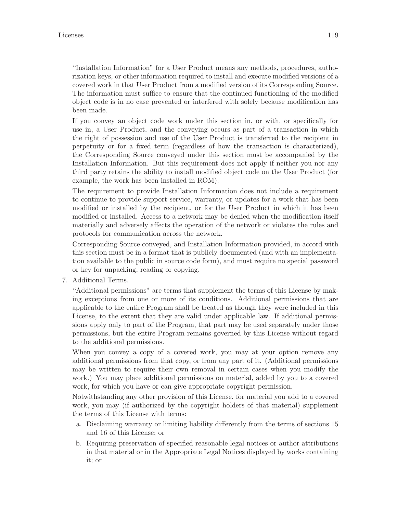"Installation Information" for a User Product means any methods, procedures, authorization keys, or other information required to install and execute modified versions of a covered work in that User Product from a modified version of its Corresponding Source. The information must suffice to ensure that the continued functioning of the modified object code is in no case prevented or interfered with solely because modification has been made.

If you convey an object code work under this section in, or with, or specifically for use in, a User Product, and the conveying occurs as part of a transaction in which the right of possession and use of the User Product is transferred to the recipient in perpetuity or for a fixed term (regardless of how the transaction is characterized), the Corresponding Source conveyed under this section must be accompanied by the Installation Information. But this requirement does not apply if neither you nor any third party retains the ability to install modified object code on the User Product (for example, the work has been installed in ROM).

The requirement to provide Installation Information does not include a requirement to continue to provide support service, warranty, or updates for a work that has been modified or installed by the recipient, or for the User Product in which it has been modified or installed. Access to a network may be denied when the modification itself materially and adversely affects the operation of the network or violates the rules and protocols for communication across the network.

Corresponding Source conveyed, and Installation Information provided, in accord with this section must be in a format that is publicly documented (and with an implementation available to the public in source code form), and must require no special password or key for unpacking, reading or copying.

7. Additional Terms.

"Additional permissions" are terms that supplement the terms of this License by making exceptions from one or more of its conditions. Additional permissions that are applicable to the entire Program shall be treated as though they were included in this License, to the extent that they are valid under applicable law. If additional permissions apply only to part of the Program, that part may be used separately under those permissions, but the entire Program remains governed by this License without regard to the additional permissions.

When you convey a copy of a covered work, you may at your option remove any additional permissions from that copy, or from any part of it. (Additional permissions may be written to require their own removal in certain cases when you modify the work.) You may place additional permissions on material, added by you to a covered work, for which you have or can give appropriate copyright permission.

Notwithstanding any other provision of this License, for material you add to a covered work, you may (if authorized by the copyright holders of that material) supplement the terms of this License with terms:

- a. Disclaiming warranty or limiting liability differently from the terms of sections 15 and 16 of this License; or
- b. Requiring preservation of specified reasonable legal notices or author attributions in that material or in the Appropriate Legal Notices displayed by works containing it; or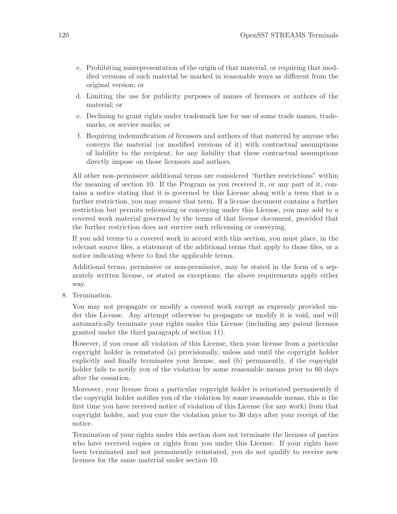- c. Prohibiting misrepresentation of the origin of that material, or requiring that modified versions of such material be marked in reasonable ways as different from the original version; or
- d. Limiting the use for publicity purposes of names of licensors or authors of the material; or
- e. Declining to grant rights under trademark law for use of some trade names, trademarks, or service marks; or
- f. Requiring indemnification of licensors and authors of that material by anyone who conveys the material (or modified versions of it) with contractual assumptions of liability to the recipient, for any liability that these contractual assumptions directly impose on those licensors and authors.

All other non-permissive additional terms are considered "further restrictions" within the meaning of section 10. If the Program as you received it, or any part of it, contains a notice stating that it is governed by this License along with a term that is a further restriction, you may remove that term. If a license document contains a further restriction but permits relicensing or conveying under this License, you may add to a covered work material governed by the terms of that license document, provided that the further restriction does not survive such relicensing or conveying.

If you add terms to a covered work in accord with this section, you must place, in the relevant source files, a statement of the additional terms that apply to those files, or a notice indicating where to find the applicable terms.

Additional terms, permissive or non-permissive, may be stated in the form of a separately written license, or stated as exceptions; the above requirements apply either way.

8. Termination.

You may not propagate or modify a covered work except as expressly provided under this License. Any attempt otherwise to propagate or modify it is void, and will automatically terminate your rights under this License (including any patent licenses granted under the third paragraph of section 11).

However, if you cease all violation of this License, then your license from a particular copyright holder is reinstated (a) provisionally, unless and until the copyright holder explicitly and finally terminates your license, and (b) permanently, if the copyright holder fails to notify you of the violation by some reasonable means prior to 60 days after the cessation.

Moreover, your license from a particular copyright holder is reinstated permanently if the copyright holder notifies you of the violation by some reasonable means, this is the first time you have received notice of violation of this License (for any work) from that copyright holder, and you cure the violation prior to 30 days after your receipt of the notice.

Termination of your rights under this section does not terminate the licenses of parties who have received copies or rights from you under this License. If your rights have been terminated and not permanently reinstated, you do not qualify to receive new licenses for the same material under section 10.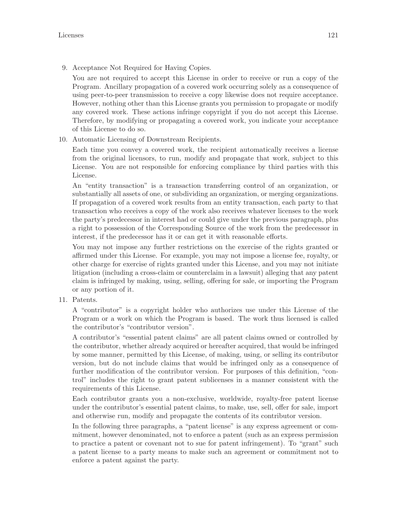9. Acceptance Not Required for Having Copies.

You are not required to accept this License in order to receive or run a copy of the Program. Ancillary propagation of a covered work occurring solely as a consequence of using peer-to-peer transmission to receive a copy likewise does not require acceptance. However, nothing other than this License grants you permission to propagate or modify any covered work. These actions infringe copyright if you do not accept this License. Therefore, by modifying or propagating a covered work, you indicate your acceptance of this License to do so.

10. Automatic Licensing of Downstream Recipients.

Each time you convey a covered work, the recipient automatically receives a license from the original licensors, to run, modify and propagate that work, subject to this License. You are not responsible for enforcing compliance by third parties with this License.

An "entity transaction" is a transaction transferring control of an organization, or substantially all assets of one, or subdividing an organization, or merging organizations. If propagation of a covered work results from an entity transaction, each party to that transaction who receives a copy of the work also receives whatever licenses to the work the party's predecessor in interest had or could give under the previous paragraph, plus a right to possession of the Corresponding Source of the work from the predecessor in interest, if the predecessor has it or can get it with reasonable efforts.

You may not impose any further restrictions on the exercise of the rights granted or affirmed under this License. For example, you may not impose a license fee, royalty, or other charge for exercise of rights granted under this License, and you may not initiate litigation (including a cross-claim or counterclaim in a lawsuit) alleging that any patent claim is infringed by making, using, selling, offering for sale, or importing the Program or any portion of it.

11. Patents.

A "contributor" is a copyright holder who authorizes use under this License of the Program or a work on which the Program is based. The work thus licensed is called the contributor's "contributor version".

A contributor's "essential patent claims" are all patent claims owned or controlled by the contributor, whether already acquired or hereafter acquired, that would be infringed by some manner, permitted by this License, of making, using, or selling its contributor version, but do not include claims that would be infringed only as a consequence of further modification of the contributor version. For purposes of this definition, "control" includes the right to grant patent sublicenses in a manner consistent with the requirements of this License.

Each contributor grants you a non-exclusive, worldwide, royalty-free patent license under the contributor's essential patent claims, to make, use, sell, offer for sale, import and otherwise run, modify and propagate the contents of its contributor version.

In the following three paragraphs, a "patent license" is any express agreement or commitment, however denominated, not to enforce a patent (such as an express permission to practice a patent or covenant not to sue for patent infringement). To "grant" such a patent license to a party means to make such an agreement or commitment not to enforce a patent against the party.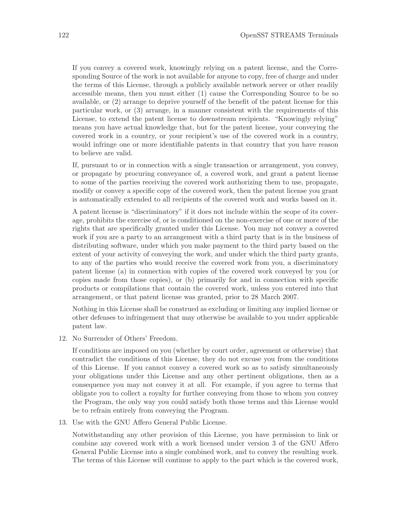If you convey a covered work, knowingly relying on a patent license, and the Corresponding Source of the work is not available for anyone to copy, free of charge and under the terms of this License, through a publicly available network server or other readily accessible means, then you must either (1) cause the Corresponding Source to be so available, or (2) arrange to deprive yourself of the benefit of the patent license for this particular work, or (3) arrange, in a manner consistent with the requirements of this License, to extend the patent license to downstream recipients. "Knowingly relying" means you have actual knowledge that, but for the patent license, your conveying the covered work in a country, or your recipient's use of the covered work in a country, would infringe one or more identifiable patents in that country that you have reason to believe are valid.

If, pursuant to or in connection with a single transaction or arrangement, you convey, or propagate by procuring conveyance of, a covered work, and grant a patent license to some of the parties receiving the covered work authorizing them to use, propagate, modify or convey a specific copy of the covered work, then the patent license you grant is automatically extended to all recipients of the covered work and works based on it.

A patent license is "discriminatory" if it does not include within the scope of its coverage, prohibits the exercise of, or is conditioned on the non-exercise of one or more of the rights that are specifically granted under this License. You may not convey a covered work if you are a party to an arrangement with a third party that is in the business of distributing software, under which you make payment to the third party based on the extent of your activity of conveying the work, and under which the third party grants, to any of the parties who would receive the covered work from you, a discriminatory patent license (a) in connection with copies of the covered work conveyed by you (or copies made from those copies), or (b) primarily for and in connection with specific products or compilations that contain the covered work, unless you entered into that arrangement, or that patent license was granted, prior to 28 March 2007.

Nothing in this License shall be construed as excluding or limiting any implied license or other defenses to infringement that may otherwise be available to you under applicable patent law.

12. No Surrender of Others' Freedom.

If conditions are imposed on you (whether by court order, agreement or otherwise) that contradict the conditions of this License, they do not excuse you from the conditions of this License. If you cannot convey a covered work so as to satisfy simultaneously your obligations under this License and any other pertinent obligations, then as a consequence you may not convey it at all. For example, if you agree to terms that obligate you to collect a royalty for further conveying from those to whom you convey the Program, the only way you could satisfy both those terms and this License would be to refrain entirely from conveying the Program.

13. Use with the GNU Affero General Public License.

Notwithstanding any other provision of this License, you have permission to link or combine any covered work with a work licensed under version 3 of the GNU Affero General Public License into a single combined work, and to convey the resulting work. The terms of this License will continue to apply to the part which is the covered work,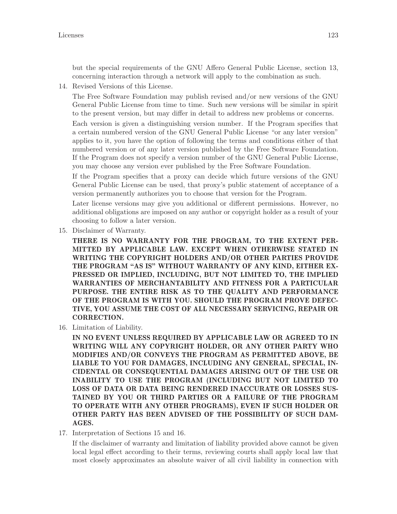but the special requirements of the GNU Affero General Public License, section 13, concerning interaction through a network will apply to the combination as such.

14. Revised Versions of this License.

The Free Software Foundation may publish revised and/or new versions of the GNU General Public License from time to time. Such new versions will be similar in spirit to the present version, but may differ in detail to address new problems or concerns.

Each version is given a distinguishing version number. If the Program specifies that a certain numbered version of the GNU General Public License "or any later version" applies to it, you have the option of following the terms and conditions either of that numbered version or of any later version published by the Free Software Foundation. If the Program does not specify a version number of the GNU General Public License, you may choose any version ever published by the Free Software Foundation.

If the Program specifies that a proxy can decide which future versions of the GNU General Public License can be used, that proxy's public statement of acceptance of a version permanently authorizes you to choose that version for the Program.

Later license versions may give you additional or different permissions. However, no additional obligations are imposed on any author or copyright holder as a result of your choosing to follow a later version.

15. Disclaimer of Warranty.

THERE IS NO WARRANTY FOR THE PROGRAM, TO THE EXTENT PER-MITTED BY APPLICABLE LAW. EXCEPT WHEN OTHERWISE STATED IN WRITING THE COPYRIGHT HOLDERS AND/OR OTHER PARTIES PROVIDE THE PROGRAM "AS IS" WITHOUT WARRANTY OF ANY KIND, EITHER EX-PRESSED OR IMPLIED, INCLUDING, BUT NOT LIMITED TO, THE IMPLIED WARRANTIES OF MERCHANTABILITY AND FITNESS FOR A PARTICULAR PURPOSE. THE ENTIRE RISK AS TO THE QUALITY AND PERFORMANCE OF THE PROGRAM IS WITH YOU. SHOULD THE PROGRAM PROVE DEFEC-TIVE, YOU ASSUME THE COST OF ALL NECESSARY SERVICING, REPAIR OR CORRECTION.

16. Limitation of Liability.

IN NO EVENT UNLESS REQUIRED BY APPLICABLE LAW OR AGREED TO IN WRITING WILL ANY COPYRIGHT HOLDER, OR ANY OTHER PARTY WHO MODIFIES AND/OR CONVEYS THE PROGRAM AS PERMITTED ABOVE, BE LIABLE TO YOU FOR DAMAGES, INCLUDING ANY GENERAL, SPECIAL, IN-CIDENTAL OR CONSEQUENTIAL DAMAGES ARISING OUT OF THE USE OR INABILITY TO USE THE PROGRAM (INCLUDING BUT NOT LIMITED TO LOSS OF DATA OR DATA BEING RENDERED INACCURATE OR LOSSES SUS-TAINED BY YOU OR THIRD PARTIES OR A FAILURE OF THE PROGRAM TO OPERATE WITH ANY OTHER PROGRAMS), EVEN IF SUCH HOLDER OR OTHER PARTY HAS BEEN ADVISED OF THE POSSIBILITY OF SUCH DAM-AGES.

17. Interpretation of Sections 15 and 16.

If the disclaimer of warranty and limitation of liability provided above cannot be given local legal effect according to their terms, reviewing courts shall apply local law that most closely approximates an absolute waiver of all civil liability in connection with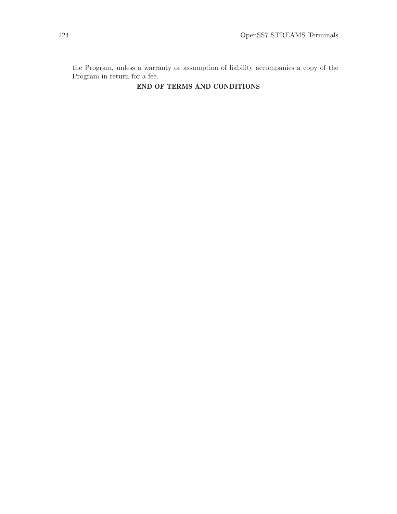the Program, unless a warranty or assumption of liability accompanies a copy of the Program in return for a fee.

### END OF TERMS AND CONDITIONS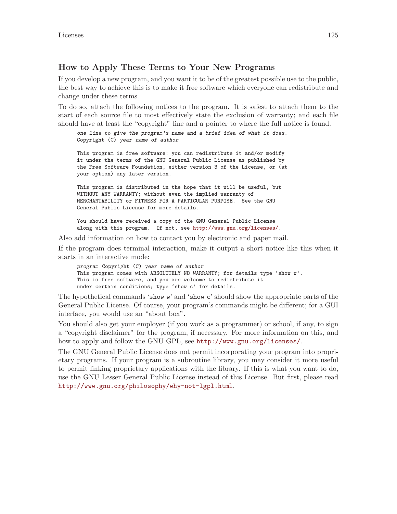### How to Apply These Terms to Your New Programs

If you develop a new program, and you want it to be of the greatest possible use to the public, the best way to achieve this is to make it free software which everyone can redistribute and change under these terms.

To do so, attach the following notices to the program. It is safest to attach them to the start of each source file to most effectively state the exclusion of warranty; and each file should have at least the "copyright" line and a pointer to where the full notice is found.

one line to give the program's name and a brief idea of what it does. Copyright (C) year name of author This program is free software: you can redistribute it and/or modify

it under the terms of the GNU General Public License as published by the Free Software Foundation, either version 3 of the License, or (at your option) any later version.

This program is distributed in the hope that it will be useful, but WITHOUT ANY WARRANTY; without even the implied warranty of MERCHANTABILITY or FITNESS FOR A PARTICULAR PURPOSE. See the GNU General Public License for more details.

You should have received a copy of the GNU General Public License along with this program. If not, see <http://www.gnu.org/licenses/>.

Also add information on how to contact you by electronic and paper mail.

If the program does terminal interaction, make it output a short notice like this when it starts in an interactive mode:

program Copyright (C) year name of author This program comes with ABSOLUTELY NO WARRANTY; for details type 'show w'. This is free software, and you are welcome to redistribute it under certain conditions; type 'show c' for details.

The hypothetical commands 'show w' and 'show c' should show the appropriate parts of the General Public License. Of course, your program's commands might be different; for a GUI interface, you would use an "about box".

You should also get your employer (if you work as a programmer) or school, if any, to sign a "copyright disclaimer" for the program, if necessary. For more information on this, and how to apply and follow the GNU GPL, see <http://www.gnu.org/licenses/>.

The GNU General Public License does not permit incorporating your program into proprietary programs. If your program is a subroutine library, you may consider it more useful to permit linking proprietary applications with the library. If this is what you want to do, use the GNU Lesser General Public License instead of this License. But first, please read <http://www.gnu.org/philosophy/why-not-lgpl.html>.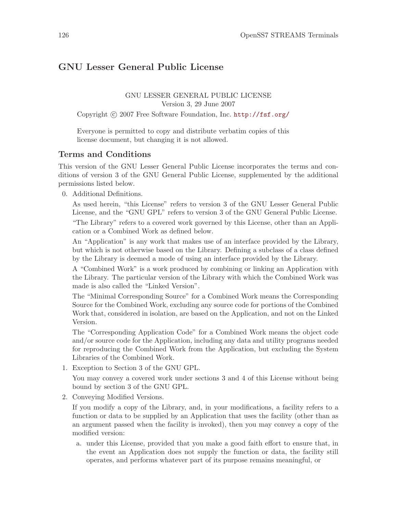# GNU Lesser General Public License

GNU LESSER GENERAL PUBLIC LICENSE Version 3, 29 June 2007

Copyright (c) 2007 Free Software Foundation, Inc. <http://fsf.org/>

Everyone is permitted to copy and distribute verbatim copies of this license document, but changing it is not allowed.

### Terms and Conditions

This version of the GNU Lesser General Public License incorporates the terms and conditions of version 3 of the GNU General Public License, supplemented by the additional permissions listed below.

0. Additional Definitions.

As used herein, "this License" refers to version 3 of the GNU Lesser General Public License, and the "GNU GPL" refers to version 3 of the GNU General Public License. "The Library" refers to a covered work governed by this License, other than an Application or a Combined Work as defined below.

An "Application" is any work that makes use of an interface provided by the Library, but which is not otherwise based on the Library. Defining a subclass of a class defined by the Library is deemed a mode of using an interface provided by the Library.

A "Combined Work" is a work produced by combining or linking an Application with the Library. The particular version of the Library with which the Combined Work was made is also called the "Linked Version".

The "Minimal Corresponding Source" for a Combined Work means the Corresponding Source for the Combined Work, excluding any source code for portions of the Combined Work that, considered in isolation, are based on the Application, and not on the Linked Version.

The "Corresponding Application Code" for a Combined Work means the object code and/or source code for the Application, including any data and utility programs needed for reproducing the Combined Work from the Application, but excluding the System Libraries of the Combined Work.

1. Exception to Section 3 of the GNU GPL.

You may convey a covered work under sections 3 and 4 of this License without being bound by section 3 of the GNU GPL.

2. Conveying Modified Versions.

If you modify a copy of the Library, and, in your modifications, a facility refers to a function or data to be supplied by an Application that uses the facility (other than as an argument passed when the facility is invoked), then you may convey a copy of the modified version:

a. under this License, provided that you make a good faith effort to ensure that, in the event an Application does not supply the function or data, the facility still operates, and performs whatever part of its purpose remains meaningful, or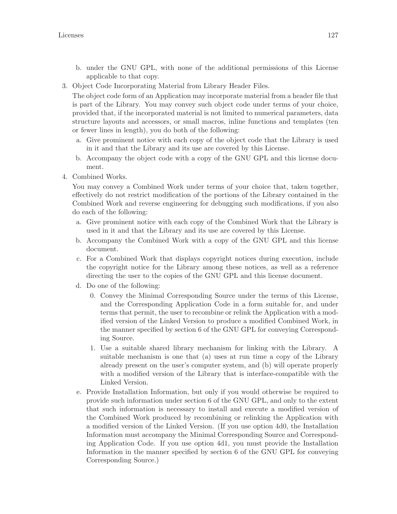- b. under the GNU GPL, with none of the additional permissions of this License applicable to that copy.
- 3. Object Code Incorporating Material from Library Header Files.

The object code form of an Application may incorporate material from a header file that is part of the Library. You may convey such object code under terms of your choice, provided that, if the incorporated material is not limited to numerical parameters, data structure layouts and accessors, or small macros, inline functions and templates (ten or fewer lines in length), you do both of the following:

- a. Give prominent notice with each copy of the object code that the Library is used in it and that the Library and its use are covered by this License.
- b. Accompany the object code with a copy of the GNU GPL and this license document.
- 4. Combined Works.

You may convey a Combined Work under terms of your choice that, taken together, effectively do not restrict modification of the portions of the Library contained in the Combined Work and reverse engineering for debugging such modifications, if you also do each of the following:

- a. Give prominent notice with each copy of the Combined Work that the Library is used in it and that the Library and its use are covered by this License.
- b. Accompany the Combined Work with a copy of the GNU GPL and this license document.
- c. For a Combined Work that displays copyright notices during execution, include the copyright notice for the Library among these notices, as well as a reference directing the user to the copies of the GNU GPL and this license document.
- d. Do one of the following:
	- 0. Convey the Minimal Corresponding Source under the terms of this License, and the Corresponding Application Code in a form suitable for, and under terms that permit, the user to recombine or relink the Application with a modified version of the Linked Version to produce a modified Combined Work, in the manner specified by section 6 of the GNU GPL for conveying Corresponding Source.
	- 1. Use a suitable shared library mechanism for linking with the Library. A suitable mechanism is one that (a) uses at run time a copy of the Library already present on the user's computer system, and (b) will operate properly with a modified version of the Library that is interface-compatible with the Linked Version.
- e. Provide Installation Information, but only if you would otherwise be required to provide such information under section 6 of the GNU GPL, and only to the extent that such information is necessary to install and execute a modified version of the Combined Work produced by recombining or relinking the Application with a modified version of the Linked Version. (If you use option 4d0, the Installation Information must accompany the Minimal Corresponding Source and Corresponding Application Code. If you use option 4d1, you must provide the Installation Information in the manner specified by section 6 of the GNU GPL for conveying Corresponding Source.)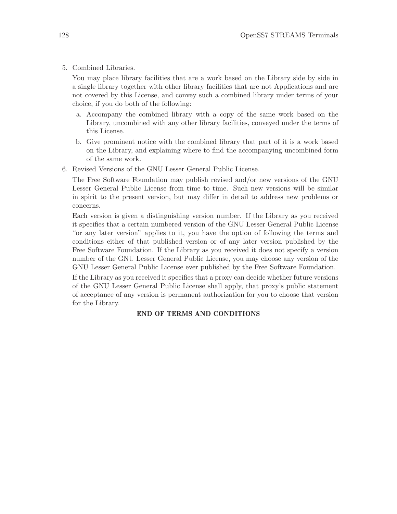5. Combined Libraries.

You may place library facilities that are a work based on the Library side by side in a single library together with other library facilities that are not Applications and are not covered by this License, and convey such a combined library under terms of your choice, if you do both of the following:

- a. Accompany the combined library with a copy of the same work based on the Library, uncombined with any other library facilities, conveyed under the terms of this License.
- b. Give prominent notice with the combined library that part of it is a work based on the Library, and explaining where to find the accompanying uncombined form of the same work.
- 6. Revised Versions of the GNU Lesser General Public License.

The Free Software Foundation may publish revised and/or new versions of the GNU Lesser General Public License from time to time. Such new versions will be similar in spirit to the present version, but may differ in detail to address new problems or concerns.

Each version is given a distinguishing version number. If the Library as you received it specifies that a certain numbered version of the GNU Lesser General Public License "or any later version" applies to it, you have the option of following the terms and conditions either of that published version or of any later version published by the Free Software Foundation. If the Library as you received it does not specify a version number of the GNU Lesser General Public License, you may choose any version of the GNU Lesser General Public License ever published by the Free Software Foundation.

If the Library as you received it specifies that a proxy can decide whether future versions of the GNU Lesser General Public License shall apply, that proxy's public statement of acceptance of any version is permanent authorization for you to choose that version for the Library.

#### END OF TERMS AND CONDITIONS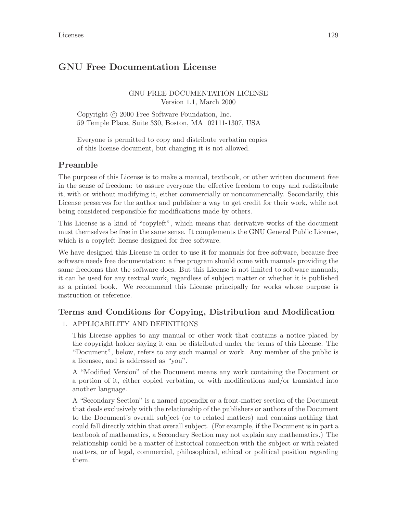# GNU Free Documentation License

### GNU FREE DOCUMENTATION LICENSE Version 1.1, March 2000

Copyright (c) 2000 Free Software Foundation, Inc. 59 Temple Place, Suite 330, Boston, MA 02111-1307, USA

Everyone is permitted to copy and distribute verbatim copies of this license document, but changing it is not allowed.

## Preamble

The purpose of this License is to make a manual, textbook, or other written document free in the sense of freedom: to assure everyone the effective freedom to copy and redistribute it, with or without modifying it, either commercially or noncommercially. Secondarily, this License preserves for the author and publisher a way to get credit for their work, while not being considered responsible for modifications made by others.

This License is a kind of "copyleft", which means that derivative works of the document must themselves be free in the same sense. It complements the GNU General Public License, which is a copyleft license designed for free software.

We have designed this License in order to use it for manuals for free software, because free software needs free documentation: a free program should come with manuals providing the same freedoms that the software does. But this License is not limited to software manuals; it can be used for any textual work, regardless of subject matter or whether it is published as a printed book. We recommend this License principally for works whose purpose is instruction or reference.

# Terms and Conditions for Copying, Distribution and Modification

### 1. APPLICABILITY AND DEFINITIONS

This License applies to any manual or other work that contains a notice placed by the copyright holder saying it can be distributed under the terms of this License. The "Document", below, refers to any such manual or work. Any member of the public is a licensee, and is addressed as "you".

A "Modified Version" of the Document means any work containing the Document or a portion of it, either copied verbatim, or with modifications and/or translated into another language.

A "Secondary Section" is a named appendix or a front-matter section of the Document that deals exclusively with the relationship of the publishers or authors of the Document to the Document's overall subject (or to related matters) and contains nothing that could fall directly within that overall subject. (For example, if the Document is in part a textbook of mathematics, a Secondary Section may not explain any mathematics.) The relationship could be a matter of historical connection with the subject or with related matters, or of legal, commercial, philosophical, ethical or political position regarding them.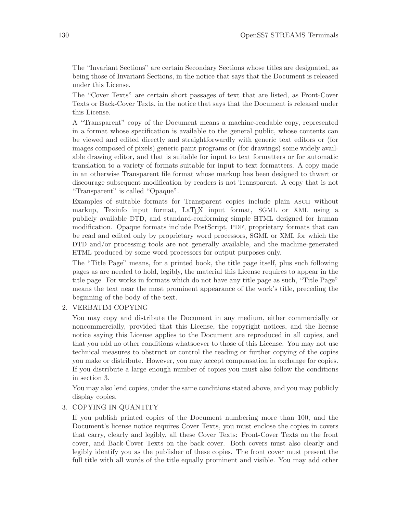The "Invariant Sections" are certain Secondary Sections whose titles are designated, as being those of Invariant Sections, in the notice that says that the Document is released under this License.

The "Cover Texts" are certain short passages of text that are listed, as Front-Cover Texts or Back-Cover Texts, in the notice that says that the Document is released under this License.

A "Transparent" copy of the Document means a machine-readable copy, represented in a format whose specification is available to the general public, whose contents can be viewed and edited directly and straightforwardly with generic text editors or (for images composed of pixels) generic paint programs or (for drawings) some widely available drawing editor, and that is suitable for input to text formatters or for automatic translation to a variety of formats suitable for input to text formatters. A copy made in an otherwise Transparent file format whose markup has been designed to thwart or discourage subsequent modification by readers is not Transparent. A copy that is not "Transparent" is called "Opaque".

Examples of suitable formats for Transparent copies include plain ascii without markup, Texinfo input format, LaTEX input format, SGML or XML using a publicly available DTD, and standard-conforming simple HTML designed for human modification. Opaque formats include PostScript, PDF, proprietary formats that can be read and edited only by proprietary word processors, SGML or XML for which the DTD and/or processing tools are not generally available, and the machine-generated HTML produced by some word processors for output purposes only.

The "Title Page" means, for a printed book, the title page itself, plus such following pages as are needed to hold, legibly, the material this License requires to appear in the title page. For works in formats which do not have any title page as such, "Title Page" means the text near the most prominent appearance of the work's title, preceding the beginning of the body of the text.

### 2. VERBATIM COPYING

You may copy and distribute the Document in any medium, either commercially or noncommercially, provided that this License, the copyright notices, and the license notice saying this License applies to the Document are reproduced in all copies, and that you add no other conditions whatsoever to those of this License. You may not use technical measures to obstruct or control the reading or further copying of the copies you make or distribute. However, you may accept compensation in exchange for copies. If you distribute a large enough number of copies you must also follow the conditions in section 3.

You may also lend copies, under the same conditions stated above, and you may publicly display copies.

### 3. COPYING IN QUANTITY

If you publish printed copies of the Document numbering more than 100, and the Document's license notice requires Cover Texts, you must enclose the copies in covers that carry, clearly and legibly, all these Cover Texts: Front-Cover Texts on the front cover, and Back-Cover Texts on the back cover. Both covers must also clearly and legibly identify you as the publisher of these copies. The front cover must present the full title with all words of the title equally prominent and visible. You may add other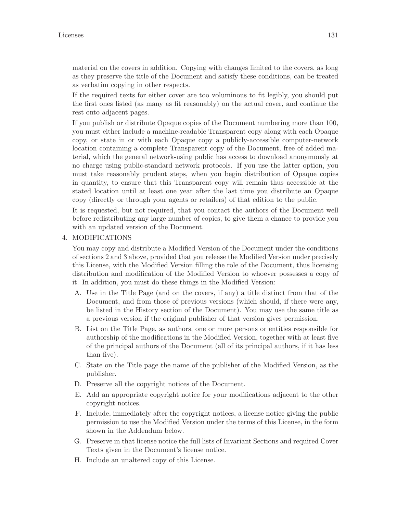material on the covers in addition. Copying with changes limited to the covers, as long as they preserve the title of the Document and satisfy these conditions, can be treated as verbatim copying in other respects.

If the required texts for either cover are too voluminous to fit legibly, you should put the first ones listed (as many as fit reasonably) on the actual cover, and continue the rest onto adjacent pages.

If you publish or distribute Opaque copies of the Document numbering more than 100, you must either include a machine-readable Transparent copy along with each Opaque copy, or state in or with each Opaque copy a publicly-accessible computer-network location containing a complete Transparent copy of the Document, free of added material, which the general network-using public has access to download anonymously at no charge using public-standard network protocols. If you use the latter option, you must take reasonably prudent steps, when you begin distribution of Opaque copies in quantity, to ensure that this Transparent copy will remain thus accessible at the stated location until at least one year after the last time you distribute an Opaque copy (directly or through your agents or retailers) of that edition to the public.

It is requested, but not required, that you contact the authors of the Document well before redistributing any large number of copies, to give them a chance to provide you with an updated version of the Document.

### 4. MODIFICATIONS

You may copy and distribute a Modified Version of the Document under the conditions of sections 2 and 3 above, provided that you release the Modified Version under precisely this License, with the Modified Version filling the role of the Document, thus licensing distribution and modification of the Modified Version to whoever possesses a copy of it. In addition, you must do these things in the Modified Version:

- A. Use in the Title Page (and on the covers, if any) a title distinct from that of the Document, and from those of previous versions (which should, if there were any, be listed in the History section of the Document). You may use the same title as a previous version if the original publisher of that version gives permission.
- B. List on the Title Page, as authors, one or more persons or entities responsible for authorship of the modifications in the Modified Version, together with at least five of the principal authors of the Document (all of its principal authors, if it has less than five).
- C. State on the Title page the name of the publisher of the Modified Version, as the publisher.
- D. Preserve all the copyright notices of the Document.
- E. Add an appropriate copyright notice for your modifications adjacent to the other copyright notices.
- F. Include, immediately after the copyright notices, a license notice giving the public permission to use the Modified Version under the terms of this License, in the form shown in the Addendum below.
- G. Preserve in that license notice the full lists of Invariant Sections and required Cover Texts given in the Document's license notice.
- H. Include an unaltered copy of this License.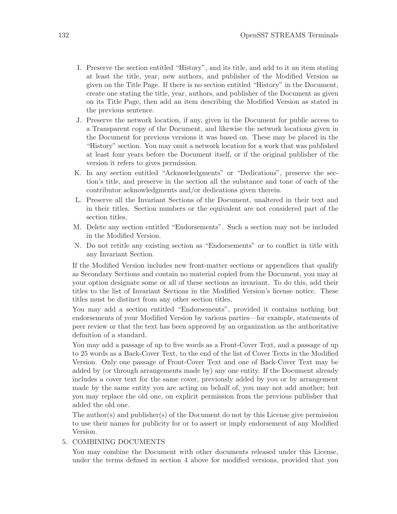- I. Preserve the section entitled "History", and its title, and add to it an item stating at least the title, year, new authors, and publisher of the Modified Version as given on the Title Page. If there is no section entitled "History" in the Document, create one stating the title, year, authors, and publisher of the Document as given on its Title Page, then add an item describing the Modified Version as stated in the previous sentence.
- J. Preserve the network location, if any, given in the Document for public access to a Transparent copy of the Document, and likewise the network locations given in the Document for previous versions it was based on. These may be placed in the "History" section. You may omit a network location for a work that was published at least four years before the Document itself, or if the original publisher of the version it refers to gives permission.
- K. In any section entitled "Acknowledgments" or "Dedications", preserve the section's title, and preserve in the section all the substance and tone of each of the contributor acknowledgments and/or dedications given therein.
- L. Preserve all the Invariant Sections of the Document, unaltered in their text and in their titles. Section numbers or the equivalent are not considered part of the section titles.
- M. Delete any section entitled "Endorsements". Such a section may not be included in the Modified Version.
- N. Do not retitle any existing section as "Endorsements" or to conflict in title with any Invariant Section.

If the Modified Version includes new front-matter sections or appendices that qualify as Secondary Sections and contain no material copied from the Document, you may at your option designate some or all of these sections as invariant. To do this, add their titles to the list of Invariant Sections in the Modified Version's license notice. These titles must be distinct from any other section titles.

You may add a section entitled "Endorsements", provided it contains nothing but endorsements of your Modified Version by various parties—for example, statements of peer review or that the text has been approved by an organization as the authoritative definition of a standard.

You may add a passage of up to five words as a Front-Cover Text, and a passage of up to 25 words as a Back-Cover Text, to the end of the list of Cover Texts in the Modified Version. Only one passage of Front-Cover Text and one of Back-Cover Text may be added by (or through arrangements made by) any one entity. If the Document already includes a cover text for the same cover, previously added by you or by arrangement made by the same entity you are acting on behalf of, you may not add another; but you may replace the old one, on explicit permission from the previous publisher that added the old one.

The author(s) and publisher(s) of the Document do not by this License give permission to use their names for publicity for or to assert or imply endorsement of any Modified Version.

### 5. COMBINING DOCUMENTS

You may combine the Document with other documents released under this License, under the terms defined in section 4 above for modified versions, provided that you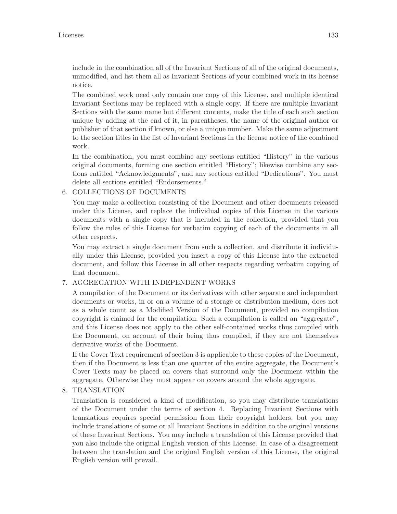include in the combination all of the Invariant Sections of all of the original documents, unmodified, and list them all as Invariant Sections of your combined work in its license notice.

The combined work need only contain one copy of this License, and multiple identical Invariant Sections may be replaced with a single copy. If there are multiple Invariant Sections with the same name but different contents, make the title of each such section unique by adding at the end of it, in parentheses, the name of the original author or publisher of that section if known, or else a unique number. Make the same adjustment to the section titles in the list of Invariant Sections in the license notice of the combined work.

In the combination, you must combine any sections entitled "History" in the various original documents, forming one section entitled "History"; likewise combine any sections entitled "Acknowledgments", and any sections entitled "Dedications". You must delete all sections entitled "Endorsements."

### 6. COLLECTIONS OF DOCUMENTS

You may make a collection consisting of the Document and other documents released under this License, and replace the individual copies of this License in the various documents with a single copy that is included in the collection, provided that you follow the rules of this License for verbatim copying of each of the documents in all other respects.

You may extract a single document from such a collection, and distribute it individually under this License, provided you insert a copy of this License into the extracted document, and follow this License in all other respects regarding verbatim copying of that document.

### 7. AGGREGATION WITH INDEPENDENT WORKS

A compilation of the Document or its derivatives with other separate and independent documents or works, in or on a volume of a storage or distribution medium, does not as a whole count as a Modified Version of the Document, provided no compilation copyright is claimed for the compilation. Such a compilation is called an "aggregate", and this License does not apply to the other self-contained works thus compiled with the Document, on account of their being thus compiled, if they are not themselves derivative works of the Document.

If the Cover Text requirement of section 3 is applicable to these copies of the Document, then if the Document is less than one quarter of the entire aggregate, the Document's Cover Texts may be placed on covers that surround only the Document within the aggregate. Otherwise they must appear on covers around the whole aggregate.

### 8. TRANSLATION

Translation is considered a kind of modification, so you may distribute translations of the Document under the terms of section 4. Replacing Invariant Sections with translations requires special permission from their copyright holders, but you may include translations of some or all Invariant Sections in addition to the original versions of these Invariant Sections. You may include a translation of this License provided that you also include the original English version of this License. In case of a disagreement between the translation and the original English version of this License, the original English version will prevail.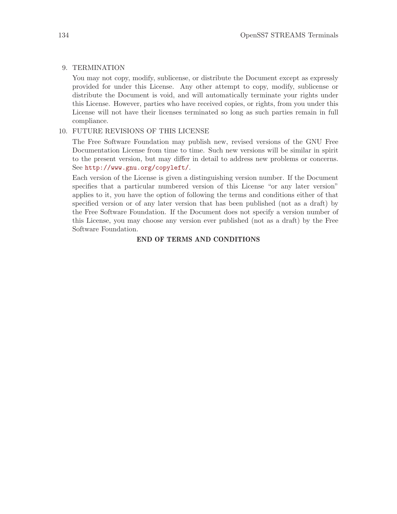### 9. TERMINATION

You may not copy, modify, sublicense, or distribute the Document except as expressly provided for under this License. Any other attempt to copy, modify, sublicense or distribute the Document is void, and will automatically terminate your rights under this License. However, parties who have received copies, or rights, from you under this License will not have their licenses terminated so long as such parties remain in full compliance.

### 10. FUTURE REVISIONS OF THIS LICENSE

The Free Software Foundation may publish new, revised versions of the GNU Free Documentation License from time to time. Such new versions will be similar in spirit to the present version, but may differ in detail to address new problems or concerns. See <http://www.gnu.org/copyleft/>.

Each version of the License is given a distinguishing version number. If the Document specifies that a particular numbered version of this License "or any later version" applies to it, you have the option of following the terms and conditions either of that specified version or of any later version that has been published (not as a draft) by the Free Software Foundation. If the Document does not specify a version number of this License, you may choose any version ever published (not as a draft) by the Free Software Foundation.

### END OF TERMS AND CONDITIONS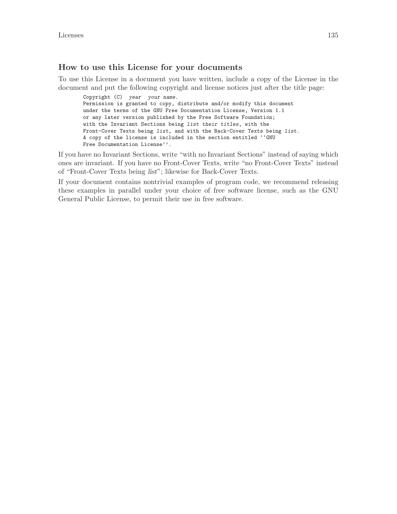#### How to use this License for your documents

To use this License in a document you have written, include a copy of the License in the document and put the following copyright and license notices just after the title page:

Copyright (C) year your name. Permission is granted to copy, distribute and/or modify this document under the terms of the GNU Free Documentation License, Version 1.1 or any later version published by the Free Software Foundation; with the Invariant Sections being list their titles, with the Front-Cover Texts being list, and with the Back-Cover Texts being list. A copy of the license is included in the section entitled ''GNU Free Documentation License''.

If you have no Invariant Sections, write "with no Invariant Sections" instead of saying which ones are invariant. If you have no Front-Cover Texts, write "no Front-Cover Texts" instead of "Front-Cover Texts being list"; likewise for Back-Cover Texts.

If your document contains nontrivial examples of program code, we recommend releasing these examples in parallel under your choice of free software license, such as the GNU General Public License, to permit their use in free software.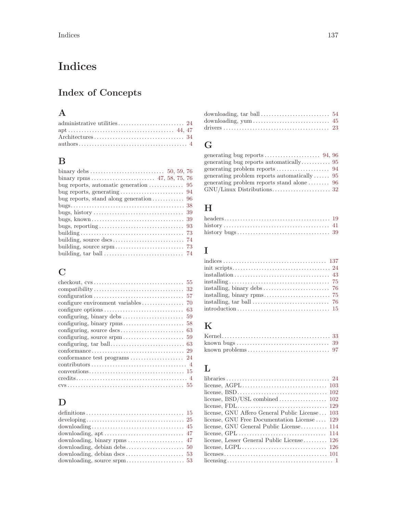# <span id="page-146-0"></span>Indices

# Index of Concepts

# A

| $\text{authors} \dots \dots \dots \dots \dots \dots \dots \dots \dots \dots \dots \dots \dots \dots \dots$ |  |
|------------------------------------------------------------------------------------------------------------|--|

# B

| bug reports, automatic generation $\dots \dots \dots \dots$ 95 |  |
|----------------------------------------------------------------|--|
|                                                                |  |
|                                                                |  |
|                                                                |  |
|                                                                |  |
|                                                                |  |
|                                                                |  |
|                                                                |  |
|                                                                |  |
|                                                                |  |
|                                                                |  |

# C

| configure environment variables                                    | 70  |
|--------------------------------------------------------------------|-----|
|                                                                    | -63 |
|                                                                    |     |
|                                                                    |     |
|                                                                    |     |
|                                                                    |     |
|                                                                    |     |
|                                                                    |     |
| conformance test programs $\dots \dots \dots \dots \dots \dots$ 24 |     |
|                                                                    |     |
|                                                                    |     |
|                                                                    |     |
|                                                                    |     |
|                                                                    |     |

# $\mathbf D$

| downloading, $apt \ldots \ldots \ldots \ldots \ldots \ldots \ldots \ldots \ldots 47$ |  |
|--------------------------------------------------------------------------------------|--|
|                                                                                      |  |
|                                                                                      |  |
|                                                                                      |  |
|                                                                                      |  |

| downloading, $\text{tar ball} \dots \dots \dots \dots \dots \dots \dots \dots \dots 54$ |  |
|-----------------------------------------------------------------------------------------|--|
|                                                                                         |  |
|                                                                                         |  |

# G

| generating problem reports automatically $95$ |  |
|-----------------------------------------------|--|
|                                               |  |
|                                               |  |
|                                               |  |

# $\mathbf H$

# I

| installing, tar ball $\dots\dots\dots\dots\dots\dots\dots\dots\dots$ 76 |
|-------------------------------------------------------------------------|
|                                                                         |

# K

| known bugs $\dots \dots \dots \dots \dots \dots \dots \dots \dots \dots \dots \dots$ 39 |  |
|-----------------------------------------------------------------------------------------|--|
|                                                                                         |  |

# L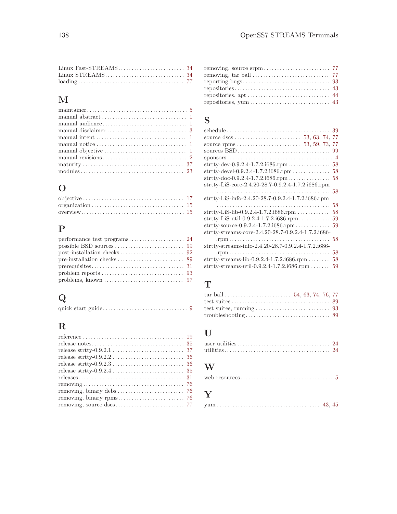# M

| manual objective $\dots \dots \dots \dots \dots \dots \dots \dots \dots \dots \dots \dots$ |
|--------------------------------------------------------------------------------------------|
|                                                                                            |
|                                                                                            |
|                                                                                            |

# O

# P

| problems, known $\dots \dots \dots \dots \dots \dots \dots \dots \dots$ 97 |  |
|----------------------------------------------------------------------------|--|

# Q

|--|--|--|--|--|--|

# R

| $releases \ldots \ldots \ldots \ldots \ldots \ldots \ldots \ldots \ldots \ldots \ldots \ldots \ldots 31$ |  |
|----------------------------------------------------------------------------------------------------------|--|
|                                                                                                          |  |
| removing, binary debs $\dots \dots \dots \dots \dots \dots \dots \dots$ 76                               |  |
|                                                                                                          |  |
|                                                                                                          |  |

| $repositories \ldots \ldots \ldots \ldots \ldots \ldots \ldots \ldots \ldots \ldots \ldots \ldots \quad 43$ |  |
|-------------------------------------------------------------------------------------------------------------|--|
|                                                                                                             |  |
|                                                                                                             |  |

# S

| 58 |
|----|
| 59 |
|    |
|    |
|    |
|    |
|    |
| 58 |
| 58 |
| 59 |
|    |

# T

# ${\bf U}$

### W

|--|--|--|

# Y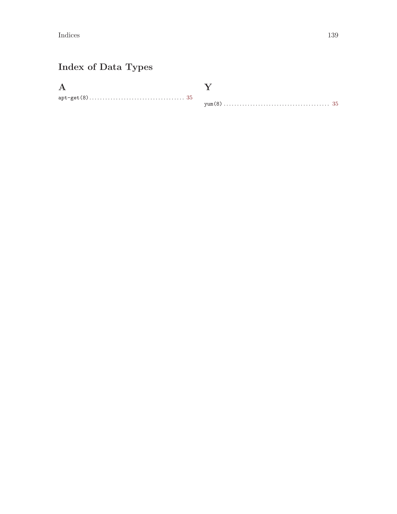$\label{p:indices} \textbf{Indices}$ 

# Index of Data Types

 $\mathbf{A}$  $\mathtt{apt}\textnormal{-}\mathtt{get}(8)\ldots\ldots\ldots\ldots\ldots\ldots\ldots\ldots\ldots\ldots\ldots\ldots\ldots\,35$   $\mathbf Y$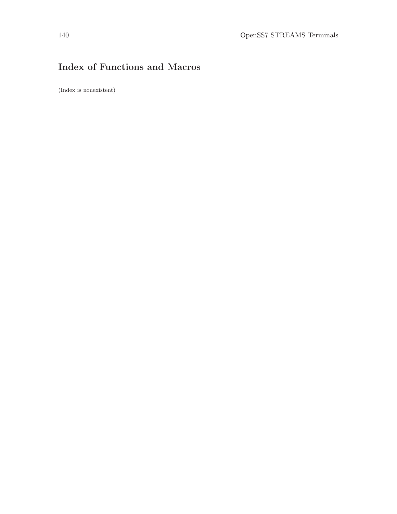# Index of Functions and Macros

(Index is nonexistent)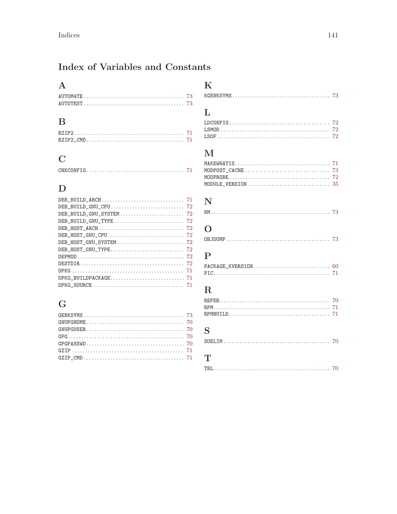# Index of Variables and Constants

### $\mathbf A$

### $\, {\bf B}$

# $\mathbf C$

# $\label{eq:1} \mathbf{D}$

| DEB_BUILD_GNU_TYPE $\ldots \ldots \ldots \ldots \ldots \ldots \ldots \ldots$ 72 |
|---------------------------------------------------------------------------------|
| DEB_HOST_ARCH $\dots\dots\dots\dots\dots\dots\dots\dots\dots\dots\dots$ 72      |
|                                                                                 |
|                                                                                 |
|                                                                                 |
|                                                                                 |
|                                                                                 |
|                                                                                 |
|                                                                                 |
|                                                                                 |

# $\mathbf G$

# $\mathbf K$

|--|

# $\mathbf L$

# $\mathbf{M}$

| MODPOST_CACHE $\ldots \ldots \ldots \ldots \ldots \ldots \ldots \ldots \ldots \ldots$ 73 |  |
|------------------------------------------------------------------------------------------|--|
|                                                                                          |  |
|                                                                                          |  |

# $\mathbf N$

# $\overline{O}$

|--|--|--|--|--|--|--|--|--|--|--|--|--|--|--|--|--|--|--|--|--|--|--|--|--|--|--|--|--|--|--|--|--|--|--|--|--|--|--|--|--|--|--|--|--|--|--|--|--|

# $\mathbf P$

# $\overline{\mathbf{R}}$

# $S$

|--|--|--|--|--|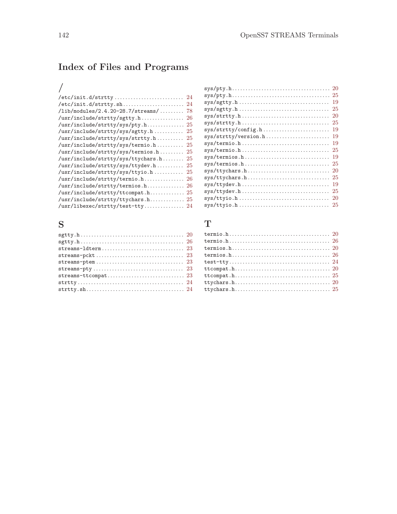# Index of Files and Programs

### /

| /etc/init.d/strtty<br>-24                           |
|-----------------------------------------------------|
|                                                     |
| $\frac{1}{1}$ ib/modules/2.4.20-28.7/streams/<br>78 |
| /usr/include/strtty/sgtty.h<br>26                   |
| /usr/include/strtty/sys/pty.h 25                    |
| /usr/include/strtty/sys/sgtty.h<br>25               |
| /usr/include/strtty/sys/strtty.h<br>-25             |
| /usr/include/strtty/sys/termio.h<br>25              |
| /usr/include/strtty/sys/termios.h<br>25             |
| /usr/include/strtty/sys/ttychars.h<br>25            |
| /usr/include/strtty/sys/ttydev.h<br>25              |
| /usr/include/strtty/sys/ttyio.h<br>25               |
|                                                     |
|                                                     |
| /usr/include/strtty/ttcompat.h 25                   |
| /usr/include/strtty/ttychars.h 25                   |
| /usr/libexec/strtty/test-tty 24                     |

#### S

|                | -20 |
|----------------|-----|
|                | -25 |
|                | 19  |
| $sys/sgtty.h$  | 25  |
|                | 20  |
|                | 25  |
|                | 19  |
|                | 19  |
|                | 19  |
|                | 25  |
|                | 19  |
| sys/termios.h  | 25  |
| sys/ttychars.h | 20  |
| sys/ttychars.h | 25  |
|                | 19  |
|                | 25  |
|                | 20  |
| sys/ttyio.h    | 25  |
|                |     |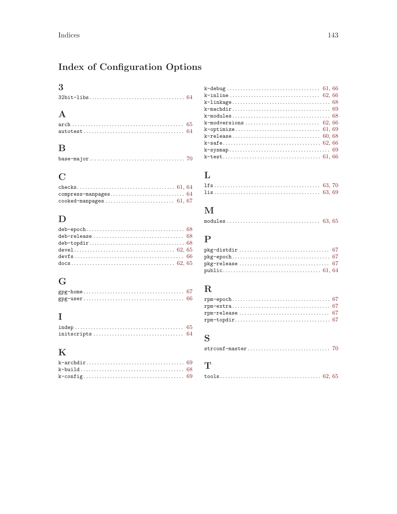# Index of Configuration Options

# $\overline{\mathbf{3}}$

# $\mathbf A$

# $\, {\bf B}$

# $\mathbf C$

| $\verb cooked-manpages   \dots \verb   \dots \verb + \dots \verb +  \dots \verb +  \ 61, 67$ |  |
|----------------------------------------------------------------------------------------------|--|

# $\label{eq:1} \mathbf{D}$

# $\overline{G}$

# $\bar{\mathbf{I}}$

# $\mathbf K$

# $\mathbf L$

# $\mathbf M$

# $\overline{\mathbf{P}}$

# ${\bf R}$

# $\mathbf S$

| $\texttt{stroonf-master} \dots \dots \dots \dots \dots \dots \dots \dots \dots \dots \ 70$ |  |  |  |
|--------------------------------------------------------------------------------------------|--|--|--|
|                                                                                            |  |  |  |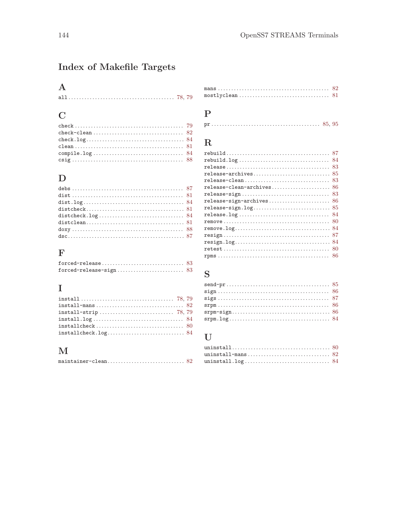# Index of Makefile Targets

### $\mathbf A$

|--|

### $\overline{C}$

#### ${\bf D}$

### $\mathbf F$

### $\mathbf I$

| $install.log \ldots \ldots \ldots \ldots \ldots \ldots \ldots \ldots \ldots \ldots \quad 84$ |  |
|----------------------------------------------------------------------------------------------|--|
| $installcheck \dots \dots \dots \dots \dots \dots \dots \dots \dots \dots \dots \ 80$        |  |
| $install check.log.\dots \dots \dots \dots \dots \dots \dots \dots \dots \ 84$               |  |

#### $\mathbf{M}$

|--|--|--|--|--|--|--|--|--|--|--|--|--|--|--|--|--|--|--|--|--|--|--|--|--|

#### $\verb"mostlyclean" {.\;.\;} \dots \dots \dots \dots \dots \dots \dots \dots \dots \dots \dots \ \, 81$

#### ${\bf P}$

|--|--|

#### ${\bf R}$

|                                                                                     | 87  |
|-------------------------------------------------------------------------------------|-----|
| $rebuild.log \ldots \ldots \ldots \ldots \ldots \ldots \ldots \ldots \ldots \ldots$ | 84  |
|                                                                                     | 83  |
| release-archives                                                                    | -85 |
| release-clean                                                                       | 83  |
|                                                                                     | 86  |
| release-sign                                                                        | 83  |
| $release-sign-archives \ldots \ldots \ldots \ldots \ldots \ldots$                   | 86  |
| release-sign.log                                                                    | -85 |
|                                                                                     | 84  |
|                                                                                     | 80  |
|                                                                                     | -84 |
|                                                                                     | 87  |
|                                                                                     | -84 |
|                                                                                     | 80  |
|                                                                                     |     |
|                                                                                     |     |

# ${\bf S}$

#### $\mathbf U$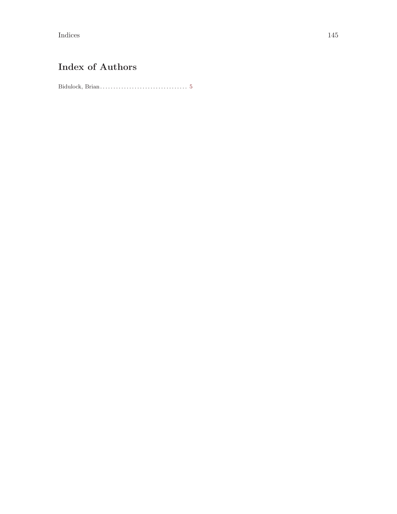Indices and the set of the set of the set of the set of the set of the set of the set of the set of the set of the set of the set of the set of the set of the set of the set of the set of the set of the set of the set of t

# Index of Authors

Bidulock, Brian. . . . . . . . . . . . . . . . . . . . . . . . . . . . . . . . . [5](#page-14-0)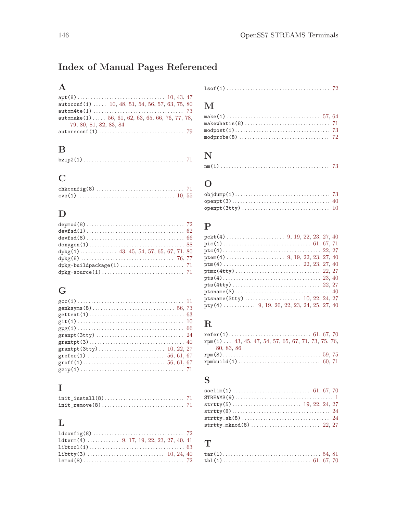# Index of Manual Pages Referenced

# $\mathbf A$

| autoconf (1) $\ldots$ 10, 48, 51, 54, 56, 57, 63, 75, 80 |
|----------------------------------------------------------|
|                                                          |
| automake(1) 56, 61, 62, 63, 65, 66, 76, 77, 78,          |
| 79, 80, 81, 82, 83, 84                                   |
|                                                          |

### $\, {\bf B}$

|--|--|--|--|--|--|--|--|--|--|--|--|--|--|--|--|--|--|--|--|--|--|--|--|--|--|--|--|--|--|--|--|--|--|--|--|--|--|--|

### $\overline{C}$

### ${\bf D}$

| $devfsd(8) \ldots \ldots \ldots \ldots \ldots \ldots \ldots \ldots \ldots \ldots \ldots \ldots \ldots 66$ |  |
|-----------------------------------------------------------------------------------------------------------|--|
| $\texttt{doxygen}(1) \dots \dots \dots \dots \dots \dots \dots \dots \dots \dots \dots \dots \ 88$        |  |
|                                                                                                           |  |
|                                                                                                           |  |
|                                                                                                           |  |
|                                                                                                           |  |

### ${\bf G}$

# $\overline{\mathbf{I}}$

# $\mathbf L$

| $1$ dterm $(4)$ 9, 17, 19, 22, 23, 27, 40, 41 |  |
|-----------------------------------------------|--|
|                                               |  |
|                                               |  |
|                                               |  |

#### 

### $\mathbf{M}% _{H}=\mathbf{M}_{H}$

# $\overline{\mathbf{N}}$

# $\overline{O}$

#### ${\bf P}$

| pty(4)  9, 19, 20, 22, 23, 24, 25, 27, 40 |  |  |
|-------------------------------------------|--|--|

### ${\bf R}$

| $rpm(1)$ 43, 45, 47, 54, 57, 65, 67, 71, 73, 75, 76, |  |
|------------------------------------------------------|--|
| 80, 83, 86                                           |  |
|                                                      |  |
|                                                      |  |

### ${\bf S}$

| $strtry_mknod(8) \ldots \ldots \ldots \ldots \ldots \ldots \ldots \ldots \ldots 22, 27$ |  |
|-----------------------------------------------------------------------------------------|--|